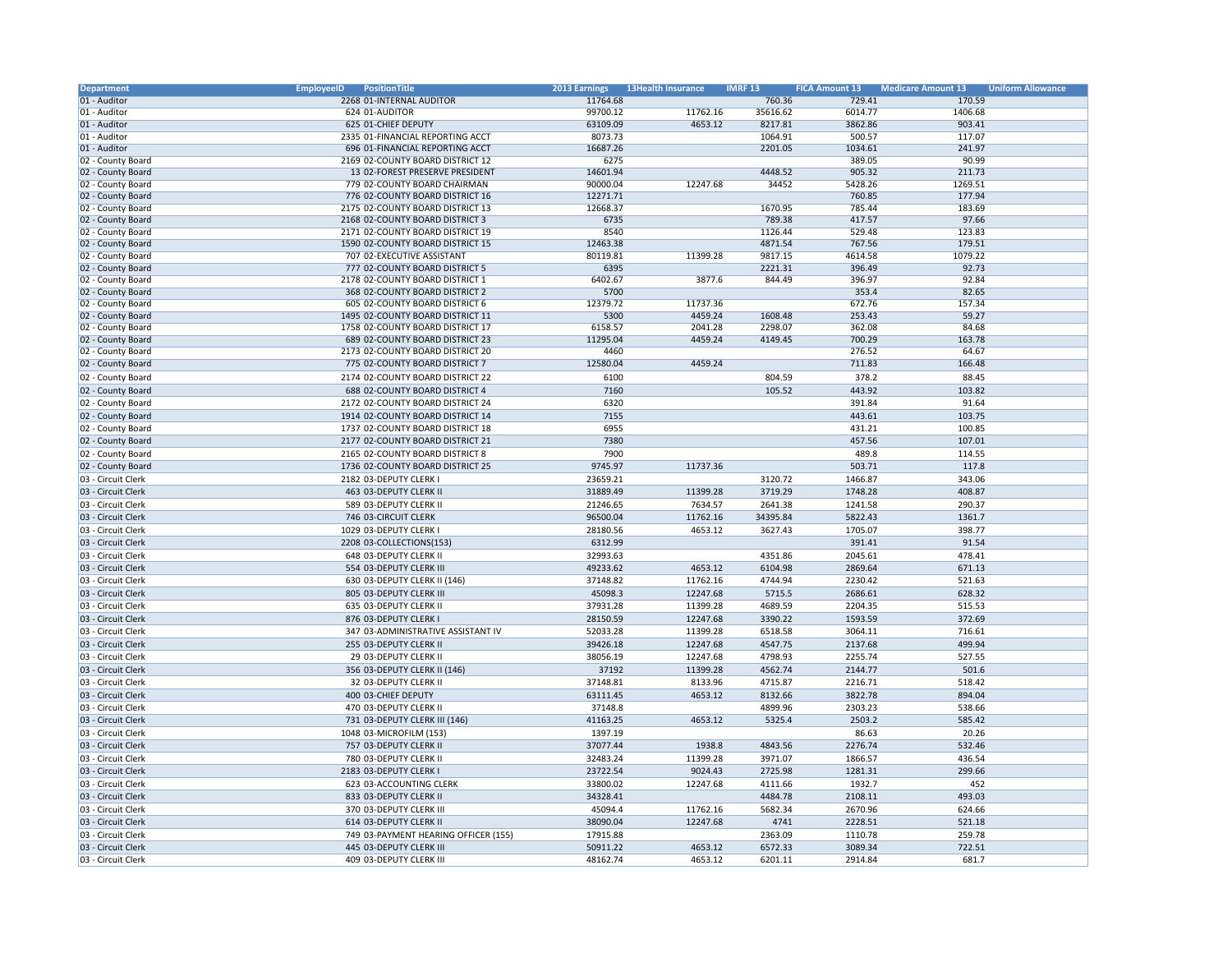| Department         | <b>EmployeeID</b><br>PositionTitle   | <b>2013 Earnings</b> | <b>13Health Insurance</b> | <b>IMRF 13</b> | <b>FICA Amount 13</b> | <b>Medicare Amount 13</b> | <b>Uniform Allowance</b> |
|--------------------|--------------------------------------|----------------------|---------------------------|----------------|-----------------------|---------------------------|--------------------------|
| 01 - Auditor       | 2268 01-INTERNAL AUDITOR             | 11764.68             |                           | 760.36         | 729.41                | 170.59                    |                          |
| 01 - Auditor       | 624 01-AUDITOR                       | 99700.12             | 11762.16                  | 35616.62       | 6014.77               | 1406.68                   |                          |
| 01 - Auditor       | 625 01-CHIEF DEPUTY                  | 63109.09             | 4653.12                   | 8217.81        | 3862.86               | 903.41                    |                          |
| 01 - Auditor       | 2335 01-FINANCIAL REPORTING ACCT     | 8073.73              |                           | 1064.91        | 500.57                | 117.07                    |                          |
|                    |                                      |                      |                           |                |                       |                           |                          |
| 01 - Auditor       | 696 01-FINANCIAL REPORTING ACCT      | 16687.26             |                           | 2201.05        | 1034.61               | 241.97                    |                          |
| 02 - County Board  | 2169 02-COUNTY BOARD DISTRICT 12     | 6275                 |                           |                | 389.05                | 90.99                     |                          |
| 02 - County Board  | 13 02-FOREST PRESERVE PRESIDENT      | 14601.94             |                           | 4448.52        | 905.32                | 211.73                    |                          |
| 02 - County Board  | 779 02-COUNTY BOARD CHAIRMAN         | 90000.04             | 12247.68                  | 34452          | 5428.26               | 1269.51                   |                          |
| 02 - County Board  | 776 02-COUNTY BOARD DISTRICT 16      | 12271.71             |                           |                | 760.85                | 177.94                    |                          |
| 02 - County Board  | 2175 02-COUNTY BOARD DISTRICT 13     | 12668.37             |                           | 1670.95        | 785.44                | 183.69                    |                          |
| 02 - County Board  | 2168 02-COUNTY BOARD DISTRICT 3      | 6735                 |                           | 789.38         | 417.57                | 97.66                     |                          |
| 02 - County Board  | 2171 02-COUNTY BOARD DISTRICT 19     | 8540                 |                           | 1126.44        | 529.48                | 123.83                    |                          |
|                    | 1590 02-COUNTY BOARD DISTRICT 15     |                      |                           |                |                       | 179.51                    |                          |
| 02 - County Board  |                                      | 12463.38             |                           | 4871.54        | 767.56                |                           |                          |
| 02 - County Board  | 707 02-EXECUTIVE ASSISTANT           | 80119.81             | 11399.28                  | 9817.15        | 4614.58               | 1079.22                   |                          |
| 02 - County Board  | 777 02-COUNTY BOARD DISTRICT 5       | 6395                 |                           | 2221.31        | 396.49                | 92.73                     |                          |
| 02 - County Board  | 2178 02-COUNTY BOARD DISTRICT 1      | 6402.67              | 3877.6                    | 844.49         | 396.97                | 92.84                     |                          |
| 02 - County Board  | 368 02-COUNTY BOARD DISTRICT 2       | 5700                 |                           |                | 353.4                 | 82.65                     |                          |
| 02 - County Board  | 605 02-COUNTY BOARD DISTRICT 6       | 12379.72             | 11737.36                  |                | 672.76                | 157.34                    |                          |
| 02 - County Board  | 1495 02-COUNTY BOARD DISTRICT 11     | 5300                 | 4459.24                   | 1608.48        | 253.43                | 59.27                     |                          |
| 02 - County Board  | 1758 02-COUNTY BOARD DISTRICT 17     | 6158.57              | 2041.28                   | 2298.07        | 362.08                | 84.68                     |                          |
| 02 - County Board  | 689 02-COUNTY BOARD DISTRICT 23      | 11295.04             | 4459.24                   | 4149.45        | 700.29                | 163.78                    |                          |
|                    |                                      |                      |                           |                |                       |                           |                          |
| 02 - County Board  | 2173 02-COUNTY BOARD DISTRICT 20     | 4460                 |                           |                | 276.52                | 64.67                     |                          |
| 02 - County Board  | 775 02-COUNTY BOARD DISTRICT 7       | 12580.04             | 4459.24                   |                | 711.83                | 166.48                    |                          |
| 02 - County Board  | 2174 02-COUNTY BOARD DISTRICT 22     | 6100                 |                           | 804.59         | 378.2                 | 88.45                     |                          |
| 02 - County Board  | 688 02-COUNTY BOARD DISTRICT 4       | 7160                 |                           | 105.52         | 443.92                | 103.82                    |                          |
| 02 - County Board  | 2172 02-COUNTY BOARD DISTRICT 24     | 6320                 |                           |                | 391.84                | 91.64                     |                          |
| 02 - County Board  | 1914 02-COUNTY BOARD DISTRICT 14     | 7155                 |                           |                | 443.61                | 103.75                    |                          |
|                    |                                      |                      |                           |                |                       |                           |                          |
| 02 - County Board  | 1737 02-COUNTY BOARD DISTRICT 18     | 6955                 |                           |                | 431.21                | 100.85                    |                          |
| 02 - County Board  | 2177 02-COUNTY BOARD DISTRICT 21     | 7380                 |                           |                | 457.56                | 107.01                    |                          |
| 02 - County Board  | 2165 02-COUNTY BOARD DISTRICT 8      | 7900                 |                           |                | 489.8                 | 114.55                    |                          |
| 02 - County Board  | 1736 02-COUNTY BOARD DISTRICT 25     | 9745.97              | 11737.36                  |                | 503.71                | 117.8                     |                          |
| 03 - Circuit Clerk | 2182 03-DEPUTY CLERK I               | 23659.21             |                           | 3120.72        | 1466.87               | 343.06                    |                          |
| 03 - Circuit Clerk | 463 03-DEPUTY CLERK II               | 31889.49             | 11399.28                  | 3719.29        | 1748.28               | 408.87                    |                          |
|                    |                                      |                      |                           |                |                       |                           |                          |
| 03 - Circuit Clerk | 589 03-DEPUTY CLERK II               | 21246.65             | 7634.57                   | 2641.38        | 1241.58               | 290.37                    |                          |
| 03 - Circuit Clerk | 746 03-CIRCUIT CLERK                 | 96500.04             | 11762.16                  | 34395.84       | 5822.43               | 1361.7                    |                          |
| 03 - Circuit Clerk | 1029 03-DEPUTY CLERK I               | 28180.56             | 4653.12                   | 3627.43        | 1705.07               | 398.77                    |                          |
| 03 - Circuit Clerk | 2208 03-COLLECTIONS(153)             | 6312.99              |                           |                | 391.41                | 91.54                     |                          |
| 03 - Circuit Clerk | 648 03-DEPUTY CLERK II               | 32993.63             |                           | 4351.86        | 2045.61               | 478.41                    |                          |
| 03 - Circuit Clerk | 554 03-DEPUTY CLERK III              | 49233.62             | 4653.12                   | 6104.98        | 2869.64               | 671.13                    |                          |
|                    |                                      |                      |                           |                |                       |                           |                          |
| 03 - Circuit Clerk | 630 03-DEPUTY CLERK II (146)         | 37148.82             | 11762.16                  | 4744.94        | 2230.42               | 521.63                    |                          |
| 03 - Circuit Clerk | 805 03-DEPUTY CLERK III              | 45098.3              | 12247.68                  | 5715.5         | 2686.61               | 628.32                    |                          |
| 03 - Circuit Clerk | 635 03-DEPUTY CLERK II               | 37931.28             | 11399.28                  | 4689.59        | 2204.35               | 515.53                    |                          |
| 03 - Circuit Clerk | 876 03-DEPUTY CLERK I                | 28150.59             | 12247.68                  | 3390.22        | 1593.59               | 372.69                    |                          |
| 03 - Circuit Clerk | 347 03-ADMINISTRATIVE ASSISTANT IV   | 52033.28             | 11399.28                  | 6518.58        | 3064.11               | 716.61                    |                          |
| 03 - Circuit Clerk | 255 03-DEPUTY CLERK II               | 39426.18             | 12247.68                  | 4547.75        | 2137.68               | 499.94                    |                          |
|                    |                                      |                      |                           |                |                       |                           |                          |
| 03 - Circuit Clerk | 29 03-DEPUTY CLERK II                | 38056.19             | 12247.68                  | 4798.93        | 2255.74               | 527.55                    |                          |
| 03 - Circuit Clerk | 356 03-DEPUTY CLERK II (146)         | 37192                | 11399.28                  | 4562.74        | 2144.77               | 501.6                     |                          |
| 03 - Circuit Clerk | 32 03-DEPUTY CLERK II                | 37148.81             | 8133.96                   | 4715.87        | 2216.71               | 518.42                    |                          |
| 03 - Circuit Clerk | 400 03-CHIEF DEPUTY                  | 63111.45             | 4653.12                   | 8132.66        | 3822.78               | 894.04                    |                          |
| 03 - Circuit Clerk | 470 03-DEPUTY CLERK II               | 37148.8              |                           | 4899.96        | 2303.23               | 538.66                    |                          |
| 03 - Circuit Clerk | 731 03-DEPUTY CLERK III (146)        | 41163.25             | 4653.12                   | 5325.4         | 2503.2                | 585.42                    |                          |
| 03 - Circuit Clerk | 1048 03-MICROFILM (153)              | 1397.19              |                           |                | 86.63                 | 20.26                     |                          |
|                    |                                      |                      |                           |                |                       |                           |                          |
| 03 - Circuit Clerk | 757 03-DEPUTY CLERK II               | 37077.44             | 1938.8                    | 4843.56        | 2276.74               | 532.46                    |                          |
| 03 - Circuit Clerk | 780 03-DEPUTY CLERK II               | 32483.24             | 11399.28                  | 3971.07        | 1866.57               | 436.54                    |                          |
| 03 - Circuit Clerk | 2183 03-DEPUTY CLERK I               | 23722.54             | 9024.43                   | 2725.98        | 1281.31               | 299.66                    |                          |
| 03 - Circuit Clerk | 623 03-ACCOUNTING CLERK              | 33800.02             | 12247.68                  | 4111.66        | 1932.7                | 452                       |                          |
| 03 - Circuit Clerk | 833 03-DEPUTY CLERK II               | 34328.41             |                           | 4484.78        | 2108.11               | 493.03                    |                          |
|                    |                                      |                      |                           |                |                       |                           |                          |
| 03 - Circuit Clerk | 370 03-DEPUTY CLERK III              | 45094.4              | 11762.16                  | 5682.34        | 2670.96               | 624.66                    |                          |
| 03 - Circuit Clerk | 614 03-DEPUTY CLERK II               | 38090.04             | 12247.68                  | 4741           | 2228.51               | 521.18                    |                          |
| 03 - Circuit Clerk | 749 03-PAYMENT HEARING OFFICER (155) | 17915.88             |                           | 2363.09        | 1110.78               | 259.78                    |                          |
| 03 - Circuit Clerk | 445 03-DEPUTY CLERK III              | 50911.22             | 4653.12                   | 6572.33        | 3089.34               | 722.51                    |                          |
| 03 - Circuit Clerk | 409 03-DEPUTY CLERK III              | 48162.74             | 4653.12                   | 6201.11        | 2914.84               | 681.7                     |                          |
|                    |                                      |                      |                           |                |                       |                           |                          |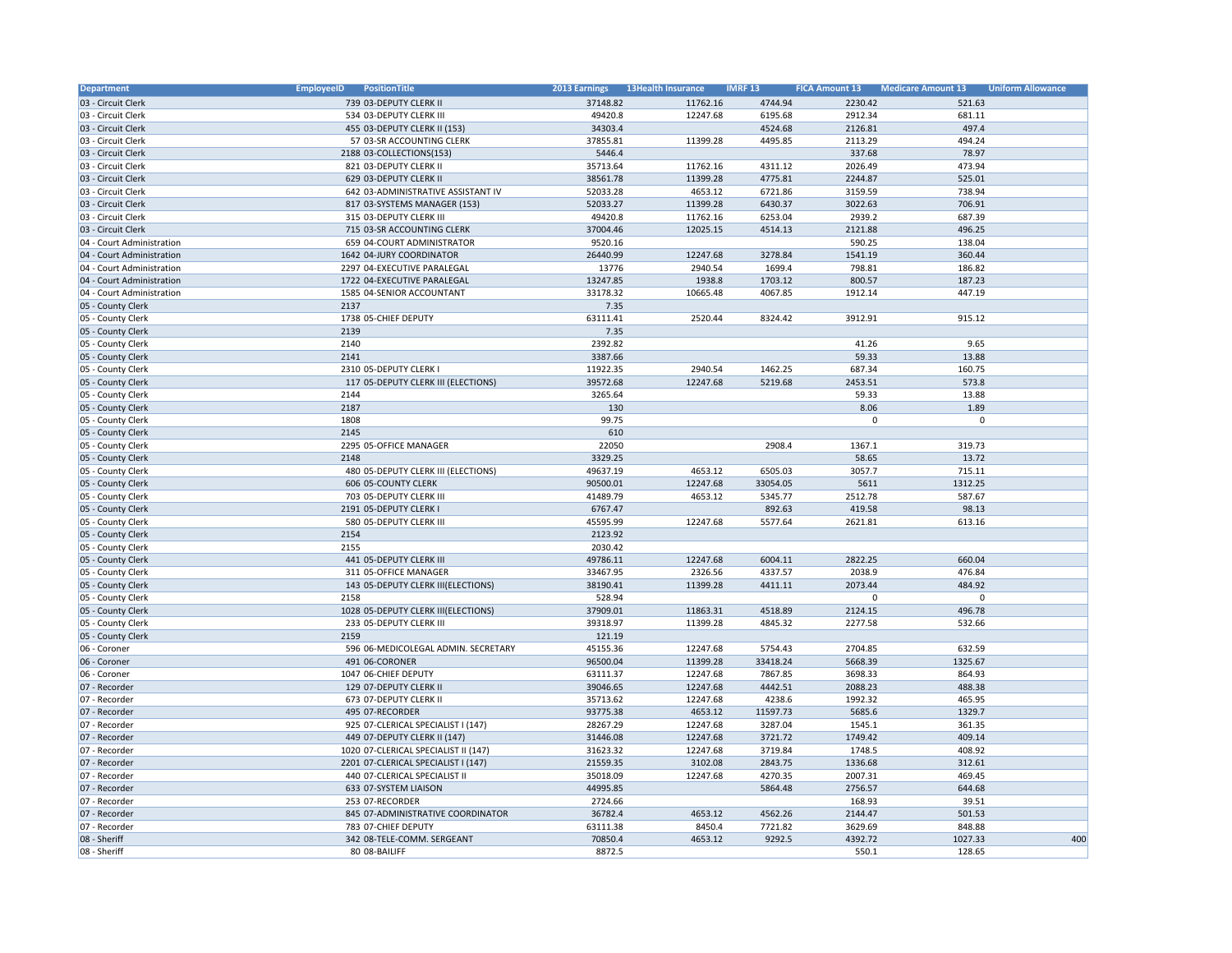| Department                | <b>EmployeeID</b><br>PositionTitle   | 2013 Earnings | <b>13Health Insurance</b> | <b>IMRF 13</b> | <b>FICA Amount 13</b> | <b>Medicare Amount 13</b> | <b>Uniform Allowance</b> |
|---------------------------|--------------------------------------|---------------|---------------------------|----------------|-----------------------|---------------------------|--------------------------|
| 03 - Circuit Clerk        | 739 03-DEPUTY CLERK II               | 37148.82      | 11762.16                  | 4744.94        | 2230.42               | 521.63                    |                          |
| 03 - Circuit Clerk        | 534 03-DEPUTY CLERK III              | 49420.8       | 12247.68                  | 6195.68        | 2912.34               | 681.11                    |                          |
| 03 - Circuit Clerk        | 455 03-DEPUTY CLERK II (153)         | 34303.4       |                           | 4524.68        | 2126.81               | 497.4                     |                          |
| 03 - Circuit Clerk        | 57 03-SR ACCOUNTING CLERK            | 37855.81      | 11399.28                  | 4495.85        | 2113.29               | 494.24                    |                          |
| 03 - Circuit Clerk        | 2188 03-COLLECTIONS(153)             | 5446.4        |                           |                | 337.68                | 78.97                     |                          |
| 03 - Circuit Clerk        | 821 03-DEPUTY CLERK II               | 35713.64      | 11762.16                  | 4311.12        | 2026.49               | 473.94                    |                          |
| 03 - Circuit Clerk        | 629 03-DEPUTY CLERK II               | 38561.78      | 11399.28                  | 4775.81        | 2244.87               | 525.01                    |                          |
| 03 - Circuit Clerk        | 642 03-ADMINISTRATIVE ASSISTANT IV   | 52033.28      | 4653.12                   | 6721.86        | 3159.59               | 738.94                    |                          |
| 03 - Circuit Clerk        | 817 03-SYSTEMS MANAGER (153)         | 52033.27      | 11399.28                  | 6430.37        | 3022.63               | 706.91                    |                          |
| 03 - Circuit Clerk        | 315 03-DEPUTY CLERK III              | 49420.8       | 11762.16                  | 6253.04        | 2939.2                | 687.39                    |                          |
| 03 - Circuit Clerk        | 715 03-SR ACCOUNTING CLERK           | 37004.46      | 12025.15                  | 4514.13        | 2121.88               | 496.25                    |                          |
| 04 - Court Administration | 659 04-COURT ADMINISTRATOR           | 9520.16       |                           |                | 590.25                | 138.04                    |                          |
| 04 - Court Administration | 1642 04-JURY COORDINATOR             | 26440.99      | 12247.68                  | 3278.84        | 1541.19               | 360.44                    |                          |
| 04 - Court Administration | 2297 04-EXECUTIVE PARALEGAL          | 13776         | 2940.54                   | 1699.4         | 798.81                | 186.82                    |                          |
| 04 - Court Administration | 1722 04-EXECUTIVE PARALEGAL          | 13247.85      | 1938.8                    | 1703.12        | 800.57                | 187.23                    |                          |
| 04 - Court Administration | 1585 04-SENIOR ACCOUNTANT            | 33178.32      | 10665.48                  | 4067.85        | 1912.14               | 447.19                    |                          |
| 05 - County Clerk         | 2137                                 | 7.35          |                           |                |                       |                           |                          |
| 05 - County Clerk         | 1738 05-CHIEF DEPUTY                 | 63111.41      | 2520.44                   | 8324.42        | 3912.91               | 915.12                    |                          |
| 05 - County Clerk         | 2139                                 | 7.35          |                           |                |                       |                           |                          |
| 05 - County Clerk         | 2140                                 | 2392.82       |                           |                | 41.26                 | 9.65                      |                          |
| 05 - County Clerk         | 2141                                 | 3387.66       |                           |                | 59.33                 | 13.88                     |                          |
| 05 - County Clerk         | 2310 05-DEPUTY CLERK I               | 11922.35      | 2940.54                   | 1462.25        | 687.34                | 160.75                    |                          |
| 05 - County Clerk         | 117 05-DEPUTY CLERK III (ELECTIONS)  | 39572.68      | 12247.68                  | 5219.68        | 2453.51               | 573.8                     |                          |
| 05 - County Clerk         | 2144                                 | 3265.64       |                           |                | 59.33                 | 13.88                     |                          |
| 05 - County Clerk         | 2187                                 | 130           |                           |                | 8.06                  | 1.89                      |                          |
| 05 - County Clerk         | 1808                                 | 99.75         |                           |                | $\mathbf 0$           | $\mathbf 0$               |                          |
| 05 - County Clerk         | 2145                                 | 610           |                           |                |                       |                           |                          |
| 05 - County Clerk         | 2295 05-OFFICE MANAGER               | 22050         |                           | 2908.4         | 1367.1                | 319.73                    |                          |
| 05 - County Clerk         | 2148                                 | 3329.25       |                           |                | 58.65                 | 13.72                     |                          |
| 05 - County Clerk         | 480 05-DEPUTY CLERK III (ELECTIONS)  | 49637.19      | 4653.12                   | 6505.03        | 3057.7                | 715.11                    |                          |
| 05 - County Clerk         | 606 05-COUNTY CLERK                  | 90500.01      | 12247.68                  | 33054.05       | 5611                  | 1312.25                   |                          |
| 05 - County Clerk         | 703 05-DEPUTY CLERK III              | 41489.79      | 4653.12                   | 5345.77        | 2512.78               | 587.67                    |                          |
| 05 - County Clerk         | 2191 05-DEPUTY CLERK I               | 6767.47       |                           | 892.63         | 419.58                | 98.13                     |                          |
| 05 - County Clerk         | 580 05-DEPUTY CLERK III              | 45595.99      | 12247.68                  | 5577.64        | 2621.81               | 613.16                    |                          |
| 05 - County Clerk         | 2154                                 | 2123.92       |                           |                |                       |                           |                          |
| 05 - County Clerk         | 2155                                 | 2030.42       |                           |                |                       |                           |                          |
|                           |                                      | 49786.11      | 12247.68                  | 6004.11        | 2822.25               | 660.04                    |                          |
| 05 - County Clerk         | 441 05-DEPUTY CLERK III              |               |                           |                |                       |                           |                          |
| 05 - County Clerk         | 311 05-OFFICE MANAGER                | 33467.95      | 2326.56                   | 4337.57        | 2038.9                | 476.84                    |                          |
| 05 - County Clerk         | 143 05-DEPUTY CLERK III(ELECTIONS)   | 38190.41      | 11399.28                  | 4411.11        | 2073.44<br>$\Omega$   | 484.92<br>$\Omega$        |                          |
| 05 - County Clerk         | 2158                                 | 528.94        |                           |                |                       |                           |                          |
| 05 - County Clerk         | 1028 05-DEPUTY CLERK III(ELECTIONS)  | 37909.01      | 11863.31                  | 4518.89        | 2124.15               | 496.78                    |                          |
| 05 - County Clerk         | 233 05-DEPUTY CLERK III              | 39318.97      | 11399.28                  | 4845.32        | 2277.58               | 532.66                    |                          |
| 05 - County Clerk         | 2159                                 | 121.19        |                           |                |                       |                           |                          |
| 06 - Coroner              | 596 06-MEDICOLEGAL ADMIN. SECRETARY  | 45155.36      | 12247.68                  | 5754.43        | 2704.85               | 632.59                    |                          |
| 06 - Coroner              | 491 06-CORONER                       | 96500.04      | 11399.28                  | 33418.24       | 5668.39               | 1325.67                   |                          |
| 06 - Coroner              | 1047 06-CHIEF DEPUTY                 | 63111.37      | 12247.68                  | 7867.85        | 3698.33               | 864.93                    |                          |
| 07 - Recorder             | 129 07-DEPUTY CLERK II               | 39046.65      | 12247.68                  | 4442.51        | 2088.23               | 488.38                    |                          |
| 07 - Recorder             | 673 07-DEPUTY CLERK II               | 35713.62      | 12247.68                  | 4238.6         | 1992.32               | 465.95                    |                          |
| 07 - Recorder             | 495 07-RECORDER                      | 93775.38      | 4653.12                   | 11597.73       | 5685.6                | 1329.7                    |                          |
| 07 - Recorder             | 925 07-CLERICAL SPECIALIST I (147)   | 28267.29      | 12247.68                  | 3287.04        | 1545.1                | 361.35                    |                          |
| 07 - Recorder             | 449 07-DEPUTY CLERK II (147)         | 31446.08      | 12247.68                  | 3721.72        | 1749.42               | 409.14                    |                          |
| 07 - Recorder             | 1020 07-CLERICAL SPECIALIST II (147) | 31623.32      | 12247.68                  | 3719.84        | 1748.5                | 408.92                    |                          |
| 07 - Recorder             | 2201 07-CLERICAL SPECIALIST I (147)  | 21559.35      | 3102.08                   | 2843.75        | 1336.68               | 312.61                    |                          |
| 07 - Recorder             | 440 07-CLERICAL SPECIALIST II        | 35018.09      | 12247.68                  | 4270.35        | 2007.31               | 469.45                    |                          |
| 07 - Recorder             | 633 07-SYSTEM LIAISON                | 44995.85      |                           | 5864.48        | 2756.57               | 644.68                    |                          |
| 07 - Recorder             | 253 07-RECORDER                      | 2724.66       |                           |                | 168.93                | 39.51                     |                          |
| 07 - Recorder             | 845 07-ADMINISTRATIVE COORDINATOR    | 36782.4       | 4653.12                   | 4562.26        | 2144.47               | 501.53                    |                          |
| 07 - Recorder             | 783 07-CHIEF DEPUTY                  | 63111.38      | 8450.4                    | 7721.82        | 3629.69               | 848.88                    |                          |
| 08 - Sheriff              | 342 08-TELE-COMM. SERGEANT           | 70850.4       | 4653.12                   | 9292.5         | 4392.72               | 1027.33                   | 400                      |
| 08 - Sheriff              | 80 08-BAILIFF                        | 8872.5        |                           |                | 550.1                 | 128.65                    |                          |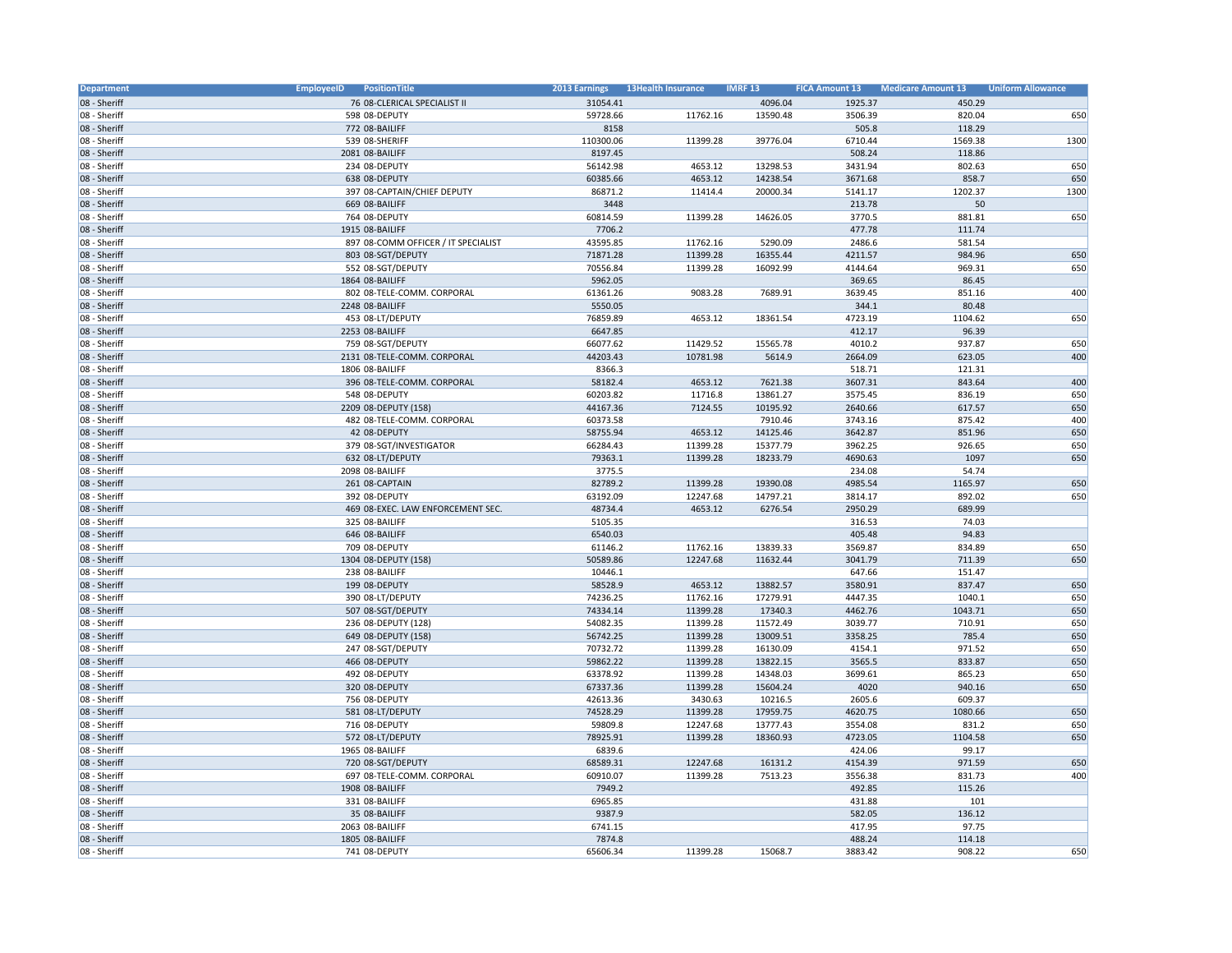| <b>Department</b>            | <b>EmployeeID</b><br>PositionTitle       | 2013 Earnings        | <b>13Health Insurance</b> | <b>IMRF 13</b> | <b>FICA Amount 13</b> | <b>Medicare Amount 13</b> | <b>Uniform Allowance</b> |
|------------------------------|------------------------------------------|----------------------|---------------------------|----------------|-----------------------|---------------------------|--------------------------|
| 08 - Sheriff                 | 76 08-CLERICAL SPECIALIST II             | 31054.41             |                           | 4096.04        | 1925.37               | 450.29                    |                          |
| 08 - Sheriff                 | 598 08-DEPUTY                            | 59728.66             | 11762.16                  | 13590.48       | 3506.39               | 820.04                    | 650                      |
| 08 - Sheriff                 | 772 08-BAILIFF                           | 8158                 |                           |                | 505.8                 | 118.29                    |                          |
| 08 - Sheriff                 | 539 08-SHERIFF                           | 110300.06            | 11399.28                  | 39776.04       | 6710.44               | 1569.38                   | 1300                     |
| 08 - Sheriff                 | 2081 08-BAILIFF                          | 8197.45              |                           |                | 508.24                | 118.86                    |                          |
| 08 - Sheriff                 | 234 08-DEPUTY                            | 56142.98             | 4653.12                   | 13298.53       | 3431.94               | 802.63                    | 650                      |
| 08 - Sheriff                 | 638 08-DEPUTY                            | 60385.66             | 4653.12                   | 14238.54       | 3671.68               | 858.7                     | 650                      |
| 08 - Sheriff                 | 397 08-CAPTAIN/CHIEF DEPUTY              | 86871.2              | 11414.4                   | 20000.34       | 5141.17               | 1202.37                   | 1300                     |
| 08 - Sheriff                 | 669 08-BAILIFF                           | 3448                 |                           |                | 213.78                | 50                        |                          |
| 08 - Sheriff                 | 764 08-DEPUTY                            | 60814.59             | 11399.28                  | 14626.05       | 3770.5                | 881.81                    | 650                      |
| 08 - Sheriff                 | 1915 08-BAILIFF                          | 7706.2               |                           |                | 477.78                | 111.74                    |                          |
| 08 - Sheriff                 | 897 08-COMM OFFICER / IT SPECIALIST      | 43595.85             | 11762.16                  | 5290.09        | 2486.6                | 581.54                    |                          |
| 08 - Sheriff                 | 803 08-SGT/DEPUTY                        | 71871.28             | 11399.28                  | 16355.44       | 4211.57               | 984.96                    | 650                      |
| 08 - Sheriff                 | 552 08-SGT/DEPUTY                        | 70556.84             | 11399.28                  | 16092.99       | 4144.64               | 969.31                    | 650                      |
| 08 - Sheriff                 | 1864 08-BAILIFF                          | 5962.05              |                           |                | 369.65                | 86.45                     |                          |
| 08 - Sheriff                 | 802 08-TELE-COMM. CORPORAL               | 61361.26             | 9083.28                   | 7689.91        | 3639.45               | 851.16                    | 400                      |
| 08 - Sheriff                 | 2248 08-BAILIFF                          | 5550.05              |                           |                | 344.1                 | 80.48                     |                          |
| 08 - Sheriff                 | 453 08-LT/DEPUTY                         | 76859.89             | 4653.12                   | 18361.54       | 4723.19               | 1104.62                   | 650                      |
| 08 - Sheriff                 | 2253 08-BAILIFF                          | 6647.85              |                           |                | 412.17                | 96.39                     |                          |
| 08 - Sheriff                 | 759 08-SGT/DEPUTY                        | 66077.62             | 11429.52                  | 15565.78       | 4010.2                | 937.87                    | 650                      |
| 08 - Sheriff                 | 2131 08-TELE-COMM. CORPORAL              | 44203.43             | 10781.98                  | 5614.9         | 2664.09               | 623.05                    | 400                      |
| 08 - Sheriff                 | 1806 08-BAILIFF                          | 8366.3               |                           |                | 518.71                | 121.31                    |                          |
| 08 - Sheriff                 | 396 08-TELE-COMM. CORPORAL               | 58182.4              | 4653.12                   | 7621.38        | 3607.31               | 843.64                    | 400                      |
| 08 - Sheriff                 | 548 08-DEPUTY                            | 60203.82             | 11716.8                   | 13861.27       | 3575.45               | 836.19                    | 650                      |
| 08 - Sheriff                 | 2209 08-DEPUTY (158)                     | 44167.36             | 7124.55                   | 10195.92       | 2640.66               | 617.57                    | 650                      |
| 08 - Sheriff                 | 482 08-TELE-COMM. CORPORAL               | 60373.58             |                           | 7910.46        | 3743.16               | 875.42                    | 400                      |
| 08 - Sheriff                 | 42 08-DEPUTY                             | 58755.94             | 4653.12                   | 14125.46       | 3642.87               | 851.96                    | 650                      |
| 08 - Sheriff                 | 379 08-SGT/INVESTIGATOR                  | 66284.43             | 11399.28                  | 15377.79       | 3962.25               | 926.65                    | 650                      |
| 08 - Sheriff                 | 632 08-LT/DEPUTY                         | 79363.1              | 11399.28                  | 18233.79       | 4690.63               | 1097                      | 650                      |
| 08 - Sheriff                 | 2098 08-BAILIFF                          | 3775.5               |                           |                | 234.08                | 54.74                     |                          |
| 08 - Sheriff                 | 261 08-CAPTAIN                           | 82789.2              | 11399.28                  | 19390.08       | 4985.54               | 1165.97                   | 650                      |
| 08 - Sheriff                 | 392 08-DEPUTY                            | 63192.09             | 12247.68                  | 14797.21       | 3814.17               | 892.02                    | 650                      |
| 08 - Sheriff                 | 469 08-EXEC. LAW ENFORCEMENT SEC.        | 48734.4              | 4653.12                   | 6276.54        | 2950.29               | 689.99                    |                          |
| 08 - Sheriff                 | 325 08-BAILIFF                           | 5105.35              |                           |                | 316.53                | 74.03                     |                          |
| 08 - Sheriff                 | 646 08-BAILIFF                           | 6540.03              |                           |                | 405.48                | 94.83                     |                          |
| 08 - Sheriff                 | 709 08-DEPUTY                            | 61146.2              | 11762.16                  | 13839.33       | 3569.87               | 834.89                    | 650                      |
| 08 - Sheriff                 | 1304 08-DEPUTY (158)                     | 50589.86             | 12247.68                  | 11632.44       | 3041.79               | 711.39                    | 650                      |
| 08 - Sheriff                 | 238 08-BAILIFF                           | 10446.1              |                           |                | 647.66                | 151.47                    |                          |
| 08 - Sheriff                 | 199 08-DEPUTY                            | 58528.9              | 4653.12                   | 13882.57       | 3580.91               | 837.47                    | 650                      |
| 08 - Sheriff                 | 390 08-LT/DEPUTY                         | 74236.25             | 11762.16                  | 17279.91       | 4447.35               | 1040.1                    | 650                      |
| 08 - Sheriff                 | 507 08-SGT/DEPUTY                        | 74334.14             | 11399.28                  | 17340.3        | 4462.76               | 1043.71                   | 650                      |
| 08 - Sheriff                 | 236 08-DEPUTY (128)                      | 54082.35             | 11399.28                  | 11572.49       | 3039.77               | 710.91                    |                          |
|                              |                                          | 56742.25             |                           | 13009.51       |                       | 785.4                     | 650<br>650               |
| 08 - Sheriff<br>08 - Sheriff | 649 08-DEPUTY (158)<br>247 08-SGT/DEPUTY | 70732.72             | 11399.28<br>11399.28      | 16130.09       | 3358.25<br>4154.1     | 971.52                    | 650                      |
| 08 - Sheriff                 | 466 08-DEPUTY                            | 59862.22             | 11399.28                  | 13822.15       | 3565.5                | 833.87                    | 650                      |
|                              |                                          |                      |                           | 14348.03       |                       | 865.23                    | 650                      |
| 08 - Sheriff                 | 492 08-DEPUTY                            | 63378.92             | 11399.28                  |                | 3699.61<br>4020       |                           | 650                      |
| 08 - Sheriff                 | 320 08-DEPUTY                            | 67337.36             | 11399.28<br>3430.63       | 15604.24       | 2605.6                | 940.16<br>609.37          |                          |
| 08 - Sheriff                 | 756 08-DEPUTY                            | 42613.36<br>74528.29 |                           | 10216.5        |                       | 1080.66                   | 650                      |
| 08 - Sheriff                 | 581 08-LT/DEPUTY                         |                      | 11399.28                  | 17959.75       | 4620.75               |                           |                          |
| 08 - Sheriff                 | 716 08-DEPUTY                            | 59809.8              | 12247.68                  | 13777.43       | 3554.08               | 831.2                     | 650                      |
| 08 - Sheriff                 | 572 08-LT/DEPUTY                         | 78925.91             | 11399.28                  | 18360.93       | 4723.05               | 1104.58                   | 650                      |
| 08 - Sheriff                 | 1965 08-BAILIFF                          | 6839.6               |                           |                | 424.06                | 99.17<br>971.59           |                          |
| 08 - Sheriff                 | 720 08-SGT/DEPUTY                        | 68589.31             | 12247.68                  | 16131.2        | 4154.39               |                           | 650                      |
| 08 - Sheriff                 | 697 08-TELE-COMM. CORPORAL               | 60910.07             | 11399.28                  | 7513.23        | 3556.38               | 831.73                    | 400                      |
| 08 - Sheriff                 | 1908 08-BAILIFF                          | 7949.2               |                           |                | 492.85                | 115.26                    |                          |
| 08 - Sheriff                 | 331 08-BAILIFF                           | 6965.85              |                           |                | 431.88                | 101                       |                          |
| 08 - Sheriff                 | 35 08-BAILIFF                            | 9387.9               |                           |                | 582.05                | 136.12                    |                          |
| 08 - Sheriff                 | 2063 08-BAILIFF                          | 6741.15              |                           |                | 417.95                | 97.75                     |                          |
| 08 - Sheriff                 | 1805 08-BAILIFF                          | 7874.8               |                           |                | 488.24                | 114.18                    |                          |
| 08 - Sheriff                 | 741 08-DEPUTY                            | 65606.34             | 11399.28                  | 15068.7        | 3883.42               | 908.22                    | 650                      |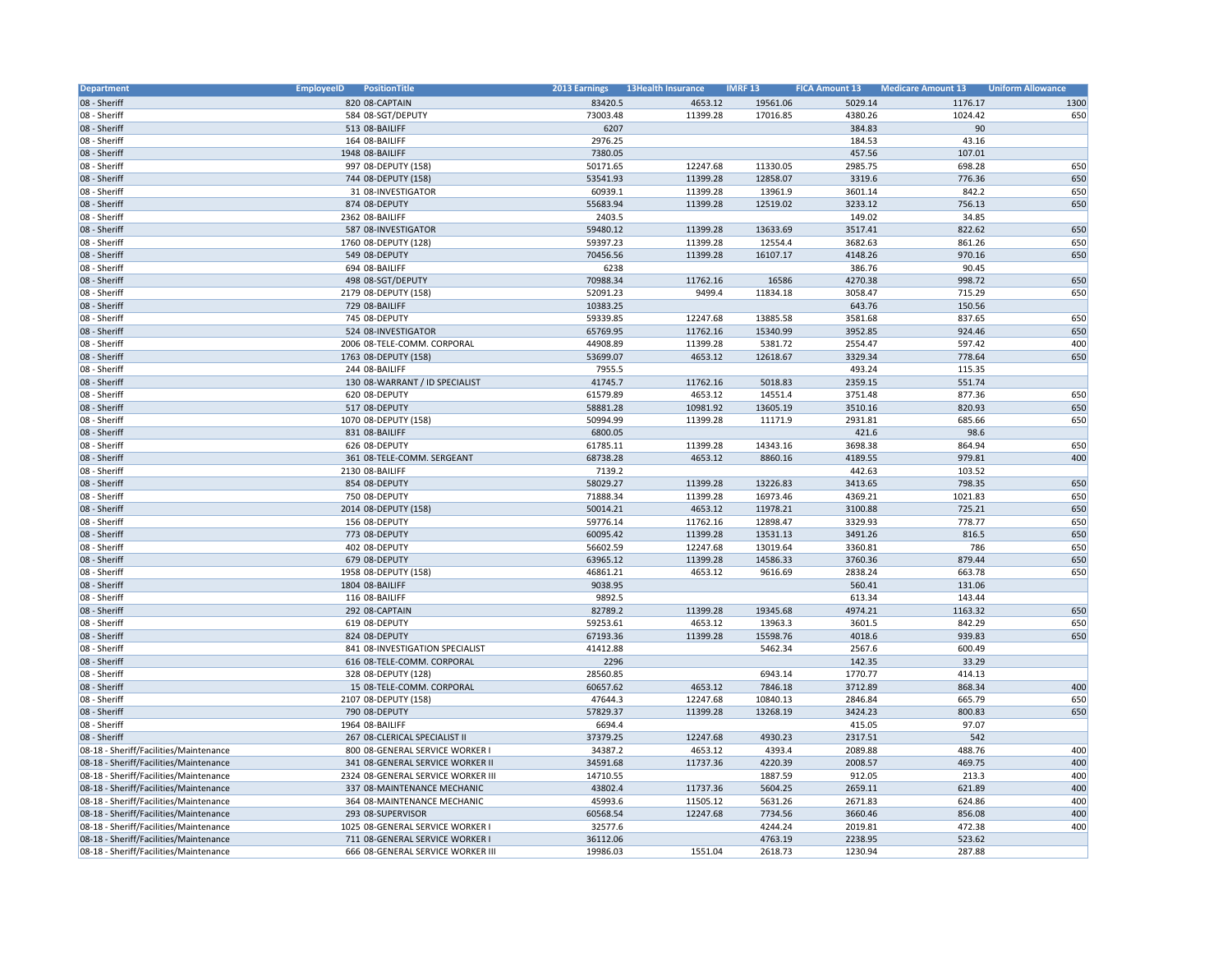| Department                             | PositionTitle<br><b>EmployeeID</b> | <b>2013 Earnings</b> | <b>13Health Insurance</b> | <b>IMRF 13</b> | <b>FICA Amount 13</b> | <b>Medicare Amount 13</b> | <b>Uniform Allowance</b> |
|----------------------------------------|------------------------------------|----------------------|---------------------------|----------------|-----------------------|---------------------------|--------------------------|
| 08 - Sheriff                           | 820 08-CAPTAIN                     | 83420.5              | 4653.12                   | 19561.06       | 5029.14               | 1176.17                   | 1300                     |
| 08 - Sheriff                           | 584 08-SGT/DEPUTY                  | 73003.48             | 11399.28                  | 17016.85       | 4380.26               | 1024.42                   | 650                      |
| 08 - Sheriff                           | 513 08-BAILIFF                     | 6207                 |                           |                | 384.83                | 90                        |                          |
| 08 - Sheriff                           | 164 08-BAILIFF                     | 2976.25              |                           |                | 184.53                | 43.16                     |                          |
| 08 - Sheriff                           | 1948 08-BAILIFF                    | 7380.05              |                           |                | 457.56                | 107.01                    |                          |
| 08 - Sheriff                           | 997 08-DEPUTY (158)                | 50171.65             | 12247.68                  | 11330.05       | 2985.75               | 698.28                    | 650                      |
| 08 - Sheriff                           | 744 08-DEPUTY (158)                | 53541.93             | 11399.28                  | 12858.07       | 3319.6                | 776.36                    | 650                      |
| 08 - Sheriff                           | 31 08-INVESTIGATOR                 | 60939.1              | 11399.28                  | 13961.9        | 3601.14               | 842.2                     | 650                      |
| 08 - Sheriff                           | 874 08-DEPUTY                      | 55683.94             | 11399.28                  | 12519.02       | 3233.12               | 756.13                    | 650                      |
| 08 - Sheriff                           | 2362 08-BAILIFF                    | 2403.5               |                           |                | 149.02                | 34.85                     |                          |
| 08 - Sheriff                           | 587 08-INVESTIGATOR                | 59480.12             | 11399.28                  | 13633.69       | 3517.41               | 822.62                    | 650                      |
| 08 - Sheriff                           | 1760 08-DEPUTY (128)               | 59397.23             | 11399.28                  | 12554.4        | 3682.63               | 861.26                    | 650                      |
| 08 - Sheriff                           | 549 08-DEPUTY                      | 70456.56             | 11399.28                  | 16107.17       | 4148.26               | 970.16                    | 650                      |
| 08 - Sheriff                           | 694 08-BAILIFF                     | 6238                 |                           |                | 386.76                | 90.45                     |                          |
| 08 - Sheriff                           | 498 08-SGT/DEPUTY                  | 70988.34             | 11762.16                  | 16586          | 4270.38               | 998.72                    | 650                      |
| 08 - Sheriff                           | 2179 08-DEPUTY (158)               | 52091.23             | 9499.4                    | 11834.18       | 3058.47               | 715.29                    | 650                      |
| 08 - Sheriff                           | 729 08-BAILIFF                     | 10383.25             |                           |                | 643.76                | 150.56                    |                          |
| 08 - Sheriff                           | 745 08-DEPUTY                      |                      | 12247.68                  | 13885.58       | 3581.68               | 837.65                    | 650                      |
| 08 - Sheriff                           | 524 08-INVESTIGATOR                | 59339.85<br>65769.95 | 11762.16                  | 15340.99       | 3952.85               | 924.46                    | 650                      |
|                                        |                                    |                      |                           |                |                       |                           |                          |
| 08 - Sheriff                           | 2006 08-TELE-COMM. CORPORAL        | 44908.89             | 11399.28                  | 5381.72        | 2554.47               | 597.42                    | 400                      |
| 08 - Sheriff                           | 1763 08-DEPUTY (158)               | 53699.07             | 4653.12                   | 12618.67       | 3329.34               | 778.64                    | 650                      |
| 08 - Sheriff                           | 244 08-BAILIFF                     | 7955.5               |                           |                | 493.24                | 115.35                    |                          |
| 08 - Sheriff                           | 130 08-WARRANT / ID SPECIALIST     | 41745.7              | 11762.16                  | 5018.83        | 2359.15               | 551.74                    |                          |
| 08 - Sheriff                           | 620 08-DEPUTY                      | 61579.89             | 4653.12                   | 14551.4        | 3751.48               | 877.36                    | 650                      |
| 08 - Sheriff                           | 517 08-DEPUTY                      | 58881.28             | 10981.92                  | 13605.19       | 3510.16               | 820.93                    | 650                      |
| 08 - Sheriff                           | 1070 08-DEPUTY (158)               | 50994.99             | 11399.28                  | 11171.9        | 2931.81               | 685.66                    | 650                      |
| 08 - Sheriff                           | 831 08-BAILIFF                     | 6800.05              |                           |                | 421.6                 | 98.6                      |                          |
| 08 - Sheriff                           | 626 08-DEPUTY                      | 61785.11             | 11399.28                  | 14343.16       | 3698.38               | 864.94                    | 650                      |
| 08 - Sheriff                           | 361 08-TELE-COMM. SERGEANT         | 68738.28             | 4653.12                   | 8860.16        | 4189.55               | 979.81                    | 400                      |
| 08 - Sheriff                           | 2130 08-BAILIFF                    | 7139.2               |                           |                | 442.63                | 103.52                    |                          |
| 08 - Sheriff                           | 854 08-DEPUTY                      | 58029.27             | 11399.28                  | 13226.83       | 3413.65               | 798.35                    | 650                      |
| 08 - Sheriff                           | 750 08-DEPUTY                      | 71888.34             | 11399.28                  | 16973.46       | 4369.21               | 1021.83                   | 650                      |
| 08 - Sheriff                           | 2014 08-DEPUTY (158)               | 50014.21             | 4653.12                   | 11978.21       | 3100.88               | 725.21                    | 650                      |
| 08 - Sheriff                           | 156 08-DEPUTY                      | 59776.14             | 11762.16                  | 12898.47       | 3329.93               | 778.77                    | 650                      |
| 08 - Sheriff                           | 773 08-DEPUTY                      | 60095.42             | 11399.28                  | 13531.13       | 3491.26               | 816.5                     | 650                      |
| 08 - Sheriff                           | 402 08-DEPUTY                      | 56602.59             | 12247.68                  | 13019.64       | 3360.81               | 786                       | 650                      |
| 08 - Sheriff                           | 679 08-DEPUTY                      | 63965.12             | 11399.28                  | 14586.33       | 3760.36               | 879.44                    | 650                      |
| 08 - Sheriff                           | 1958 08-DEPUTY (158)               | 46861.21             | 4653.12                   | 9616.69        | 2838.24               | 663.78                    | 650                      |
| 08 - Sheriff                           | 1804 08-BAILIFF                    | 9038.95              |                           |                | 560.41                | 131.06                    |                          |
| 08 - Sheriff                           | 116 08-BAILIFF                     | 9892.5               |                           |                | 613.34                | 143.44                    |                          |
| 08 - Sheriff                           | 292 08-CAPTAIN                     | 82789.2              | 11399.28                  | 19345.68       | 4974.21               | 1163.32                   | 650                      |
| 08 - Sheriff                           | 619 08-DEPUTY                      | 59253.61             | 4653.12                   | 13963.3        | 3601.5                | 842.29                    | 650                      |
| 08 - Sheriff                           | 824 08-DEPUTY                      | 67193.36             | 11399.28                  | 15598.76       | 4018.6                | 939.83                    | 650                      |
| 08 - Sheriff                           | 841 08-INVESTIGATION SPECIALIST    | 41412.88             |                           | 5462.34        | 2567.6                | 600.49                    |                          |
| 08 - Sheriff                           | 616 08-TELE-COMM. CORPORAL         | 2296                 |                           |                | 142.35                | 33.29                     |                          |
| 08 - Sheriff                           | 328 08-DEPUTY (128)                | 28560.85             |                           | 6943.14        | 1770.77               | 414.13                    |                          |
| 08 - Sheriff                           | 15 08-TELE-COMM, CORPORAL          | 60657.62             | 4653.12                   | 7846.18        | 3712.89               | 868.34                    | 400                      |
| 08 - Sheriff                           | 2107 08-DEPUTY (158)               | 47644.3              | 12247.68                  | 10840.13       | 2846.84               | 665.79                    | 650                      |
| 08 - Sheriff                           | 790 08-DEPUTY                      | 57829.37             | 11399.28                  | 13268.19       | 3424.23               | 800.83                    | 650                      |
| 08 - Sheriff                           | 1964 08-BAILIFF                    | 6694.4               |                           |                | 415.05                | 97.07                     |                          |
| 08 - Sheriff                           | 267 08-CLERICAL SPECIALIST II      | 37379.25             | 12247.68                  | 4930.23        | 2317.51               | 542                       |                          |
| 08-18 - Sheriff/Facilities/Maintenance | 800 08-GENERAL SERVICE WORKER I    | 34387.2              | 4653.12                   | 4393.4         | 2089.88               | 488.76                    | 400                      |
| 08-18 - Sheriff/Facilities/Maintenance | 341 08-GENERAL SERVICE WORKER II   | 34591.68             | 11737.36                  | 4220.39        | 2008.57               | 469.75                    | 400                      |
| 08-18 - Sheriff/Facilities/Maintenance | 2324 08-GENERAL SERVICE WORKER III | 14710.55             |                           | 1887.59        | 912.05                | 213.3                     | 400                      |
| 08-18 - Sheriff/Facilities/Maintenance | 337 08-MAINTENANCE MECHANIC        | 43802.4              | 11737.36                  | 5604.25        | 2659.11               | 621.89                    | 400                      |
| 08-18 - Sheriff/Facilities/Maintenance | 364 08-MAINTENANCE MECHANIC        | 45993.6              | 11505.12                  | 5631.26        | 2671.83               | 624.86                    | 400                      |
| 08-18 - Sheriff/Facilities/Maintenance | 293 08-SUPERVISOR                  | 60568.54             | 12247.68                  | 7734.56        | 3660.46               | 856.08                    | 400                      |
| 08-18 - Sheriff/Facilities/Maintenance | 1025 08-GENERAL SERVICE WORKER I   | 32577.6              |                           | 4244.24        | 2019.81               | 472.38                    | 400                      |
| 08-18 - Sheriff/Facilities/Maintenance | 711 08-GENERAL SERVICE WORKER I    | 36112.06             |                           | 4763.19        | 2238.95               | 523.62                    |                          |
| 08-18 - Sheriff/Facilities/Maintenance | 666 08-GENERAL SERVICE WORKER III  | 19986.03             | 1551.04                   | 2618.73        | 1230.94               | 287.88                    |                          |
|                                        |                                    |                      |                           |                |                       |                           |                          |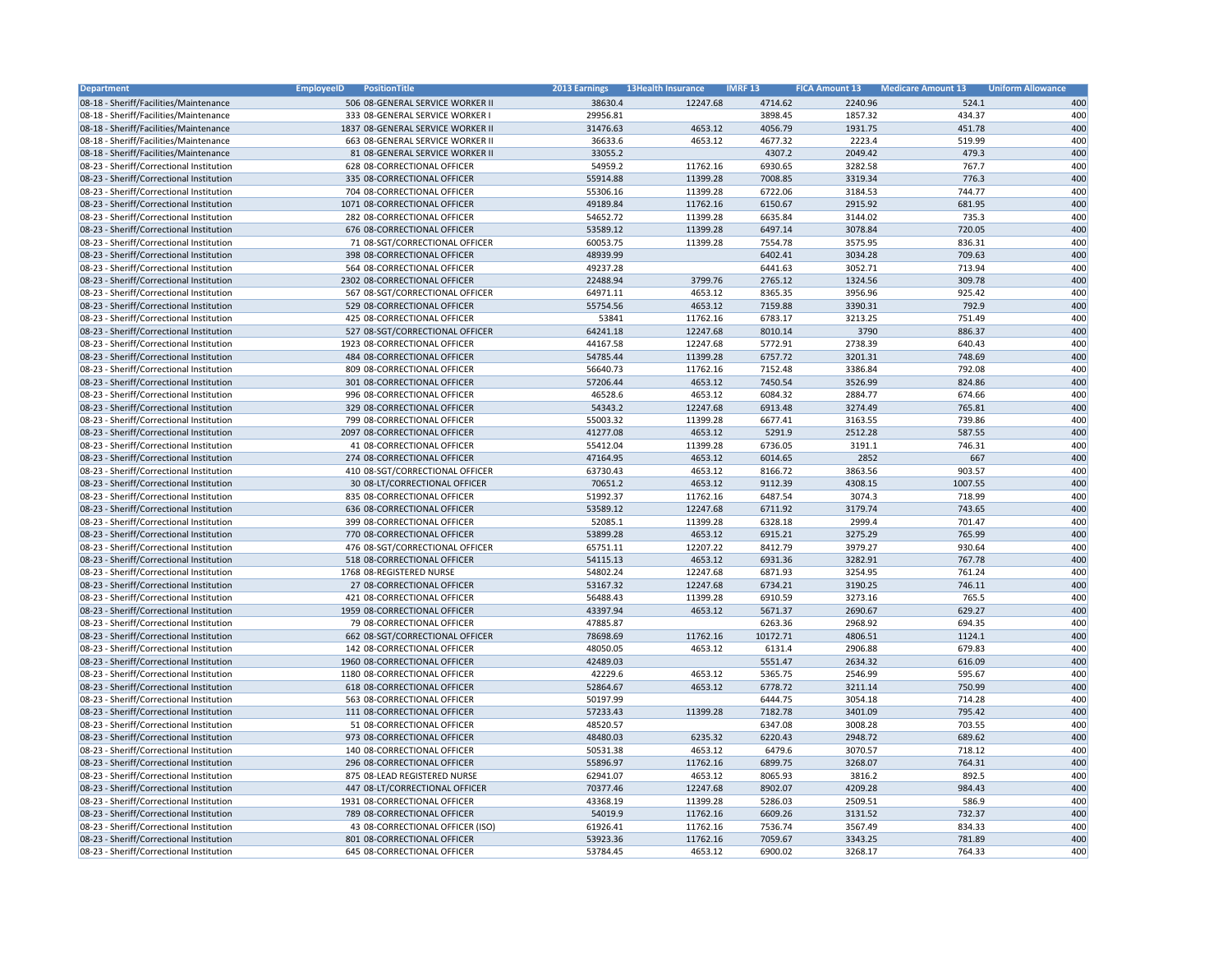| Department                               | <b>EmployeeID</b><br>PositionTitle                     | 2013 Earnings        | <b>13Health Insurance</b> | <b>IMRF 13</b>      | <b>FICA Amount 13</b> | <b>Medicare Amount 13</b> | <b>Uniform Allowance</b> |
|------------------------------------------|--------------------------------------------------------|----------------------|---------------------------|---------------------|-----------------------|---------------------------|--------------------------|
| 08-18 - Sheriff/Facilities/Maintenance   | 506 08-GENERAL SERVICE WORKER II                       | 38630.4              | 12247.68                  | 4714.62             | 2240.96               | 524.1                     | 400                      |
| 08-18 - Sheriff/Facilities/Maintenance   | 333 08-GENERAL SERVICE WORKER I                        | 29956.81             |                           | 3898.45             | 1857.32               | 434.37                    | 400                      |
| 08-18 - Sheriff/Facilities/Maintenance   | 1837 08-GENERAL SERVICE WORKER II                      | 31476.63             | 4653.12                   | 4056.79             | 1931.75               | 451.78                    | 400                      |
| 08-18 - Sheriff/Facilities/Maintenance   | 663 08-GENERAL SERVICE WORKER II                       | 36633.6              | 4653.12                   | 4677.32             | 2223.4                | 519.99                    | 400                      |
| 08-18 - Sheriff/Facilities/Maintenance   | 81 08-GENERAL SERVICE WORKER II                        | 33055.2              |                           | 4307.2              | 2049.42               | 479.3                     | 400                      |
| 08-23 - Sheriff/Correctional Institution | 628 08-CORRECTIONAL OFFICER                            | 54959.2              | 11762.16                  | 6930.65             | 3282.58               | 767.7                     | 400                      |
| 08-23 - Sheriff/Correctional Institution | 335 08-CORRECTIONAL OFFICER                            | 55914.88             | 11399.28                  | 7008.85             | 3319.34               | 776.3                     | 400                      |
| 08-23 - Sheriff/Correctional Institution | 704 08-CORRECTIONAL OFFICER                            | 55306.16             | 11399.28                  | 6722.06             | 3184.53               | 744.77                    | 400                      |
| 08-23 - Sheriff/Correctional Institution | 1071 08-CORRECTIONAL OFFICER                           | 49189.84             | 11762.16                  | 6150.67             | 2915.92               | 681.95                    | 400                      |
| 08-23 - Sheriff/Correctional Institution | 282 08-CORRECTIONAL OFFICER                            | 54652.72             | 11399.28                  | 6635.84             | 3144.02               | 735.3                     | 400                      |
| 08-23 - Sheriff/Correctional Institution | 676 08-CORRECTIONAL OFFICER                            | 53589.12             | 11399.28                  | 6497.14             | 3078.84               | 720.05                    | 400                      |
| 08-23 - Sheriff/Correctional Institution | 71 08-SGT/CORRECTIONAL OFFICER                         | 60053.75             | 11399.28                  | 7554.78             | 3575.95               | 836.31                    | 400                      |
| 08-23 - Sheriff/Correctional Institution | 398 08-CORRECTIONAL OFFICER                            | 48939.99             |                           | 6402.41             | 3034.28               | 709.63                    | 400                      |
| 08-23 - Sheriff/Correctional Institution | 564 08-CORRECTIONAL OFFICER                            | 49237.28             |                           | 6441.63             | 3052.71               | 713.94                    | 400                      |
| 08-23 - Sheriff/Correctional Institution | 2302 08-CORRECTIONAL OFFICER                           | 22488.94             | 3799.76                   | 2765.12             | 1324.56               | 309.78                    | 400                      |
| 08-23 - Sheriff/Correctional Institution | 567 08-SGT/CORRECTIONAL OFFICER                        | 64971.11             | 4653.12                   | 8365.35             | 3956.96               | 925.42                    | 400                      |
| 08-23 - Sheriff/Correctional Institution | 529 08-CORRECTIONAL OFFICER                            | 55754.56             | 4653.12                   | 7159.88             | 3390.31               | 792.9                     | 400                      |
| 08-23 - Sheriff/Correctional Institution | 425 08-CORRECTIONAL OFFICER                            | 53841                | 11762.16                  | 6783.17             | 3213.25               | 751.49                    | 400                      |
| 08-23 - Sheriff/Correctional Institution | 527 08-SGT/CORRECTIONAL OFFICER                        | 64241.18             | 12247.68                  | 8010.14             | 3790                  | 886.37                    | 400                      |
| 08-23 - Sheriff/Correctional Institution | 1923 08-CORRECTIONAL OFFICER                           | 44167.58             | 12247.68                  | 5772.91             | 2738.39               | 640.43                    | 400                      |
| 08-23 - Sheriff/Correctional Institution | 484 08-CORRECTIONAL OFFICER                            | 54785.44             | 11399.28                  | 6757.72             | 3201.31               | 748.69                    | 400                      |
| 08-23 - Sheriff/Correctional Institution | 809 08-CORRECTIONAL OFFICER                            | 56640.73             | 11762.16                  | 7152.48             | 3386.84               | 792.08                    | 400                      |
| 08-23 - Sheriff/Correctional Institution | 301 08-CORRECTIONAL OFFICER                            | 57206.44             | 4653.12                   | 7450.54             | 3526.99               | 824.86                    | 400                      |
| 08-23 - Sheriff/Correctional Institution | 996 08-CORRECTIONAL OFFICER                            | 46528.6              | 4653.12                   | 6084.32             | 2884.77               | 674.66                    | 400                      |
| 08-23 - Sheriff/Correctional Institution | 329 08-CORRECTIONAL OFFICER                            | 54343.2              | 12247.68                  | 6913.48             | 3274.49               | 765.81                    | 400                      |
| 08-23 - Sheriff/Correctional Institution | 799 08-CORRECTIONAL OFFICER                            | 55003.32             | 11399.28                  | 6677.41             | 3163.55               | 739.86                    | 400                      |
| 08-23 - Sheriff/Correctional Institution | 2097 08-CORRECTIONAL OFFICER                           | 41277.08             | 4653.12                   | 5291.9              | 2512.28               | 587.55                    | 400                      |
| 08-23 - Sheriff/Correctional Institution | 41 08-CORRECTIONAL OFFICER                             | 55412.04             | 11399.28                  | 6736.05             | 3191.1                | 746.31                    | 400                      |
| 08-23 - Sheriff/Correctional Institution | 274 08-CORRECTIONAL OFFICER                            | 47164.95             | 4653.12                   | 6014.65             | 2852                  | 667                       | 400                      |
| 08-23 - Sheriff/Correctional Institution | 410 08-SGT/CORRECTIONAL OFFICER                        | 63730.43             | 4653.12                   | 8166.72             | 3863.56               | 903.57                    | 400                      |
| 08-23 - Sheriff/Correctional Institution | 30 08-LT/CORRECTIONAL OFFICER                          | 70651.2              | 4653.12                   | 9112.39             | 4308.15               | 1007.55                   | 400                      |
| 08-23 - Sheriff/Correctional Institution | 835 08-CORRECTIONAL OFFICER                            | 51992.37             | 11762.16                  | 6487.54             | 3074.3                | 718.99                    | 400                      |
| 08-23 - Sheriff/Correctional Institution | 636 08-CORRECTIONAL OFFICER                            | 53589.12             | 12247.68                  | 6711.92             | 3179.74               | 743.65                    | 400                      |
| 08-23 - Sheriff/Correctional Institution | 399 08-CORRECTIONAL OFFICER                            | 52085.1              | 11399.28                  | 6328.18             | 2999.4                | 701.47                    | 400                      |
| 08-23 - Sheriff/Correctional Institution | 770 08-CORRECTIONAL OFFICER                            | 53899.28             | 4653.12                   | 6915.21             | 3275.29               | 765.99                    | 400                      |
| 08-23 - Sheriff/Correctional Institution | 476 08-SGT/CORRECTIONAL OFFICER                        | 65751.11             | 12207.22                  | 8412.79             | 3979.27               | 930.64                    | 400                      |
|                                          | 518 08-CORRECTIONAL OFFICER                            | 54115.13             | 4653.12                   | 6931.36             | 3282.91               | 767.78                    | 400                      |
| 08-23 - Sheriff/Correctional Institution |                                                        |                      |                           |                     |                       |                           |                          |
| 08-23 - Sheriff/Correctional Institution | 1768 08-REGISTERED NURSE<br>27 08-CORRECTIONAL OFFICER | 54802.24             | 12247.68<br>12247.68      | 6871.93             | 3254.95               | 761.24<br>746.11          | 400                      |
| 08-23 - Sheriff/Correctional Institution |                                                        | 53167.32<br>56488.43 | 11399.28                  | 6734.21<br>6910.59  | 3190.25<br>3273.16    | 765.5                     | 400<br>400               |
| 08-23 - Sheriff/Correctional Institution | 421 08-CORRECTIONAL OFFICER                            |                      | 4653.12                   |                     |                       | 629.27                    | 400                      |
| 08-23 - Sheriff/Correctional Institution | 1959 08-CORRECTIONAL OFFICER                           | 43397.94             |                           | 5671.37             | 2690.67               |                           | 400                      |
| 08-23 - Sheriff/Correctional Institution | 79 08-CORRECTIONAL OFFICER                             | 47885.87             |                           | 6263.36<br>10172.71 | 2968.92<br>4806.51    | 694.35<br>1124.1          | 400                      |
| 08-23 - Sheriff/Correctional Institution | 662 08-SGT/CORRECTIONAL OFFICER                        | 78698.69<br>48050.05 | 11762.16<br>4653.12       | 6131.4              | 2906.88               | 679.83                    | 400                      |
| 08-23 - Sheriff/Correctional Institution | 142 08-CORRECTIONAL OFFICER                            | 42489.03             |                           |                     |                       |                           |                          |
| 08-23 - Sheriff/Correctional Institution | 1960 08-CORRECTIONAL OFFICER                           |                      |                           | 5551.47             | 2634.32               | 616.09                    | 400                      |
| 08-23 - Sheriff/Correctional Institution | 1180 08-CORRECTIONAL OFFICER                           | 42229.6              | 4653.12                   | 5365.75             | 2546.99               | 595.67                    | 400                      |
| 08-23 - Sheriff/Correctional Institution | 618 08-CORRECTIONAL OFFICER                            | 52864.67             | 4653.12                   | 6778.72             | 3211.14               | 750.99                    | 400                      |
| 08-23 - Sheriff/Correctional Institution | 563 08-CORRECTIONAL OFFICER                            | 50197.99             |                           | 6444.75             | 3054.18               | 714.28                    | 400                      |
| 08-23 - Sheriff/Correctional Institution | 111 08-CORRECTIONAL OFFICER                            | 57233.43             | 11399.28                  | 7182.78             | 3401.09               | 795.42                    | 400                      |
| 08-23 - Sheriff/Correctional Institution | 51 08-CORRECTIONAL OFFICER                             | 48520.57             |                           | 6347.08             | 3008.28               | 703.55                    | 400                      |
| 08-23 - Sheriff/Correctional Institution | 973 08-CORRECTIONAL OFFICER                            | 48480.03             | 6235.32                   | 6220.43             | 2948.72               | 689.62                    | 400                      |
| 08-23 - Sheriff/Correctional Institution | 140 08-CORRECTIONAL OFFICER                            | 50531.38             | 4653.12                   | 6479.6              | 3070.57               | 718.12                    | 400                      |
| 08-23 - Sheriff/Correctional Institution | 296 08-CORRECTIONAL OFFICER                            | 55896.97             | 11762.16                  | 6899.75             | 3268.07               | 764.31                    | 400                      |
| 08-23 - Sheriff/Correctional Institution | 875 08-LEAD REGISTERED NURSE                           | 62941.07             | 4653.12                   | 8065.93             | 3816.2                | 892.5                     | 400                      |
| 08-23 - Sheriff/Correctional Institution | 447 08-LT/CORRECTIONAL OFFICER                         | 70377.46             | 12247.68                  | 8902.07             | 4209.28               | 984.43                    | 400                      |
| 08-23 - Sheriff/Correctional Institution | 1931 08-CORRECTIONAL OFFICER                           | 43368.19             | 11399.28                  | 5286.03             | 2509.51               | 586.9                     | 400                      |
| 08-23 - Sheriff/Correctional Institution | 789 08-CORRECTIONAL OFFICER                            | 54019.9              | 11762.16                  | 6609.26             | 3131.52               | 732.37                    | 400                      |
| 08-23 - Sheriff/Correctional Institution | 43 08-CORRECTIONAL OFFICER (ISO)                       | 61926.41             | 11762.16                  | 7536.74             | 3567.49               | 834.33                    | 400                      |
| 08-23 - Sheriff/Correctional Institution | 801 08-CORRECTIONAL OFFICER                            | 53923.36             | 11762.16                  | 7059.67             | 3343.25               | 781.89                    | 400                      |
| 08-23 - Sheriff/Correctional Institution | 645 08-CORRECTIONAL OFFICER                            | 53784.45             | 4653.12                   | 6900.02             | 3268.17               | 764.33                    | 400                      |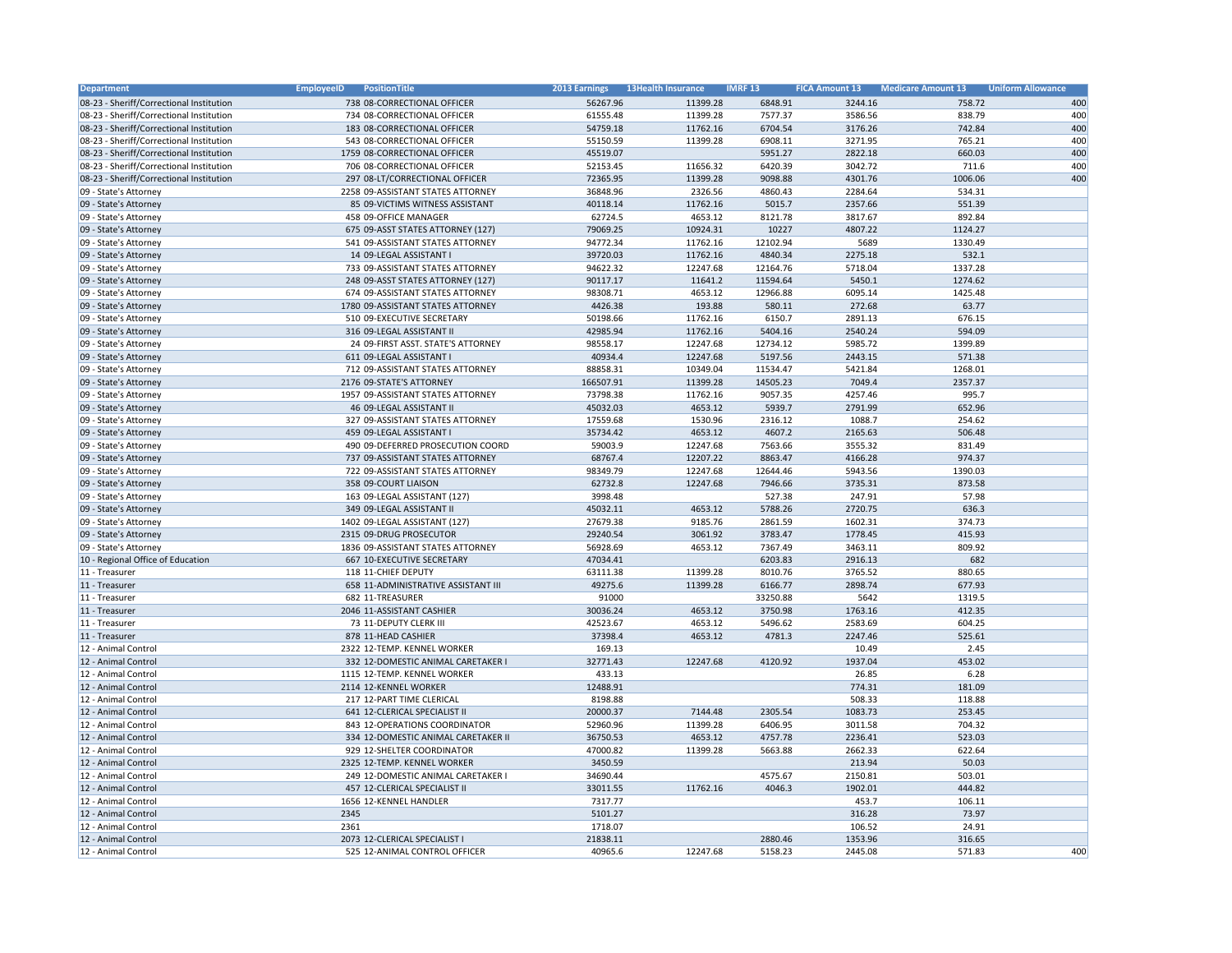| Department                               | <b>EmployeeID</b><br>PositionTitle                           | 2013 Earnings        | <b>13Health Insurance</b> | <b>IMRF13</b>       | <b>FICA Amount 13</b> | <b>Medicare Amount 13</b> | <b>Uniform Allowance</b> |
|------------------------------------------|--------------------------------------------------------------|----------------------|---------------------------|---------------------|-----------------------|---------------------------|--------------------------|
| 08-23 - Sheriff/Correctional Institution | 738 08-CORRECTIONAL OFFICER                                  | 56267.96             | 11399.28                  | 6848.91             | 3244.16               | 758.72                    | 400                      |
| 08-23 - Sheriff/Correctional Institution | 734 08-CORRECTIONAL OFFICER                                  | 61555.48             | 11399.28                  | 7577.37             | 3586.56               | 838.79                    | 400                      |
| 08-23 - Sheriff/Correctional Institution | 183 08-CORRECTIONAL OFFICER                                  | 54759.18             | 11762.16                  | 6704.54             | 3176.26               | 742.84                    | 400                      |
| 08-23 - Sheriff/Correctional Institution | 543 08-CORRECTIONAL OFFICER                                  | 55150.59             | 11399.28                  | 6908.11             | 3271.95               | 765.21                    | 400                      |
| 08-23 - Sheriff/Correctional Institution | 1759 08-CORRECTIONAL OFFICER                                 | 45519.07             |                           | 5951.27             | 2822.18               | 660.03                    | 400                      |
| 08-23 - Sheriff/Correctional Institution | 706 08-CORRECTIONAL OFFICER                                  | 52153.45             | 11656.32                  | 6420.39             | 3042.72               | 711.6                     | 400                      |
| 08-23 - Sheriff/Correctional Institution | 297 08-LT/CORRECTIONAL OFFICER                               | 72365.95             | 11399.28                  | 9098.88             | 4301.76               | 1006.06                   | 400                      |
| 09 - State's Attorney                    | 2258 09-ASSISTANT STATES ATTORNEY                            | 36848.96             | 2326.56                   | 4860.43             | 2284.64               | 534.31                    |                          |
| 09 - State's Attorney                    | 85 09-VICTIMS WITNESS ASSISTANT                              | 40118.14             | 11762.16                  | 5015.7              | 2357.66               | 551.39                    |                          |
| 09 - State's Attorney                    | 458 09-OFFICE MANAGER                                        | 62724.5              | 4653.12                   | 8121.78             | 3817.67               | 892.84                    |                          |
| 09 - State's Attorney                    | 675 09-ASST STATES ATTORNEY (127)                            | 79069.25             | 10924.31                  | 10227               | 4807.22               | 1124.27                   |                          |
| 09 - State's Attorney                    | 541 09-ASSISTANT STATES ATTORNEY                             | 94772.34             | 11762.16                  | 12102.94            | 5689                  | 1330.49                   |                          |
| 09 - State's Attorney                    | 14 09-LEGAL ASSISTANT I                                      | 39720.03             | 11762.16                  | 4840.34             | 2275.18               | 532.1                     |                          |
| 09 - State's Attorney                    | 733 09-ASSISTANT STATES ATTORNEY                             | 94622.32             | 12247.68                  | 12164.76            | 5718.04               | 1337.28                   |                          |
| 09 - State's Attorney                    | 248 09-ASST STATES ATTORNEY (127)                            | 90117.17             | 11641.2                   | 11594.64            | 5450.1                | 1274.62                   |                          |
| 09 - State's Attorney                    | 674 09-ASSISTANT STATES ATTORNEY                             | 98308.71             | 4653.12                   | 12966.88            | 6095.14               | 1425.48                   |                          |
| 09 - State's Attorney                    | 1780 09-ASSISTANT STATES ATTORNEY                            | 4426.38              | 193.88                    | 580.11              | 272.68                | 63.77                     |                          |
| 09 - State's Attorney                    | 510 09-EXECUTIVE SECRETARY                                   | 50198.66             | 11762.16                  | 6150.7              | 2891.13               | 676.15                    |                          |
| 09 - State's Attorney                    | 316 09-LEGAL ASSISTANT II                                    | 42985.94             | 11762.16                  | 5404.16             | 2540.24               | 594.09                    |                          |
| 09 - State's Attorney                    | 24 09-FIRST ASST. STATE'S ATTORNEY                           | 98558.17             | 12247.68                  | 12734.12            | 5985.72               | 1399.89                   |                          |
| 09 - State's Attorney                    | 611 09-LEGAL ASSISTANT I                                     | 40934.4              | 12247.68                  | 5197.56             | 2443.15               | 571.38                    |                          |
| 09 - State's Attorney                    | 712 09-ASSISTANT STATES ATTORNEY                             | 88858.31             | 10349.04                  | 11534.47            | 5421.84               | 1268.01                   |                          |
| 09 - State's Attorney                    | 2176 09-STATE'S ATTORNEY                                     | 166507.91            | 11399.28                  | 14505.23            | 7049.4                | 2357.37                   |                          |
| 09 - State's Attorney                    | 1957 09-ASSISTANT STATES ATTORNEY                            | 73798.38             | 11762.16                  | 9057.35             | 4257.46               | 995.7                     |                          |
| 09 - State's Attorney                    | 46 09-LEGAL ASSISTANT II                                     | 45032.03             | 4653.12                   | 5939.7              | 2791.99               | 652.96                    |                          |
| 09 - State's Attorney                    | 327 09-ASSISTANT STATES ATTORNEY                             | 17559.68             | 1530.96                   | 2316.12             | 1088.7                | 254.62                    |                          |
| 09 - State's Attorney                    | 459 09-LEGAL ASSISTANT I                                     | 35734.42             | 4653.12                   | 4607.2              | 2165.63               | 506.48                    |                          |
| 09 - State's Attorney                    | 490 09-DEFERRED PROSECUTION COORD                            | 59003.9              | 12247.68                  | 7563.66             | 3555.32               | 831.49                    |                          |
| 09 - State's Attorney                    | 737 09-ASSISTANT STATES ATTORNEY                             | 68767.4              | 12207.22                  | 8863.47             | 4166.28               | 974.37                    |                          |
| 09 - State's Attorney                    | 722 09-ASSISTANT STATES ATTORNEY                             | 98349.79             | 12247.68                  | 12644.46            | 5943.56               | 1390.03                   |                          |
| 09 - State's Attorney                    | 358 09-COURT LIAISON                                         | 62732.8              | 12247.68                  | 7946.66             | 3735.31               | 873.58                    |                          |
| 09 - State's Attorney                    | 163 09-LEGAL ASSISTANT (127)                                 | 3998.48              |                           | 527.38              | 247.91                | 57.98                     |                          |
| 09 - State's Attorney                    | 349 09-LEGAL ASSISTANT II                                    | 45032.11             | 4653.12                   | 5788.26             | 2720.75               | 636.3                     |                          |
| 09 - State's Attorney                    | 1402 09-LEGAL ASSISTANT (127)                                | 27679.38             | 9185.76                   | 2861.59             | 1602.31               | 374.73                    |                          |
|                                          |                                                              |                      |                           |                     |                       |                           |                          |
| 09 - State's Attorney                    | 2315 09-DRUG PROSECUTOR<br>1836 09-ASSISTANT STATES ATTORNEY | 29240.54<br>56928.69 | 3061.92<br>4653.12        | 3783.47<br>7367.49  | 1778.45<br>3463.11    | 415.93<br>809.92          |                          |
| 09 - State's Attorney                    | 667 10-EXECUTIVE SECRETARY                                   | 47034.41             |                           | 6203.83             | 2916.13               | 682                       |                          |
| 10 - Regional Office of Education        |                                                              |                      |                           |                     |                       |                           |                          |
| 11 - Treasurer                           | 118 11-CHIEF DEPUTY                                          | 63111.38             | 11399.28                  | 8010.76             | 3765.52               | 880.65                    |                          |
| 11 - Treasurer                           | 658 11-ADMINISTRATIVE ASSISTANT III<br>682 11-TREASURER      | 49275.6              | 11399.28                  | 6166.77             | 2898.74               | 677.93                    |                          |
| 11 - Treasurer                           |                                                              | 91000<br>30036.24    | 4653.12                   | 33250.88<br>3750.98 | 5642<br>1763.16       | 1319.5<br>412.35          |                          |
| 11 - Treasurer                           | 2046 11-ASSISTANT CASHIER<br>73 11-DEPUTY CLERK III          |                      | 4653.12                   | 5496.62             |                       | 604.25                    |                          |
| 11 - Treasurer                           | 878 11-HEAD CASHIER                                          | 42523.67             |                           |                     | 2583.69               |                           |                          |
| 11 - Treasurer<br>12 - Animal Control    | 2322 12-TEMP. KENNEL WORKER                                  | 37398.4<br>169.13    | 4653.12                   | 4781.3              | 2247.46<br>10.49      | 525.61<br>2.45            |                          |
|                                          |                                                              | 32771.43             |                           | 4120.92             |                       |                           |                          |
| 12 - Animal Control                      | 332 12-DOMESTIC ANIMAL CARETAKER I                           |                      | 12247.68                  |                     | 1937.04               | 453.02                    |                          |
| 12 - Animal Control                      | 1115 12-TEMP. KENNEL WORKER                                  | 433.13               |                           |                     | 26.85                 | 6.28                      |                          |
| 12 - Animal Control                      | 2114 12-KENNEL WORKER                                        | 12488.91             |                           |                     | 774.31                | 181.09                    |                          |
| 12 - Animal Control                      | 217 12-PART TIME CLERICAL                                    | 8198.88              |                           |                     | 508.33                | 118.88                    |                          |
| 12 - Animal Control                      | 641 12-CLERICAL SPECIALIST II                                | 20000.37             | 7144.48                   | 2305.54             | 1083.73               | 253.45                    |                          |
| 12 - Animal Control                      | 843 12-OPERATIONS COORDINATOR                                | 52960.96             | 11399.28                  | 6406.95             | 3011.58               | 704.32                    |                          |
| 12 - Animal Control                      | 334 12-DOMESTIC ANIMAL CARETAKER II                          | 36750.53             | 4653.12                   | 4757.78             | 2236.41               | 523.03                    |                          |
| 12 - Animal Control                      | 929 12-SHELTER COORDINATOR                                   | 47000.82             | 11399.28                  | 5663.88             | 2662.33               | 622.64                    |                          |
| 12 - Animal Control                      | 2325 12-TEMP. KENNEL WORKER                                  | 3450.59              |                           |                     | 213.94                | 50.03                     |                          |
| 12 - Animal Control                      | 249 12-DOMESTIC ANIMAL CARETAKER I                           | 34690.44             |                           | 4575.67             | 2150.81               | 503.01                    |                          |
| 12 - Animal Control                      | 457 12-CLERICAL SPECIALIST II                                | 33011.55             | 11762.16                  | 4046.3              | 1902.01               | 444.82                    |                          |
| 12 - Animal Control                      | 1656 12-KENNEL HANDLER                                       | 7317.77              |                           |                     | 453.7                 | 106.11                    |                          |
| 12 - Animal Control                      | 2345                                                         | 5101.27              |                           |                     | 316.28                | 73.97                     |                          |
| 12 - Animal Control                      | 2361                                                         | 1718.07              |                           |                     | 106.52                | 24.91                     |                          |
| 12 - Animal Control                      | 2073 12-CLERICAL SPECIALIST I                                | 21838.11             |                           | 2880.46             | 1353.96               | 316.65                    |                          |
| 12 - Animal Control                      | 525 12-ANIMAL CONTROL OFFICER                                | 40965.6              | 12247.68                  | 5158.23             | 2445.08               | 571.83                    | 400                      |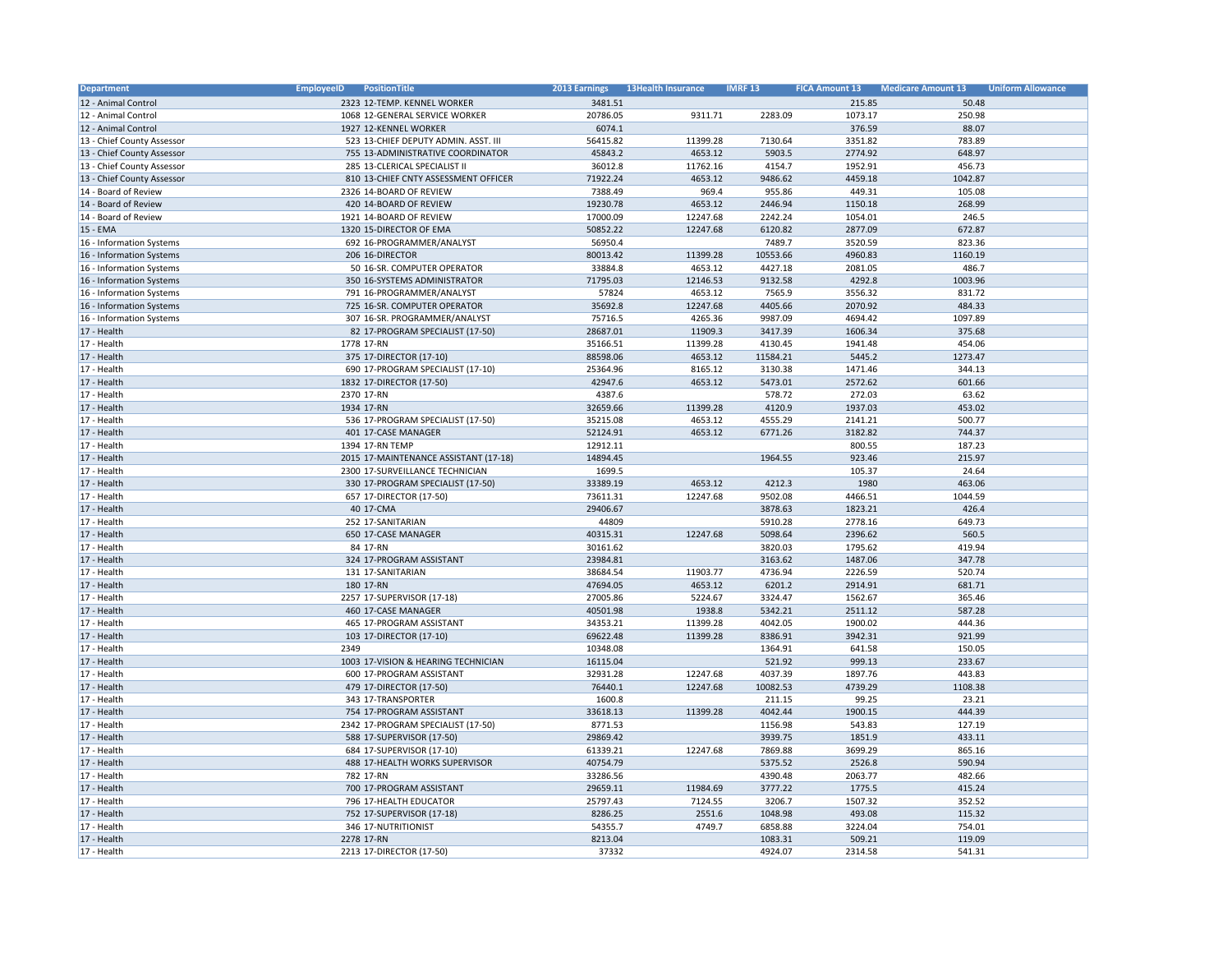| Department                 | <b>EmployeeID</b><br>PositionTitle    | 2013 Earnings | <b>13Health Insurance</b> | <b>IMRF 13</b> | <b>FICA Amount 13</b> | <b>Medicare Amount 13</b> | <b>Uniform Allowance</b> |
|----------------------------|---------------------------------------|---------------|---------------------------|----------------|-----------------------|---------------------------|--------------------------|
| 12 - Animal Control        | 2323 12-TEMP. KENNEL WORKER           | 3481.51       |                           |                | 215.85                | 50.48                     |                          |
| 12 - Animal Control        | 1068 12-GENERAL SERVICE WORKER        | 20786.05      | 9311.71                   | 2283.09        | 1073.17               | 250.98                    |                          |
| 12 - Animal Control        | 1927 12-KENNEL WORKER                 | 6074.1        |                           |                | 376.59                | 88.07                     |                          |
| 13 - Chief County Assessor | 523 13-CHIEF DEPUTY ADMIN. ASST. III  | 56415.82      | 11399.28                  | 7130.64        | 3351.82               | 783.89                    |                          |
| 13 - Chief County Assessor | 755 13-ADMINISTRATIVE COORDINATOR     | 45843.2       | 4653.12                   | 5903.5         | 2774.92               | 648.97                    |                          |
| 13 - Chief County Assessor | 285 13-CLERICAL SPECIALIST II         | 36012.8       | 11762.16                  | 4154.7         | 1952.91               | 456.73                    |                          |
| 13 - Chief County Assessor | 810 13-CHIEF CNTY ASSESSMENT OFFICER  | 71922.24      | 4653.12                   | 9486.62        | 4459.18               | 1042.87                   |                          |
| 14 - Board of Review       | 2326 14-BOARD OF REVIEW               | 7388.49       | 969.4                     | 955.86         | 449.31                | 105.08                    |                          |
| 14 - Board of Review       | 420 14-BOARD OF REVIEW                | 19230.78      | 4653.12                   | 2446.94        | 1150.18               | 268.99                    |                          |
| 14 - Board of Review       | 1921 14-BOARD OF REVIEW               | 17000.09      | 12247.68                  | 2242.24        | 1054.01               | 246.5                     |                          |
| 15 - EMA                   | 1320 15-DIRECTOR OF EMA               | 50852.22      | 12247.68                  | 6120.82        | 2877.09               | 672.87                    |                          |
| 16 - Information Systems   | 692 16-PROGRAMMER/ANALYST             | 56950.4       |                           | 7489.7         | 3520.59               | 823.36                    |                          |
| 16 - Information Systems   | 206 16-DIRECTOR                       | 80013.42      | 11399.28                  | 10553.66       | 4960.83               | 1160.19                   |                          |
| 16 - Information Systems   | 50 16-SR. COMPUTER OPERATOR           | 33884.8       | 4653.12                   | 4427.18        | 2081.05               | 486.7                     |                          |
| 16 - Information Systems   | 350 16-SYSTEMS ADMINISTRATOR          | 71795.03      | 12146.53                  | 9132.58        | 4292.8                | 1003.96                   |                          |
| 16 - Information Systems   | 791 16-PROGRAMMER/ANALYST             | 57824         | 4653.12                   | 7565.9         | 3556.32               | 831.72                    |                          |
| 16 - Information Systems   | 725 16-SR. COMPUTER OPERATOR          | 35692.8       | 12247.68                  | 4405.66        | 2070.92               | 484.33                    |                          |
| 16 - Information Systems   | 307 16-SR. PROGRAMMER/ANALYST         | 75716.5       | 4265.36                   | 9987.09        | 4694.42               | 1097.89                   |                          |
| 17 - Health                | 82 17-PROGRAM SPECIALIST (17-50)      | 28687.01      | 11909.3                   | 3417.39        | 1606.34               | 375.68                    |                          |
| 17 - Health                | 1778 17-RN                            | 35166.51      | 11399.28                  | 4130.45        | 1941.48               | 454.06                    |                          |
| 17 - Health                | 375 17-DIRECTOR (17-10)               | 88598.06      | 4653.12                   | 11584.21       | 5445.2                | 1273.47                   |                          |
| 17 - Health                | 690 17-PROGRAM SPECIALIST (17-10)     | 25364.96      | 8165.12                   | 3130.38        | 1471.46               | 344.13                    |                          |
| 17 - Health                | 1832 17-DIRECTOR (17-50)              | 42947.6       | 4653.12                   | 5473.01        | 2572.62               | 601.66                    |                          |
| 17 - Health                | 2370 17-RN                            | 4387.6        |                           | 578.72         | 272.03                | 63.62                     |                          |
| 17 - Health                | 1934 17-RN                            | 32659.66      | 11399.28                  | 4120.9         | 1937.03               | 453.02                    |                          |
| 17 - Health                | 536 17-PROGRAM SPECIALIST (17-50)     | 35215.08      | 4653.12                   | 4555.29        | 2141.21               | 500.77                    |                          |
| 17 - Health                | 401 17-CASE MANAGER                   | 52124.91      | 4653.12                   | 6771.26        | 3182.82               | 744.37                    |                          |
| 17 - Health                | 1394 17-RN TEMP                       | 12912.11      |                           |                | 800.55                | 187.23                    |                          |
| 17 - Health                | 2015 17-MAINTENANCE ASSISTANT (17-18) | 14894.45      |                           | 1964.55        | 923.46                | 215.97                    |                          |
| 17 - Health                | 2300 17-SURVEILLANCE TECHNICIAN       | 1699.5        |                           |                | 105.37                | 24.64                     |                          |
| 17 - Health                | 330 17-PROGRAM SPECIALIST (17-50)     | 33389.19      | 4653.12                   | 4212.3         | 1980                  | 463.06                    |                          |
| 17 - Health                | 657 17-DIRECTOR (17-50)               | 73611.31      | 12247.68                  | 9502.08        | 4466.51               | 1044.59                   |                          |
| 17 - Health                | 40 17-CMA                             | 29406.67      |                           | 3878.63        | 1823.21               | 426.4                     |                          |
| 17 - Health                | 252 17-SANITARIAN                     | 44809         |                           | 5910.28        | 2778.16               | 649.73                    |                          |
| 17 - Health                | 650 17-CASE MANAGER                   | 40315.31      | 12247.68                  | 5098.64        | 2396.62               | 560.5                     |                          |
| 17 - Health                | 84 17-RN                              | 30161.62      |                           | 3820.03        | 1795.62               | 419.94                    |                          |
| 17 - Health                | 324 17-PROGRAM ASSISTANT              | 23984.81      |                           | 3163.62        | 1487.06               | 347.78                    |                          |
| 17 - Health                | 131 17-SANITARIAN                     | 38684.54      | 11903.77                  | 4736.94        | 2226.59               | 520.74                    |                          |
| 17 - Health                | 180 17-RN                             | 47694.05      | 4653.12                   | 6201.2         | 2914.91               | 681.71                    |                          |
| 17 - Health                | 2257 17-SUPERVISOR (17-18)            | 27005.86      | 5224.67                   | 3324.47        | 1562.67               | 365.46                    |                          |
| 17 - Health                | 460 17-CASE MANAGER                   | 40501.98      | 1938.8                    | 5342.21        | 2511.12               | 587.28                    |                          |
| 17 - Health                | 465 17-PROGRAM ASSISTANT              | 34353.21      | 11399.28                  | 4042.05        | 1900.02               | 444.36                    |                          |
| 17 - Health                | 103 17-DIRECTOR (17-10)               | 69622.48      | 11399.28                  | 8386.91        | 3942.31               | 921.99                    |                          |
| 17 - Health                | 2349                                  | 10348.08      |                           | 1364.91        | 641.58                | 150.05                    |                          |
| 17 - Health                | 1003 17-VISION & HEARING TECHNICIAN   | 16115.04      |                           | 521.92         | 999.13                | 233.67                    |                          |
| 17 - Health                | 600 17-PROGRAM ASSISTANT              | 32931.28      | 12247.68                  | 4037.39        | 1897.76               | 443.83                    |                          |
| 17 - Health                | 479 17-DIRECTOR (17-50)               | 76440.1       | 12247.68                  | 10082.53       | 4739.29               | 1108.38                   |                          |
| 17 - Health                | 343 17-TRANSPORTER                    | 1600.8        |                           | 211.15         | 99.25                 | 23.21                     |                          |
| 17 - Health                | 754 17-PROGRAM ASSISTANT              | 33618.13      | 11399.28                  | 4042.44        | 1900.15               | 444.39                    |                          |
| 17 - Health                | 2342 17-PROGRAM SPECIALIST (17-50)    | 8771.53       |                           | 1156.98        | 543.83                | 127.19                    |                          |
| 17 - Health                | 588 17-SUPERVISOR (17-50)             | 29869.42      |                           | 3939.75        | 1851.9                | 433.11                    |                          |
| 17 - Health                | 684 17-SUPERVISOR (17-10)             | 61339.21      | 12247.68                  | 7869.88        | 3699.29               | 865.16                    |                          |
| 17 - Health                | 488 17-HEALTH WORKS SUPERVISOR        | 40754.79      |                           | 5375.52        | 2526.8                | 590.94                    |                          |
| 17 - Health                | 782 17-RN                             | 33286.56      |                           | 4390.48        | 2063.77               | 482.66                    |                          |
| 17 - Health                | 700 17-PROGRAM ASSISTANT              | 29659.11      | 11984.69                  | 3777.22        | 1775.5                | 415.24                    |                          |
| 17 - Health                | 796 17-HEALTH EDUCATOR                | 25797.43      | 7124.55                   | 3206.7         | 1507.32               | 352.52                    |                          |
| 17 - Health                | 752 17-SUPERVISOR (17-18)             | 8286.25       | 2551.6                    | 1048.98        | 493.08                | 115.32                    |                          |
| 17 - Health                | 346 17-NUTRITIONIST                   | 54355.7       | 4749.7                    | 6858.88        | 3224.04               | 754.01                    |                          |
| 17 - Health                | 2278 17-RN                            | 8213.04       |                           | 1083.31        | 509.21                | 119.09                    |                          |
| 17 - Health                | 2213 17-DIRECTOR (17-50)              | 37332         |                           | 4924.07        | 2314.58               | 541.31                    |                          |
|                            |                                       |               |                           |                |                       |                           |                          |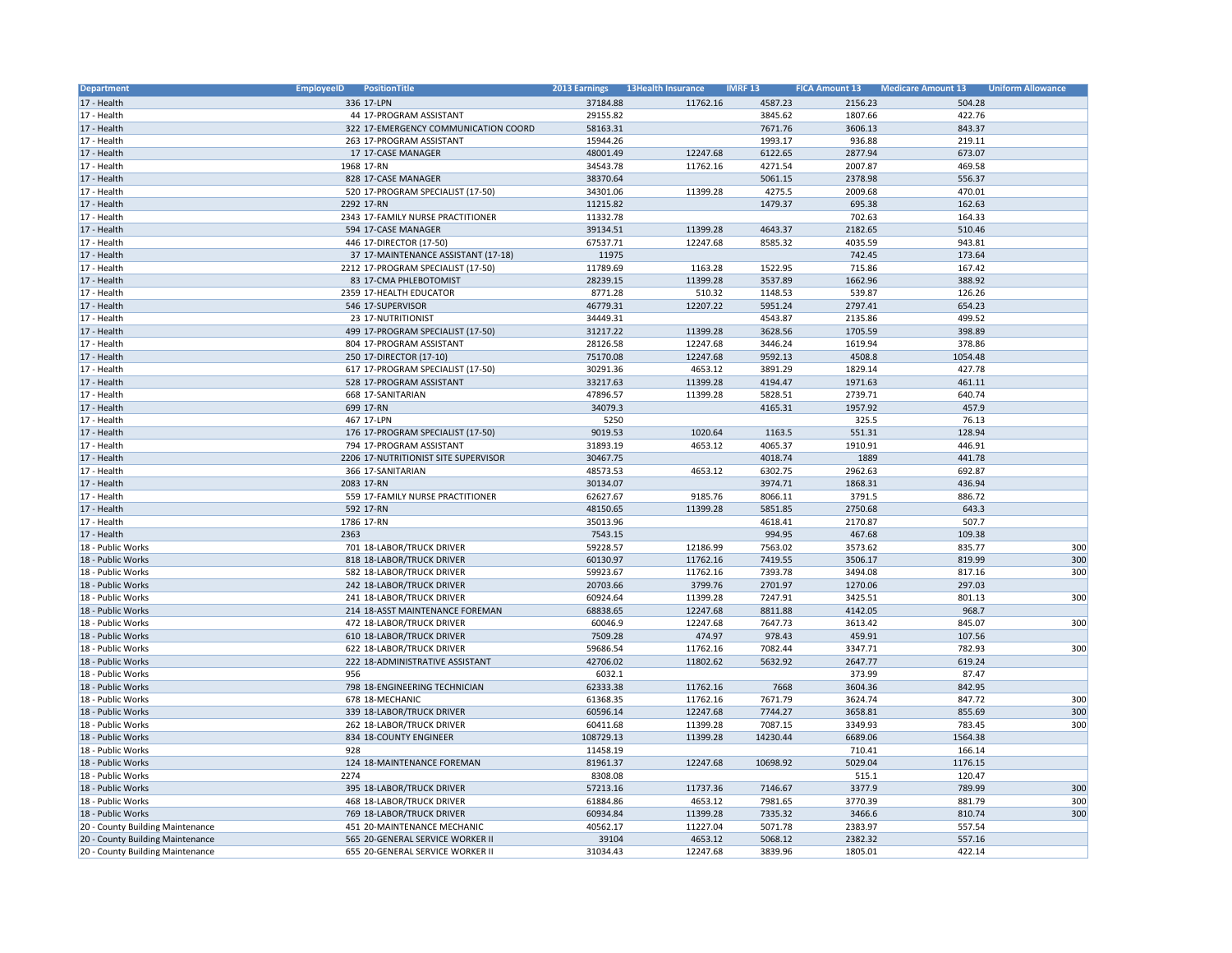| Department                       | <b>EmployeeID</b><br>PositionTitle   | 2013 Earnings | <b>13Health Insurance</b> | <b>IMRF13</b> | <b>FICA Amount 13</b> | <b>Medicare Amount 13</b> | <b>Uniform Allowance</b> |
|----------------------------------|--------------------------------------|---------------|---------------------------|---------------|-----------------------|---------------------------|--------------------------|
| 17 - Health                      | 336 17-LPN                           | 37184.88      | 11762.16                  | 4587.23       | 2156.23               | 504.28                    |                          |
| 17 - Health                      | 44 17-PROGRAM ASSISTANT              | 29155.82      |                           | 3845.62       | 1807.66               | 422.76                    |                          |
| 17 - Health                      | 322 17-EMERGENCY COMMUNICATION COORD | 58163.31      |                           | 7671.76       | 3606.13               | 843.37                    |                          |
| 17 - Health                      | 263 17-PROGRAM ASSISTANT             | 15944.26      |                           | 1993.17       | 936.88                | 219.11                    |                          |
| 17 - Health                      | 17 17-CASE MANAGER                   | 48001.49      | 12247.68                  | 6122.65       | 2877.94               | 673.07                    |                          |
| 17 - Health                      | 1968 17-RN                           | 34543.78      | 11762.16                  | 4271.54       | 2007.87               | 469.58                    |                          |
| 17 - Health                      | 828 17-CASE MANAGER                  | 38370.64      |                           | 5061.15       | 2378.98               | 556.37                    |                          |
| 17 - Health                      | 520 17-PROGRAM SPECIALIST (17-50)    | 34301.06      | 11399.28                  | 4275.5        | 2009.68               | 470.01                    |                          |
| 17 - Health                      | 2292 17-RN                           | 11215.82      |                           | 1479.37       | 695.38                | 162.63                    |                          |
| 17 - Health                      | 2343 17-FAMILY NURSE PRACTITIONER    | 11332.78      |                           |               | 702.63                | 164.33                    |                          |
| 17 - Health                      | 594 17-CASE MANAGER                  | 39134.51      | 11399.28                  | 4643.37       | 2182.65               | 510.46                    |                          |
| 17 - Health                      | 446 17-DIRECTOR (17-50)              | 67537.71      | 12247.68                  | 8585.32       | 4035.59               | 943.81                    |                          |
| 17 - Health                      | 37 17-MAINTENANCE ASSISTANT (17-18)  | 11975         |                           |               | 742.45                | 173.64                    |                          |
| 17 - Health                      | 2212 17-PROGRAM SPECIALIST (17-50)   | 11789.69      | 1163.28                   | 1522.95       | 715.86                | 167.42                    |                          |
| 17 - Health                      | 83 17-CMA PHLEBOTOMIST               | 28239.15      | 11399.28                  | 3537.89       | 1662.96               | 388.92                    |                          |
| 17 - Health                      | 2359 17-HEALTH EDUCATOR              | 8771.28       |                           |               | 539.87                | 126.26                    |                          |
|                                  |                                      |               | 510.32                    | 1148.53       |                       |                           |                          |
| 17 - Health                      | 546 17-SUPERVISOR                    | 46779.31      | 12207.22                  | 5951.24       | 2797.41               | 654.23                    |                          |
| 17 - Health                      | 23 17-NUTRITIONIST                   | 34449.31      |                           | 4543.87       | 2135.86               | 499.52                    |                          |
| 17 - Health                      | 499 17-PROGRAM SPECIALIST (17-50)    | 31217.22      | 11399.28                  | 3628.56       | 1705.59               | 398.89                    |                          |
| 17 - Health                      | 804 17-PROGRAM ASSISTANT             | 28126.58      | 12247.68                  | 3446.24       | 1619.94               | 378.86                    |                          |
| 17 - Health                      | 250 17-DIRECTOR (17-10)              | 75170.08      | 12247.68                  | 9592.13       | 4508.8                | 1054.48                   |                          |
| 17 - Health                      | 617 17-PROGRAM SPECIALIST (17-50)    | 30291.36      | 4653.12                   | 3891.29       | 1829.14               | 427.78                    |                          |
| 17 - Health                      | 528 17-PROGRAM ASSISTANT             | 33217.63      | 11399.28                  | 4194.47       | 1971.63               | 461.11                    |                          |
| 17 - Health                      | 668 17-SANITARIAN                    | 47896.57      | 11399.28                  | 5828.51       | 2739.71               | 640.74                    |                          |
| 17 - Health                      | 699 17-RN                            | 34079.3       |                           | 4165.31       | 1957.92               | 457.9                     |                          |
| 17 - Health                      | 467 17-LPN                           | 5250          |                           |               | 325.5                 | 76.13                     |                          |
| 17 - Health                      | 176 17-PROGRAM SPECIALIST (17-50)    | 9019.53       | 1020.64                   | 1163.5        | 551.31                | 128.94                    |                          |
| 17 - Health                      | 794 17-PROGRAM ASSISTANT             | 31893.19      | 4653.12                   | 4065.37       | 1910.91               | 446.91                    |                          |
| 17 - Health                      | 2206 17-NUTRITIONIST SITE SUPERVISOR | 30467.75      |                           | 4018.74       | 1889                  | 441.78                    |                          |
| 17 - Health                      | 366 17-SANITARIAN                    | 48573.53      | 4653.12                   | 6302.75       | 2962.63               | 692.87                    |                          |
| 17 - Health                      | 2083 17-RN                           | 30134.07      |                           | 3974.71       | 1868.31               | 436.94                    |                          |
| 17 - Health                      | 559 17-FAMILY NURSE PRACTITIONER     | 62627.67      | 9185.76                   | 8066.11       | 3791.5                | 886.72                    |                          |
| 17 - Health                      | 592 17-RN                            | 48150.65      | 11399.28                  | 5851.85       | 2750.68               | 643.3                     |                          |
| 17 - Health                      | 1786 17-RN                           | 35013.96      |                           | 4618.41       | 2170.87               | 507.7                     |                          |
| 17 - Health                      | 2363                                 | 7543.15       |                           | 994.95        | 467.68                | 109.38                    |                          |
| 18 - Public Works                | 701 18-LABOR/TRUCK DRIVER            | 59228.57      | 12186.99                  | 7563.02       | 3573.62               | 835.77                    | 300                      |
| 18 - Public Works                | 818 18-LABOR/TRUCK DRIVER            | 60130.97      | 11762.16                  | 7419.55       | 3506.17               | 819.99                    | 300                      |
| 18 - Public Works                | 582 18-LABOR/TRUCK DRIVER            | 59923.67      | 11762.16                  | 7393.78       | 3494.08               | 817.16                    | 300                      |
| 18 - Public Works                | 242 18-LABOR/TRUCK DRIVER            | 20703.66      | 3799.76                   | 2701.97       | 1270.06               | 297.03                    |                          |
| 18 - Public Works                | 241 18-LABOR/TRUCK DRIVER            | 60924.64      | 11399.28                  | 7247.91       | 3425.51               | 801.13                    | 300                      |
| 18 - Public Works                | 214 18-ASST MAINTENANCE FOREMAN      | 68838.65      | 12247.68                  | 8811.88       | 4142.05               | 968.7                     |                          |
| 18 - Public Works                | 472 18-LABOR/TRUCK DRIVER            | 60046.9       | 12247.68                  | 7647.73       | 3613.42               | 845.07                    | 300                      |
| 18 - Public Works                | 610 18-LABOR/TRUCK DRIVER            | 7509.28       | 474.97                    | 978.43        | 459.91                | 107.56                    |                          |
| 18 - Public Works                | 622 18-LABOR/TRUCK DRIVER            | 59686.54      | 11762.16                  | 7082.44       | 3347.71               | 782.93                    | 300                      |
| 18 - Public Works                | 222 18-ADMINISTRATIVE ASSISTANT      | 42706.02      | 11802.62                  | 5632.92       | 2647.77               | 619.24                    |                          |
| 18 - Public Works                | 956                                  | 6032.1        |                           |               | 373.99                | 87.47                     |                          |
| 18 - Public Works                | 798 18-ENGINEERING TECHNICIAN        | 62333.38      | 11762.16                  | 7668          | 3604.36               | 842.95                    |                          |
| 18 - Public Works                | 678 18-MECHANIC                      | 61368.35      | 11762.16                  | 7671.79       | 3624.74               | 847.72                    | 300                      |
| 18 - Public Works                | 339 18-LABOR/TRUCK DRIVER            | 60596.14      | 12247.68                  | 7744.27       | 3658.81               | 855.69                    | 300                      |
| 18 - Public Works                | 262 18-LABOR/TRUCK DRIVER            | 60411.68      | 11399.28                  | 7087.15       | 3349.93               | 783.45                    | 300                      |
|                                  |                                      |               |                           |               |                       |                           |                          |
| 18 - Public Works                | 834 18-COUNTY ENGINEER               | 108729.13     | 11399.28                  | 14230.44      | 6689.06               | 1564.38                   |                          |
| 18 - Public Works                | 928<br>124 18-MAINTENANCE FOREMAN    | 11458.19      |                           |               | 710.41                | 166.14                    |                          |
| 18 - Public Works                |                                      | 81961.37      | 12247.68                  | 10698.92      | 5029.04               | 1176.15                   |                          |
| 18 - Public Works                | 2274                                 | 8308.08       |                           |               | 515.1                 | 120.47                    |                          |
| 18 - Public Works                | 395 18-LABOR/TRUCK DRIVER            | 57213.16      | 11737.36                  | 7146.67       | 3377.9                | 789.99                    | 300                      |
| 18 - Public Works                | 468 18-LABOR/TRUCK DRIVER            | 61884.86      | 4653.12                   | 7981.65       | 3770.39               | 881.79                    | 300                      |
| 18 - Public Works                | 769 18-LABOR/TRUCK DRIVER            | 60934.84      | 11399.28                  | 7335.32       | 3466.6                | 810.74                    | 300                      |
| 20 - County Building Maintenance | 451 20-MAINTENANCE MECHANIC          | 40562.17      | 11227.04                  | 5071.78       | 2383.97               | 557.54                    |                          |
| 20 - County Building Maintenance | 565 20-GENERAL SERVICE WORKER II     | 39104         | 4653.12                   | 5068.12       | 2382.32               | 557.16                    |                          |
| 20 - County Building Maintenance | 655 20-GENERAL SERVICE WORKER II     | 31034.43      | 12247.68                  | 3839.96       | 1805.01               | 422.14                    |                          |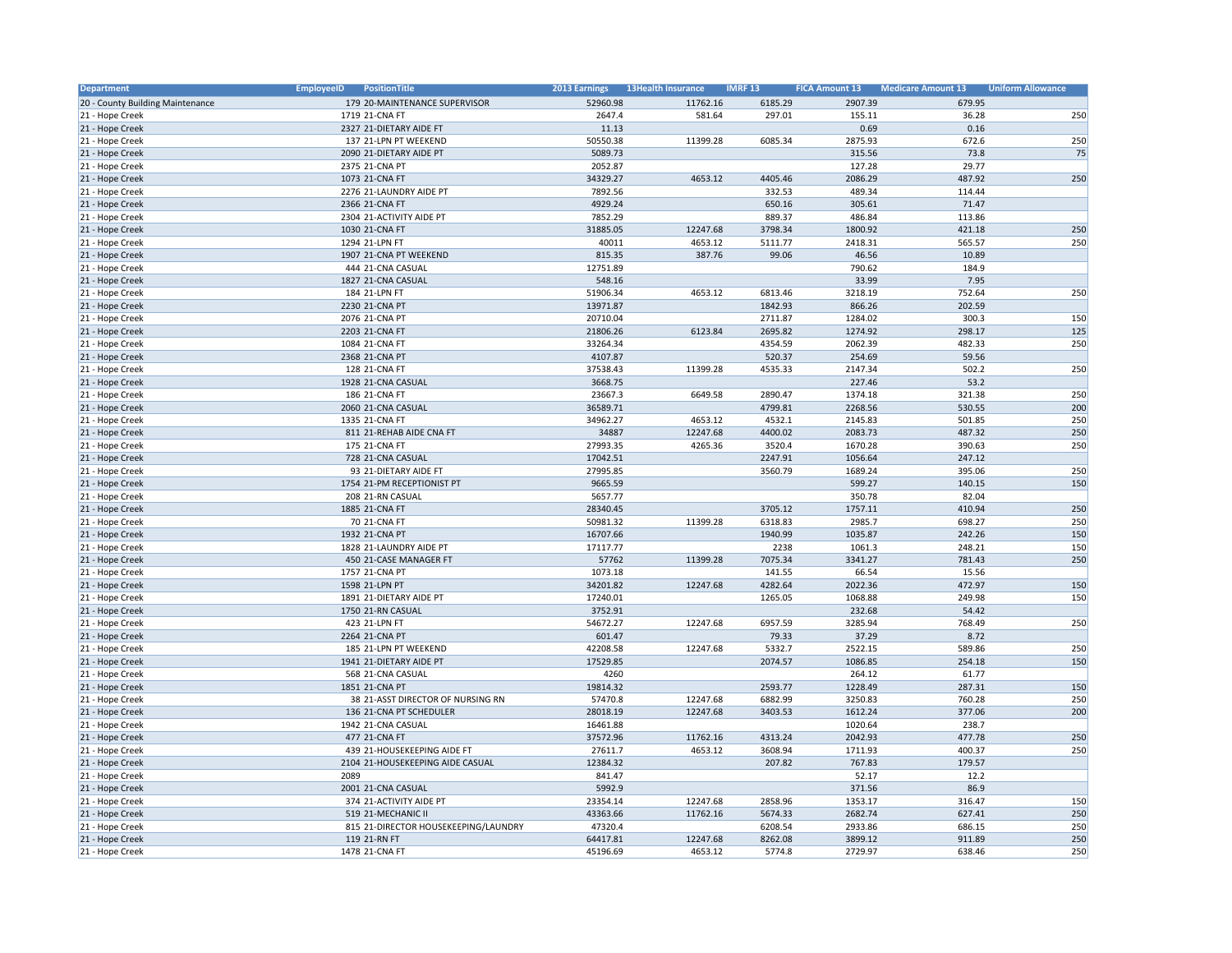| Department                       | <b>EmployeeID</b><br>PositionTitle   | 2013 Earnings | <b>13Health Insurance</b> | <b>IMRF13</b> | <b>FICA Amount 13</b> | <b>Medicare Amount 13</b> | <b>Uniform Allowance</b> |
|----------------------------------|--------------------------------------|---------------|---------------------------|---------------|-----------------------|---------------------------|--------------------------|
| 20 - County Building Maintenance | 179 20-MAINTENANCE SUPERVISOR        | 52960.98      | 11762.16                  | 6185.29       | 2907.39               | 679.95                    |                          |
| 21 - Hope Creek                  | 1719 21-CNA FT                       | 2647.4        | 581.64                    | 297.01        | 155.11                | 36.28                     | 250                      |
| 21 - Hope Creek                  | 2327 21-DIETARY AIDE FT              | 11.13         |                           |               | 0.69                  | 0.16                      |                          |
| 21 - Hope Creek                  | 137 21-LPN PT WEEKEND                | 50550.38      | 11399.28                  | 6085.34       | 2875.93               | 672.6                     | 250                      |
| 21 - Hope Creek                  | 2090 21-DIETARY AIDE PT              | 5089.73       |                           |               | 315.56                | 73.8                      | 75                       |
| 21 - Hope Creek                  | 2375 21-CNA PT                       | 2052.87       |                           |               | 127.28                | 29.77                     |                          |
| 21 - Hope Creek                  | 1073 21-CNA FT                       | 34329.27      | 4653.12                   | 4405.46       | 2086.29               | 487.92                    | 250                      |
| 21 - Hope Creek                  | 2276 21-LAUNDRY AIDE PT              | 7892.56       |                           | 332.53        | 489.34                | 114.44                    |                          |
| 21 - Hope Creek                  | 2366 21-CNA FT                       | 4929.24       |                           | 650.16        | 305.61                | 71.47                     |                          |
| 21 - Hope Creek                  | 2304 21-ACTIVITY AIDE PT             | 7852.29       |                           | 889.37        | 486.84                | 113.86                    |                          |
| 21 - Hope Creek                  | 1030 21-CNA FT                       | 31885.05      | 12247.68                  | 3798.34       | 1800.92               | 421.18                    | 250                      |
| 21 - Hope Creek                  | 1294 21-LPN FT                       | 40011         | 4653.12                   | 5111.77       | 2418.31               | 565.57                    | 250                      |
| 21 - Hope Creek                  | 1907 21-CNA PT WEEKEND               | 815.35        | 387.76                    | 99.06         | 46.56                 | 10.89                     |                          |
| 21 - Hope Creek                  | 444 21-CNA CASUAL                    | 12751.89      |                           |               | 790.62                | 184.9                     |                          |
| 21 - Hope Creek                  | 1827 21-CNA CASUAL                   | 548.16        |                           |               | 33.99                 | 7.95                      |                          |
| 21 - Hope Creek                  | 184 21-LPN FT                        | 51906.34      | 4653.12                   | 6813.46       | 3218.19               | 752.64                    | 250                      |
| 21 - Hope Creek                  | 2230 21-CNA PT                       | 13971.87      |                           | 1842.93       | 866.26                | 202.59                    |                          |
| 21 - Hope Creek                  | 2076 21-CNA PT                       | 20710.04      |                           | 2711.87       | 1284.02               | 300.3                     | 150                      |
| 21 - Hope Creek                  | 2203 21-CNA FT                       | 21806.26      | 6123.84                   | 2695.82       | 1274.92               | 298.17                    | 125                      |
| 21 - Hope Creek                  | 1084 21-CNA FT                       | 33264.34      |                           | 4354.59       | 2062.39               | 482.33                    | 250                      |
| 21 - Hope Creek                  | 2368 21-CNA PT                       | 4107.87       |                           | 520.37        | 254.69                | 59.56                     |                          |
| 21 - Hope Creek                  | 128 21-CNA FT                        | 37538.43      | 11399.28                  | 4535.33       | 2147.34               | 502.2                     | 250                      |
| 21 - Hope Creek                  | 1928 21-CNA CASUAL                   | 3668.75       |                           |               | 227.46                | 53.2                      |                          |
| 21 - Hope Creek                  | 186 21-CNA FT                        | 23667.3       | 6649.58                   | 2890.47       | 1374.18               | 321.38                    | 250                      |
| 21 - Hope Creek                  | 2060 21-CNA CASUAL                   | 36589.71      |                           | 4799.81       | 2268.56               | 530.55                    | 200                      |
| 21 - Hope Creek                  | 1335 21-CNA FT                       | 34962.27      | 4653.12                   | 4532.1        | 2145.83               | 501.85                    | 250                      |
| 21 - Hope Creek                  | 811 21-REHAB AIDE CNA FT             | 34887         | 12247.68                  | 4400.02       | 2083.73               | 487.32                    | 250                      |
| 21 - Hope Creek                  | 175 21-CNA FT                        | 27993.35      | 4265.36                   | 3520.4        | 1670.28               | 390.63                    | 250                      |
| 21 - Hope Creek                  | 728 21-CNA CASUAL                    | 17042.51      |                           | 2247.91       | 1056.64               | 247.12                    |                          |
| 21 - Hope Creek                  | 93 21-DIETARY AIDE FT                | 27995.85      |                           | 3560.79       | 1689.24               | 395.06                    | 250                      |
| 21 - Hope Creek                  | 1754 21-PM RECEPTIONIST PT           | 9665.59       |                           |               | 599.27                | 140.15                    | 150                      |
| 21 - Hope Creek                  | 208 21-RN CASUAL                     | 5657.77       |                           |               | 350.78                | 82.04                     |                          |
| 21 - Hope Creek                  | 1885 21-CNA FT                       | 28340.45      |                           | 3705.12       | 1757.11               | 410.94                    | 250                      |
| 21 - Hope Creek                  | 70 21-CNA FT                         | 50981.32      | 11399.28                  | 6318.83       | 2985.7                | 698.27                    | 250                      |
| 21 - Hope Creek                  | 1932 21-CNA PT                       | 16707.66      |                           | 1940.99       | 1035.87               | 242.26                    | 150                      |
| 21 - Hope Creek                  | 1828 21-LAUNDRY AIDE PT              | 17117.77      |                           | 2238          | 1061.3                | 248.21                    | 150                      |
| 21 - Hope Creek                  | 450 21-CASE MANAGER FT               | 57762         | 11399.28                  | 7075.34       | 3341.27               | 781.43                    | 250                      |
| 21 - Hope Creek                  | 1757 21-CNA PT                       | 1073.18       |                           | 141.55        | 66.54                 | 15.56                     |                          |
| 21 - Hope Creek                  | 1598 21-LPN PT                       | 34201.82      | 12247.68                  | 4282.64       | 2022.36               | 472.97                    | 150                      |
| 21 - Hope Creek                  | 1891 21-DIETARY AIDE PT              | 17240.01      |                           | 1265.05       | 1068.88               | 249.98                    | 150                      |
| 21 - Hope Creek                  | 1750 21-RN CASUAL                    | 3752.91       |                           |               | 232.68                | 54.42                     |                          |
| 21 - Hope Creek                  | 423 21-LPN FT                        | 54672.27      | 12247.68                  | 6957.59       | 3285.94               | 768.49                    | 250                      |
| 21 - Hope Creek                  | 2264 21-CNA PT                       | 601.47        |                           | 79.33         | 37.29                 | 8.72                      |                          |
| 21 - Hope Creek                  | 185 21-LPN PT WEEKEND                | 42208.58      | 12247.68                  | 5332.7        | 2522.15               | 589.86                    | 250                      |
| 21 - Hope Creek                  | 1941 21-DIETARY AIDE PT              | 17529.85      |                           | 2074.57       | 1086.85               | 254.18                    | 150                      |
| 21 - Hope Creek                  | 568 21-CNA CASUAL                    | 4260          |                           |               | 264.12                | 61.77                     |                          |
| 21 - Hope Creek                  | 1851 21-CNA PT                       | 19814.32      |                           | 2593.77       | 1228.49               | 287.31                    | 150                      |
| 21 - Hope Creek                  | 38 21-ASST DIRECTOR OF NURSING RN    | 57470.8       | 12247.68                  | 6882.99       | 3250.83               | 760.28                    | 250                      |
| 21 - Hope Creek                  | 136 21-CNA PT SCHEDULER              | 28018.19      | 12247.68                  | 3403.53       | 1612.24               | 377.06                    | 200                      |
| 21 - Hope Creek                  | 1942 21-CNA CASUAL                   | 16461.88      |                           |               | 1020.64               | 238.7                     |                          |
| 21 - Hope Creek                  | 477 21-CNA FT                        | 37572.96      | 11762.16                  | 4313.24       | 2042.93               | 477.78                    | 250                      |
| 21 - Hope Creek                  | 439 21-HOUSEKEEPING AIDE FT          | 27611.7       | 4653.12                   | 3608.94       | 1711.93               | 400.37                    | 250                      |
| 21 - Hope Creek                  | 2104 21-HOUSEKEEPING AIDE CASUAL     | 12384.32      |                           | 207.82        | 767.83                | 179.57                    |                          |
| 21 - Hope Creek                  | 2089                                 | 841.47        |                           |               | 52.17                 | 12.2                      |                          |
| 21 - Hope Creek                  | 2001 21-CNA CASUAL                   | 5992.9        |                           |               | 371.56                | 86.9                      |                          |
| 21 - Hope Creek                  | 374 21-ACTIVITY AIDE PT              | 23354.14      | 12247.68                  | 2858.96       | 1353.17               | 316.47                    | 150                      |
| 21 - Hope Creek                  | 519 21-MECHANIC II                   | 43363.66      | 11762.16                  | 5674.33       | 2682.74               | 627.41                    | 250                      |
| 21 - Hope Creek                  | 815 21-DIRECTOR HOUSEKEEPING/LAUNDRY | 47320.4       |                           | 6208.54       | 2933.86               | 686.15                    | 250                      |
| 21 - Hope Creek                  | 119 21-RN FT                         | 64417.81      | 12247.68                  | 8262.08       | 3899.12               | 911.89                    | 250                      |
| 21 - Hope Creek                  | 1478 21-CNA FT                       | 45196.69      | 4653.12                   | 5774.8        | 2729.97               | 638.46                    | 250                      |
|                                  |                                      |               |                           |               |                       |                           |                          |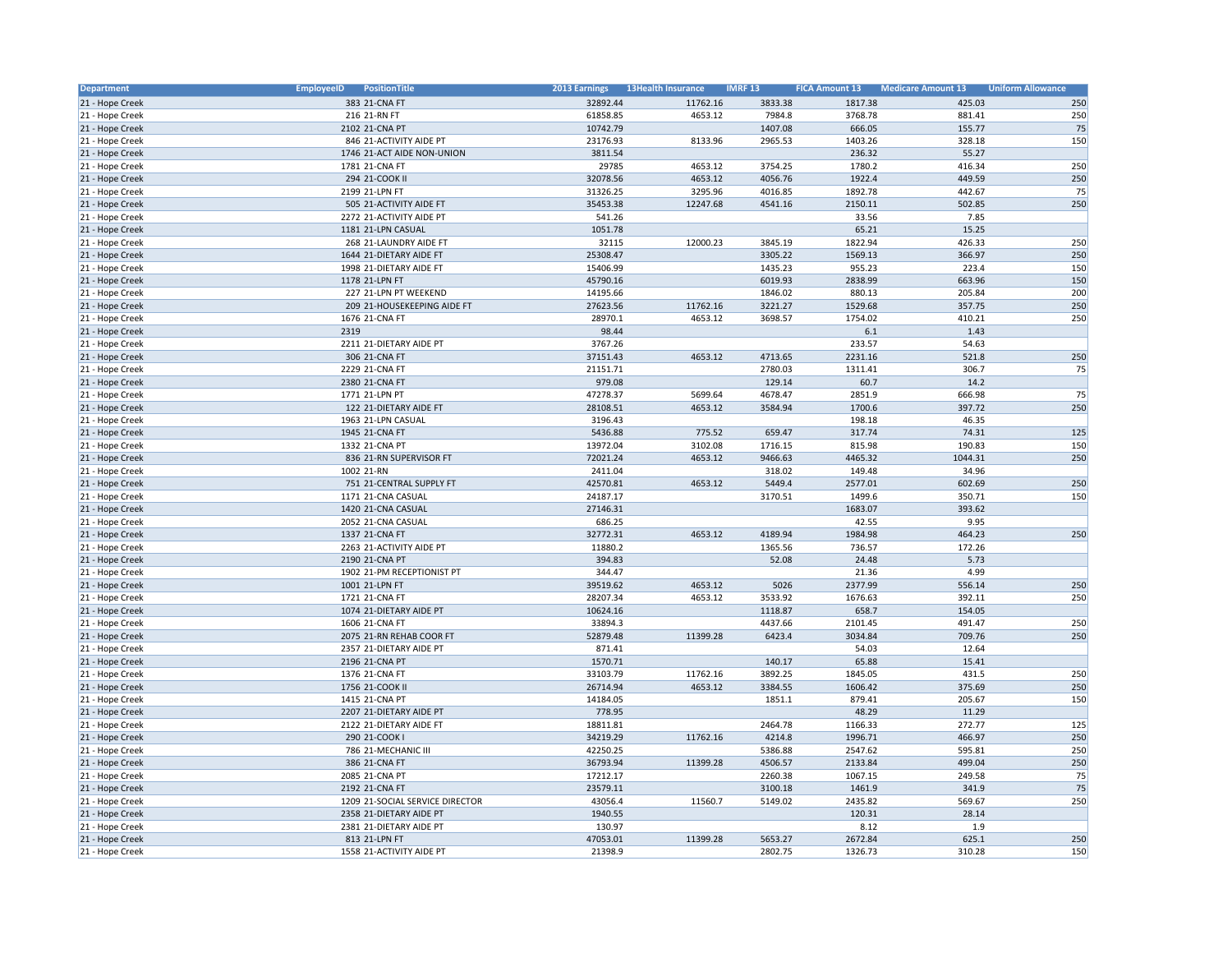| <b>Department</b> | <b>EmployeeID</b><br>PositionTitle | 2013 Earnings | <b>13Health Insurance</b> | <b>IMRF13</b>      | <b>FICA Amount 13</b> | <b>Medicare Amount 13</b> | <b>Uniform Allowance</b> |
|-------------------|------------------------------------|---------------|---------------------------|--------------------|-----------------------|---------------------------|--------------------------|
| 21 - Hope Creek   | 383 21-CNA FT                      | 32892.44      | 11762.16                  | 3833.38            | 1817.38               | 425.03                    | 250                      |
| 21 - Hope Creek   | 216 21-RN FT                       | 61858.85      | 4653.12                   | 7984.8             | 3768.78               | 881.41                    | 250                      |
| 21 - Hope Creek   | 2102 21-CNA PT                     | 10742.79      |                           | 1407.08            | 666.05                | 155.77                    | 75                       |
| 21 - Hope Creek   | 846 21-ACTIVITY AIDE PT            | 23176.93      | 8133.96                   | 2965.53            | 1403.26               | 328.18                    | 150                      |
| 21 - Hope Creek   | 1746 21-ACT AIDE NON-UNION         | 3811.54       |                           |                    | 236.32                | 55.27                     |                          |
| 21 - Hope Creek   | 1781 21-CNA FT                     | 29785         | 4653.12                   | 3754.25            | 1780.2                | 416.34                    | 250                      |
| 21 - Hope Creek   | 294 21-COOK II                     | 32078.56      | 4653.12                   | 4056.76            | 1922.4                | 449.59                    | 250                      |
| 21 - Hope Creek   | 2199 21-LPN FT                     | 31326.25      | 3295.96                   | 4016.85            | 1892.78               | 442.67                    | 75                       |
| 21 - Hope Creek   | 505 21-ACTIVITY AIDE FT            | 35453.38      | 12247.68                  | 4541.16            | 2150.11               | 502.85                    | 250                      |
| 21 - Hope Creek   | 2272 21-ACTIVITY AIDE PT           | 541.26        |                           |                    | 33.56                 | 7.85                      |                          |
| 21 - Hope Creek   | 1181 21-LPN CASUAL                 | 1051.78       |                           |                    | 65.21                 | 15.25                     |                          |
| 21 - Hope Creek   | 268 21-LAUNDRY AIDE FT             | 32115         | 12000.23                  | 3845.19            | 1822.94               | 426.33                    | 250                      |
| 21 - Hope Creek   | 1644 21-DIETARY AIDE FT            | 25308.47      |                           | 3305.22            | 1569.13               | 366.97                    | 250                      |
| 21 - Hope Creek   | 1998 21-DIETARY AIDE FT            | 15406.99      |                           | 1435.23            | 955.23                | 223.4                     | 150                      |
| 21 - Hope Creek   | 1178 21-LPN FT                     | 45790.16      |                           | 6019.93            | 2838.99               | 663.96                    | 150                      |
| 21 - Hope Creek   | 227 21-LPN PT WEEKEND              | 14195.66      |                           | 1846.02            | 880.13                | 205.84                    | 200                      |
| 21 - Hope Creek   | 209 21-HOUSEKEEPING AIDE FT        | 27623.56      | 11762.16                  | 3221.27            | 1529.68               | 357.75                    | 250                      |
|                   |                                    |               |                           |                    |                       |                           |                          |
| 21 - Hope Creek   | 1676 21-CNA FT                     | 28970.1       | 4653.12                   | 3698.57            | 1754.02               | 410.21                    | 250                      |
| 21 - Hope Creek   | 2319                               | 98.44         |                           |                    | 6.1                   | 1.43                      |                          |
| 21 - Hope Creek   | 2211 21-DIETARY AIDE PT            | 3767.26       |                           |                    | 233.57                | 54.63                     |                          |
| 21 - Hope Creek   | 306 21-CNA FT                      | 37151.43      | 4653.12                   | 4713.65            | 2231.16               | 521.8                     | 250                      |
| 21 - Hope Creek   | 2229 21-CNA FT                     | 21151.71      |                           | 2780.03            | 1311.41               | 306.7                     | 75                       |
| 21 - Hope Creek   | 2380 21-CNA FT                     | 979.08        |                           | 129.14             | 60.7                  | 14.2                      |                          |
| 21 - Hope Creek   | 1771 21-LPN PT                     | 47278.37      | 5699.64                   | 4678.47            | 2851.9                | 666.98                    | 75                       |
| 21 - Hope Creek   | 122 21-DIETARY AIDE FT             | 28108.51      | 4653.12                   | 3584.94            | 1700.6                | 397.72                    | 250                      |
| 21 - Hope Creek   | 1963 21-LPN CASUAL                 | 3196.43       |                           |                    | 198.18                | 46.35                     |                          |
| 21 - Hope Creek   | 1945 21-CNA FT                     | 5436.88       | 775.52                    | 659.47             | 317.74                | 74.31                     | 125                      |
| 21 - Hope Creek   | 1332 21-CNA PT                     | 13972.04      | 3102.08                   | 1716.15            | 815.98                | 190.83                    | 150                      |
| 21 - Hope Creek   | 836 21-RN SUPERVISOR FT            | 72021.24      | 4653.12                   | 9466.63            | 4465.32               | 1044.31                   | 250                      |
| 21 - Hope Creek   | 1002 21-RN                         | 2411.04       |                           | 318.02             | 149.48                | 34.96                     |                          |
| 21 - Hope Creek   | 751 21-CENTRAL SUPPLY FT           | 42570.81      | 4653.12                   | 5449.4             | 2577.01               | 602.69                    | 250                      |
| 21 - Hope Creek   | 1171 21-CNA CASUAL                 | 24187.17      |                           | 3170.51            | 1499.6                | 350.71                    | 150                      |
| 21 - Hope Creek   | 1420 21-CNA CASUAL                 | 27146.31      |                           |                    | 1683.07               | 393.62                    |                          |
| 21 - Hope Creek   | 2052 21-CNA CASUAL                 | 686.25        |                           |                    | 42.55                 | 9.95                      |                          |
| 21 - Hope Creek   | 1337 21-CNA FT                     | 32772.31      | 4653.12                   | 4189.94            | 1984.98               | 464.23                    | 250                      |
| 21 - Hope Creek   | 2263 21-ACTIVITY AIDE PT           | 11880.2       |                           | 1365.56            | 736.57                | 172.26                    |                          |
| 21 - Hope Creek   | 2190 21-CNA PT                     | 394.83        |                           | 52.08              | 24.48                 | 5.73                      |                          |
| 21 - Hope Creek   | 1902 21-PM RECEPTIONIST PT         | 344.47        |                           |                    | 21.36                 | 4.99                      |                          |
| 21 - Hope Creek   | 1001 21-LPN FT                     | 39519.62      | 4653.12                   | 5026               | 2377.99               | 556.14                    | 250                      |
| 21 - Hope Creek   | 1721 21-CNA FT                     | 28207.34      | 4653.12                   | 3533.92            | 1676.63               | 392.11                    | 250                      |
| 21 - Hope Creek   | 1074 21-DIETARY AIDE PT            | 10624.16      |                           | 1118.87            | 658.7                 | 154.05                    |                          |
| 21 - Hope Creek   | 1606 21-CNA FT                     | 33894.3       |                           | 4437.66            | 2101.45               | 491.47                    | 250                      |
| 21 - Hope Creek   | 2075 21-RN REHAB COOR FT           | 52879.48      | 11399.28                  | 6423.4             | 3034.84               | 709.76                    | 250                      |
| 21 - Hope Creek   | 2357 21-DIETARY AIDE PT            | 871.41        |                           |                    | 54.03                 | 12.64                     |                          |
| 21 - Hope Creek   | 2196 21-CNA PT                     | 1570.71       |                           | 140.17             | 65.88                 | 15.41                     |                          |
| 21 - Hope Creek   | 1376 21-CNA FT                     | 33103.79      | 11762.16                  | 3892.25            | 1845.05               | 431.5                     | 250                      |
| 21 - Hope Creek   | 1756 21-COOK II                    | 26714.94      | 4653.12                   | 3384.55            | 1606.42               | 375.69                    | 250                      |
| 21 - Hope Creek   | 1415 21-CNA PT                     | 14184.05      |                           | 1851.1             | 879.41                | 205.67                    | 150                      |
| 21 - Hope Creek   | 2207 21-DIETARY AIDE PT            | 778.95        |                           |                    | 48.29                 | 11.29                     |                          |
| 21 - Hope Creek   | 2122 21-DIETARY AIDE FT            | 18811.81      |                           | 2464.78            | 1166.33               | 272.77                    | 125                      |
| 21 - Hope Creek   | 290 21-COOK I                      | 34219.29      | 11762.16                  | 4214.8             | 1996.71               | 466.97                    | 250                      |
|                   |                                    | 42250.25      |                           |                    |                       |                           | 250                      |
| 21 - Hope Creek   | 786 21-MECHANIC III                | 36793.94      | 11399.28                  | 5386.88<br>4506.57 | 2547.62<br>2133.84    | 595.81<br>499.04          | 250                      |
| 21 - Hope Creek   | 386 21-CNA FT                      |               |                           |                    |                       |                           |                          |
| 21 - Hope Creek   | 2085 21-CNA PT                     | 17212.17      |                           | 2260.38            | 1067.15               | 249.58                    | 75                       |
| 21 - Hope Creek   | 2192 21-CNA FT                     | 23579.11      |                           | 3100.18            | 1461.9                | 341.9                     | 75                       |
| 21 - Hope Creek   | 1209 21-SOCIAL SERVICE DIRECTOR    | 43056.4       | 11560.7                   | 5149.02            | 2435.82               | 569.67                    | 250                      |
| 21 - Hope Creek   | 2358 21-DIETARY AIDE PT            | 1940.55       |                           |                    | 120.31                | 28.14                     |                          |
| 21 - Hope Creek   | 2381 21-DIETARY AIDE PT            | 130.97        |                           |                    | 8.12                  | 1.9                       |                          |
| 21 - Hope Creek   | 813 21-LPN FT                      | 47053.01      | 11399.28                  | 5653.27            | 2672.84               | 625.1                     | 250                      |
| 21 - Hope Creek   | 1558 21-ACTIVITY AIDE PT           | 21398.9       |                           | 2802.75            | 1326.73               | 310.28                    | 150                      |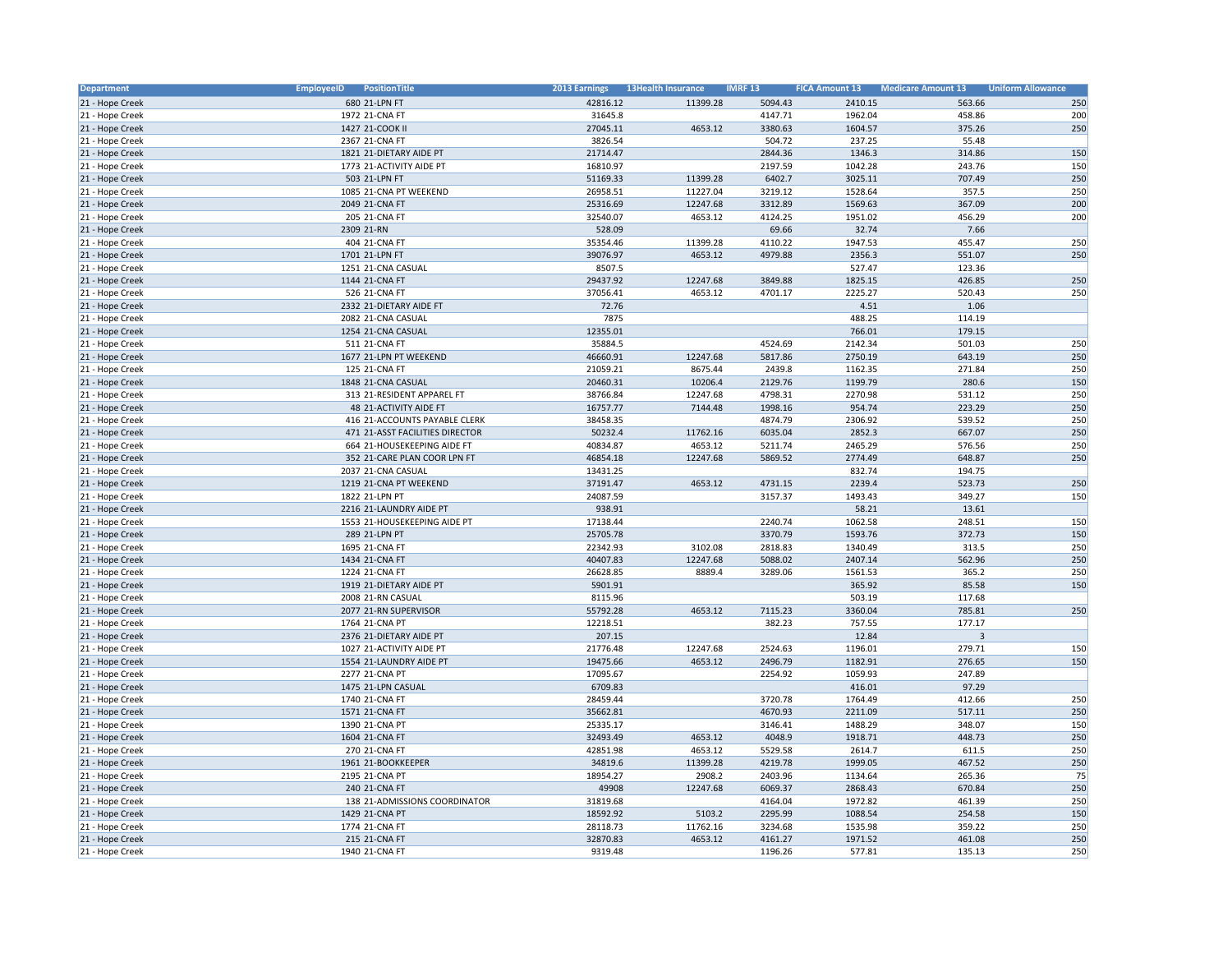| Department      | <b>EmployeeID</b><br>PositionTitle  | 2013 Earnings | <b>13Health Insurance</b> | <b>IMRF13</b>      | <b>FICA Amount 13</b> | <b>Medicare Amount 13</b> | <b>Uniform Allowance</b> |
|-----------------|-------------------------------------|---------------|---------------------------|--------------------|-----------------------|---------------------------|--------------------------|
| 21 - Hope Creek | 680 21-LPN FT                       | 42816.12      | 11399.28                  | 5094.43            | 2410.15               | 563.66                    | 250                      |
| 21 - Hope Creek | 1972 21-CNA FT                      | 31645.8       |                           | 4147.71            | 1962.04               | 458.86                    | 200                      |
| 21 - Hope Creek | 1427 21-COOK II                     | 27045.11      | 4653.12                   | 3380.63            | 1604.57               | 375.26                    | 250                      |
| 21 - Hope Creek | 2367 21-CNA FT                      | 3826.54       |                           | 504.72             | 237.25                | 55.48                     |                          |
| 21 - Hope Creek | 1821 21-DIETARY AIDE PT             | 21714.47      |                           | 2844.36            | 1346.3                | 314.86                    | 150                      |
| 21 - Hope Creek | 1773 21-ACTIVITY AIDE PT            | 16810.97      |                           | 2197.59            | 1042.28               | 243.76                    | 150                      |
| 21 - Hope Creek | 503 21-LPN FT                       | 51169.33      | 11399.28                  | 6402.7             | 3025.11               | 707.49                    | 250                      |
| 21 - Hope Creek | 1085 21-CNA PT WEEKEND              | 26958.51      | 11227.04                  | 3219.12            | 1528.64               | 357.5                     | 250                      |
| 21 - Hope Creek | 2049 21-CNA FT                      | 25316.69      | 12247.68                  | 3312.89            | 1569.63               | 367.09                    | 200                      |
| 21 - Hope Creek | 205 21-CNA FT                       | 32540.07      | 4653.12                   | 4124.25            | 1951.02               | 456.29                    | 200                      |
| 21 - Hope Creek | 2309 21-RN                          | 528.09        |                           | 69.66              | 32.74                 | 7.66                      |                          |
| 21 - Hope Creek | 404 21-CNA FT                       | 35354.46      | 11399.28                  | 4110.22            | 1947.53               | 455.47                    | 250                      |
| 21 - Hope Creek | 1701 21-LPN FT                      | 39076.97      | 4653.12                   | 4979.88            | 2356.3                | 551.07                    | 250                      |
| 21 - Hope Creek | 1251 21-CNA CASUAL                  | 8507.5        |                           |                    | 527.47                | 123.36                    |                          |
| 21 - Hope Creek | 1144 21-CNA FT                      | 29437.92      | 12247.68                  | 3849.88            | 1825.15               | 426.85                    | 250                      |
| 21 - Hope Creek | 526 21-CNA FT                       | 37056.41      | 4653.12                   | 4701.17            | 2225.27               | 520.43                    | 250                      |
| 21 - Hope Creek | 2332 21-DIETARY AIDE FT             | 72.76         |                           |                    | 4.51                  | 1.06                      |                          |
| 21 - Hope Creek | 2082 21-CNA CASUAL                  | 7875          |                           |                    | 488.25                | 114.19                    |                          |
| 21 - Hope Creek | 1254 21-CNA CASUAL                  | 12355.01      |                           |                    | 766.01                | 179.15                    |                          |
| 21 - Hope Creek | 511 21-CNA FT                       | 35884.5       |                           | 4524.69            | 2142.34               | 501.03                    | 250                      |
| 21 - Hope Creek | 1677 21-LPN PT WEEKEND              | 46660.91      | 12247.68                  | 5817.86            | 2750.19               | 643.19                    | 250                      |
| 21 - Hope Creek | 125 21-CNA FT                       | 21059.21      | 8675.44                   | 2439.8             | 1162.35               | 271.84                    | 250                      |
| 21 - Hope Creek | 1848 21-CNA CASUAL                  | 20460.31      | 10206.4                   | 2129.76            | 1199.79               | 280.6                     | 150                      |
| 21 - Hope Creek | 313 21-RESIDENT APPAREL FT          | 38766.84      | 12247.68                  | 4798.31            | 2270.98               | 531.12                    | 250                      |
| 21 - Hope Creek | 48 21-ACTIVITY AIDE FT              | 16757.77      | 7144.48                   | 1998.16            | 954.74                | 223.29                    | 250                      |
| 21 - Hope Creek | 416 21-ACCOUNTS PAYABLE CLERK       | 38458.35      |                           | 4874.79            | 2306.92               | 539.52                    | 250                      |
| 21 - Hope Creek | 471 21-ASST FACILITIES DIRECTOR     | 50232.4       | 11762.16                  | 6035.04            | 2852.3                | 667.07                    | 250                      |
| 21 - Hope Creek | 664 21-HOUSEKEEPING AIDE FT         | 40834.87      | 4653.12                   | 5211.74            | 2465.29               | 576.56                    | 250                      |
| 21 - Hope Creek | 352 21-CARE PLAN COOR LPN FT        | 46854.18      | 12247.68                  | 5869.52            | 2774.49               | 648.87                    | 250                      |
| 21 - Hope Creek | 2037 21-CNA CASUAL                  | 13431.25      |                           |                    | 832.74                | 194.75                    |                          |
| 21 - Hope Creek | 1219 21-CNA PT WEEKEND              | 37191.47      | 4653.12                   | 4731.15            | 2239.4                | 523.73                    | 250                      |
| 21 - Hope Creek | 1822 21-LPN PT                      | 24087.59      |                           | 3157.37            | 1493.43               | 349.27                    | 150                      |
| 21 - Hope Creek | 2216 21-LAUNDRY AIDE PT             | 938.91        |                           |                    | 58.21                 | 13.61                     |                          |
| 21 - Hope Creek | 1553 21-HOUSEKEEPING AIDE PT        | 17138.44      |                           | 2240.74            | 1062.58               | 248.51                    | 150                      |
| 21 - Hope Creek | 289 21-LPN PT                       | 25705.78      |                           | 3370.79            | 1593.76               | 372.73                    | 150                      |
| 21 - Hope Creek | 1695 21-CNA FT                      | 22342.93      | 3102.08                   | 2818.83            | 1340.49               | 313.5                     | 250                      |
| 21 - Hope Creek | 1434 21-CNA FT                      | 40407.83      | 12247.68                  | 5088.02            | 2407.14               | 562.96                    | 250                      |
| 21 - Hope Creek | 1224 21-CNA FT                      | 26628.85      | 8889.4                    | 3289.06            | 1561.53               | 365.2                     | 250                      |
| 21 - Hope Creek | 1919 21-DIETARY AIDE PT             | 5901.91       |                           |                    | 365.92                | 85.58                     | 150                      |
| 21 - Hope Creek | 2008 21-RN CASUAL                   | 8115.96       |                           |                    | 503.19                | 117.68                    |                          |
| 21 - Hope Creek | 2077 21-RN SUPERVISOR               | 55792.28      | 4653.12                   | 7115.23            | 3360.04               | 785.81                    | 250                      |
| 21 - Hope Creek | 1764 21-CNA PT                      | 12218.51      |                           | 382.23             | 757.55                | 177.17                    |                          |
| 21 - Hope Creek | 2376 21-DIETARY AIDE PT             | 207.15        |                           |                    | 12.84                 | $\overline{3}$            |                          |
| 21 - Hope Creek | 1027 21-ACTIVITY AIDE PT            | 21776.48      | 12247.68                  | 2524.63            | 1196.01               | 279.71                    | 150                      |
| 21 - Hope Creek | 1554 21-LAUNDRY AIDE PT             | 19475.66      | 4653.12                   | 2496.79            | 1182.91               | 276.65                    | 150                      |
| 21 - Hope Creek | 2277 21-CNA PT                      | 17095.67      |                           | 2254.92            | 1059.93               | 247.89                    |                          |
| 21 - Hope Creek | 1475 21-LPN CASUAL                  | 6709.83       |                           |                    | 416.01                | 97.29                     |                          |
| 21 - Hope Creek | 1740 21-CNA FT                      | 28459.44      |                           | 3720.78            | 1764.49               | 412.66                    | 250                      |
| 21 - Hope Creek | 1571 21-CNA FT                      | 35662.81      |                           | 4670.93            | 2211.09               | 517.11                    | 250                      |
| 21 - Hope Creek | 1390 21-CNA PT                      | 25335.17      |                           | 3146.41            | 1488.29               | 348.07                    | 150                      |
|                 | 1604 21-CNA FT                      |               | 4653.12                   | 4048.9             | 1918.71               | 448.73                    |                          |
| 21 - Hope Creek |                                     | 32493.49      |                           |                    |                       |                           | 250<br>250               |
| 21 - Hope Creek | 270 21-CNA FT<br>1961 21-BOOKKEEPER | 42851.98      | 4653.12<br>11399.28       | 5529.58<br>4219.78 | 2614.7<br>1999.05     | 611.5<br>467.52           | 250                      |
| 21 - Hope Creek |                                     | 34819.6       |                           |                    |                       |                           |                          |
| 21 - Hope Creek | 2195 21-CNA PT                      | 18954.27      | 2908.2                    | 2403.96            | 1134.64               | 265.36                    | 75                       |
| 21 - Hope Creek | 240 21-CNA FT                       | 49908         | 12247.68                  | 6069.37            | 2868.43               | 670.84                    | 250                      |
| 21 - Hope Creek | 138 21-ADMISSIONS COORDINATOR       | 31819.68      |                           | 4164.04            | 1972.82               | 461.39                    | 250                      |
| 21 - Hope Creek | 1429 21-CNA PT                      | 18592.92      | 5103.2                    | 2295.99            | 1088.54               | 254.58                    | 150                      |
| 21 - Hope Creek | 1774 21-CNA FT                      | 28118.73      | 11762.16                  | 3234.68            | 1535.98               | 359.22                    | 250                      |
| 21 - Hope Creek | 215 21-CNA FT                       | 32870.83      | 4653.12                   | 4161.27            | 1971.52               | 461.08                    | 250                      |
| 21 - Hope Creek | 1940 21-CNA FT                      | 9319.48       |                           | 1196.26            | 577.81                | 135.13                    | 250                      |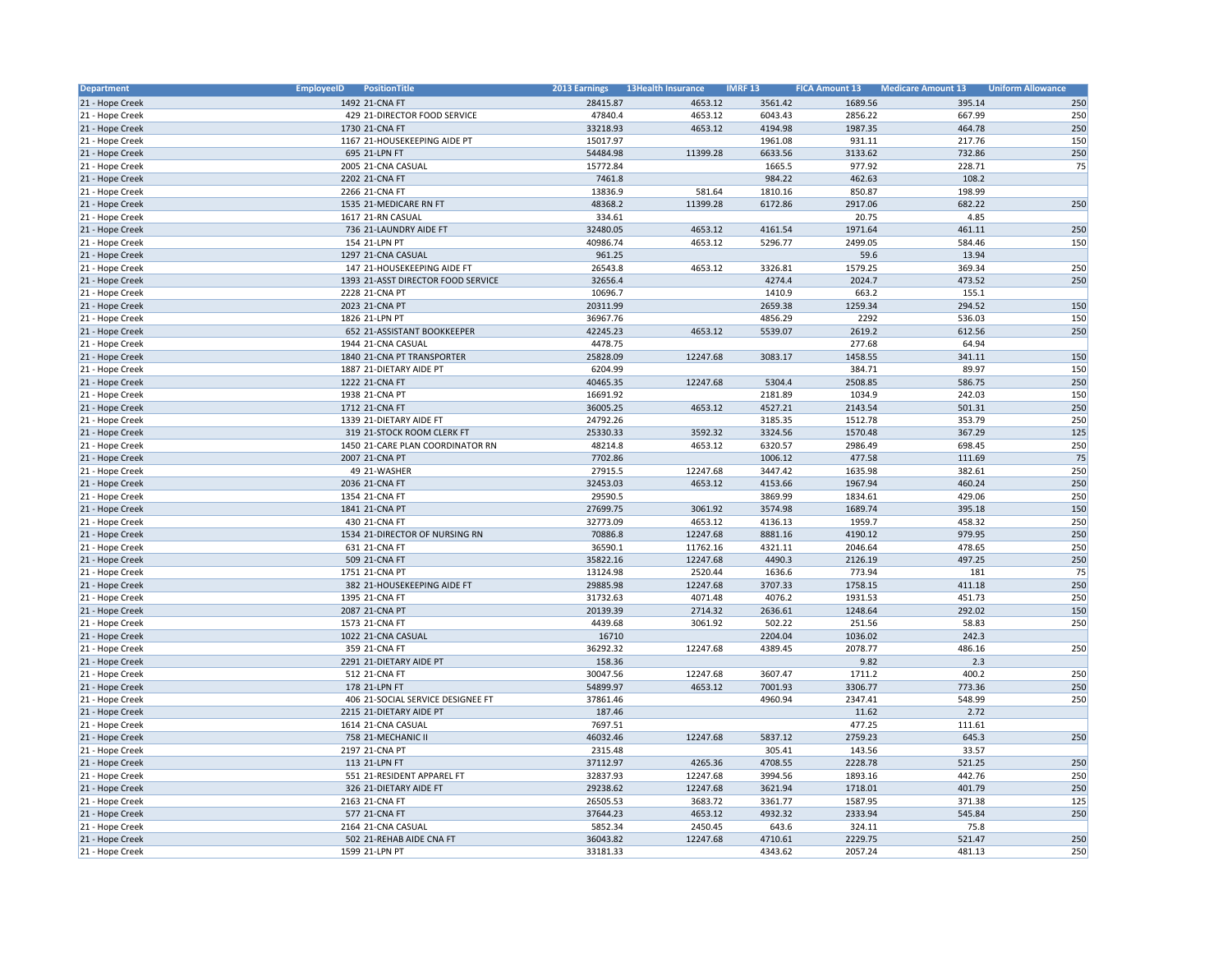| Department      | <b>EmployeeID</b><br>PositionTitle | 2013 Earnings | <b>13Health Insurance</b> | <b>IMRF13</b>     | <b>FICA Amount 13</b> | <b>Medicare Amount 13</b> | <b>Uniform Allowance</b> |
|-----------------|------------------------------------|---------------|---------------------------|-------------------|-----------------------|---------------------------|--------------------------|
| 21 - Hope Creek | 1492 21-CNA FT                     | 28415.87      | 4653.12                   | 3561.42           | 1689.56               | 395.14                    | 250                      |
| 21 - Hope Creek | 429 21-DIRECTOR FOOD SERVICE       | 47840.4       | 4653.12                   | 6043.43           | 2856.22               | 667.99                    | 250                      |
| 21 - Hope Creek | 1730 21-CNA FT                     | 33218.93      | 4653.12                   | 4194.98           | 1987.35               | 464.78                    | 250                      |
| 21 - Hope Creek | 1167 21-HOUSEKEEPING AIDE PT       | 15017.97      |                           | 1961.08           | 931.11                | 217.76                    | 150                      |
| 21 - Hope Creek | 695 21-LPN FT                      | 54484.98      | 11399.28                  | 6633.56           | 3133.62               | 732.86                    | 250                      |
| 21 - Hope Creek | 2005 21-CNA CASUAL                 | 15772.84      |                           | 1665.5            | 977.92                | 228.71                    | 75                       |
| 21 - Hope Creek | 2202 21-CNA FT                     | 7461.8        |                           | 984.22            | 462.63                | 108.2                     |                          |
| 21 - Hope Creek | 2266 21-CNA FT                     | 13836.9       | 581.64                    | 1810.16           | 850.87                | 198.99                    |                          |
| 21 - Hope Creek | 1535 21-MEDICARE RN FT             | 48368.2       | 11399.28                  | 6172.86           | 2917.06               | 682.22                    | 250                      |
| 21 - Hope Creek | 1617 21-RN CASUAL                  | 334.61        |                           |                   | 20.75                 | 4.85                      |                          |
| 21 - Hope Creek | 736 21-LAUNDRY AIDE FT             | 32480.05      | 4653.12                   | 4161.54           | 1971.64               | 461.11                    | 250                      |
| 21 - Hope Creek | 154 21-LPN PT                      | 40986.74      | 4653.12                   | 5296.77           | 2499.05               | 584.46                    | 150                      |
| 21 - Hope Creek | 1297 21-CNA CASUAL                 | 961.25        |                           |                   | 59.6                  | 13.94                     |                          |
| 21 - Hope Creek | 147 21-HOUSEKEEPING AIDE FT        | 26543.8       | 4653.12                   | 3326.81           | 1579.25               | 369.34                    | 250                      |
| 21 - Hope Creek | 1393 21-ASST DIRECTOR FOOD SERVICE | 32656.4       |                           | 4274.4            | 2024.7                | 473.52                    | 250                      |
| 21 - Hope Creek | 2228 21-CNA PT                     | 10696.7       |                           | 1410.9            | 663.2                 | 155.1                     |                          |
| 21 - Hope Creek | 2023 21-CNA PT                     | 20311.99      |                           | 2659.38           | 1259.34               | 294.52                    | 150                      |
| 21 - Hope Creek | 1826 21-LPN PT                     | 36967.76      |                           | 4856.29           | 2292                  | 536.03                    | 150                      |
| 21 - Hope Creek | 652 21-ASSISTANT BOOKKEEPER        | 42245.23      | 4653.12                   | 5539.07           | 2619.2                | 612.56                    | 250                      |
| 21 - Hope Creek | 1944 21-CNA CASUAL                 | 4478.75       |                           |                   | 277.68                | 64.94                     |                          |
| 21 - Hope Creek | 1840 21-CNA PT TRANSPORTER         | 25828.09      | 12247.68                  | 3083.17           | 1458.55               | 341.11                    | 150                      |
| 21 - Hope Creek | 1887 21-DIETARY AIDE PT            | 6204.99       |                           |                   | 384.71                | 89.97                     | 150                      |
| 21 - Hope Creek | 1222 21-CNA FT                     | 40465.35      | 12247.68                  | 5304.4            | 2508.85               | 586.75                    | 250                      |
| 21 - Hope Creek | 1938 21-CNA PT                     | 16691.92      |                           | 2181.89           | 1034.9                | 242.03                    | 150                      |
| 21 - Hope Creek | 1712 21-CNA FT                     | 36005.25      | 4653.12                   | 4527.21           | 2143.54               | 501.31                    | 250                      |
| 21 - Hope Creek | 1339 21-DIETARY AIDE FT            | 24792.26      |                           | 3185.35           | 1512.78               | 353.79                    | 250                      |
| 21 - Hope Creek | 319 21-STOCK ROOM CLERK FT         | 25330.33      | 3592.32                   | 3324.56           | 1570.48               | 367.29                    | 125                      |
| 21 - Hope Creek | 1450 21-CARE PLAN COORDINATOR RN   | 48214.8       | 4653.12                   | 6320.57           | 2986.49               | 698.45                    | 250                      |
| 21 - Hope Creek | 2007 21-CNA PT                     | 7702.86       |                           | 1006.12           | 477.58                | 111.69                    | 75                       |
| 21 - Hope Creek | 49 21-WASHER                       | 27915.5       | 12247.68                  | 3447.42           | 1635.98               | 382.61                    | 250                      |
| 21 - Hope Creek | 2036 21-CNA FT                     | 32453.03      | 4653.12                   | 4153.66           | 1967.94               | 460.24                    | 250                      |
| 21 - Hope Creek | 1354 21-CNA FT                     | 29590.5       |                           | 3869.99           | 1834.61               | 429.06                    | 250                      |
| 21 - Hope Creek | 1841 21-CNA PT                     | 27699.75      | 3061.92                   | 3574.98           | 1689.74               | 395.18                    | 150                      |
| 21 - Hope Creek | 430 21-CNA FT                      | 32773.09      | 4653.12                   | 4136.13           | 1959.7                | 458.32                    | 250                      |
| 21 - Hope Creek | 1534 21-DIRECTOR OF NURSING RN     | 70886.8       | 12247.68                  | 8881.16           | 4190.12               | 979.95                    | 250                      |
| 21 - Hope Creek | 631 21-CNA FT                      | 36590.1       | 11762.16                  | 4321.11           | 2046.64               | 478.65                    | 250                      |
| 21 - Hope Creek | 509 21-CNA FT                      | 35822.16      | 12247.68                  | 4490.3            | 2126.19               | 497.25                    | 250                      |
| 21 - Hope Creek | 1751 21-CNA PT                     | 13124.98      | 2520.44                   | 1636.6            | 773.94                | 181                       | 75                       |
| 21 - Hope Creek | 382 21-HOUSEKEEPING AIDE FT        | 29885.98      | 12247.68                  | 3707.33           | 1758.15               | 411.18                    | 250                      |
| 21 - Hope Creek | 1395 21-CNA FT                     | 31732.63      | 4071.48                   | 4076.2            | 1931.53               | 451.73                    | 250                      |
| 21 - Hope Creek | 2087 21-CNA PT                     | 20139.39      | 2714.32                   | 2636.61           | 1248.64               | 292.02                    | 150                      |
| 21 - Hope Creek | 1573 21-CNA FT                     | 4439.68       | 3061.92                   | 502.22            | 251.56                | 58.83                     | 250                      |
| 21 - Hope Creek | 1022 21-CNA CASUAL                 | 16710         |                           | 2204.04           | 1036.02               | 242.3                     |                          |
| 21 - Hope Creek | 359 21-CNA FT                      | 36292.32      | 12247.68                  | 4389.45           | 2078.77               | 486.16                    | 250                      |
| 21 - Hope Creek | 2291 21-DIETARY AIDE PT            | 158.36        |                           |                   | 9.82                  | 2.3                       |                          |
| 21 - Hope Creek | 512 21-CNA FT                      | 30047.56      | 12247.68                  | 3607.47           | 1711.2                | 400.2                     | 250                      |
| 21 - Hope Creek | 178 21-LPN FT                      | 54899.97      | 4653.12                   | 7001.93           | 3306.77               | 773.36                    | 250                      |
| 21 - Hope Creek | 406 21-SOCIAL SERVICE DESIGNEE FT  | 37861.46      |                           | 4960.94           | 2347.41               | 548.99                    | 250                      |
| 21 - Hope Creek | 2215 21-DIETARY AIDE PT            | 187.46        |                           |                   | 11.62                 | 2.72                      |                          |
| 21 - Hope Creek | 1614 21-CNA CASUAL                 | 7697.51       |                           |                   | 477.25                | 111.61                    |                          |
| 21 - Hope Creek | 758 21-MECHANIC II                 | 46032.46      | 12247.68                  | 5837.12           | 2759.23               | 645.3                     | 250                      |
| 21 - Hope Creek | 2197 21-CNA PT                     | 2315.48       |                           |                   |                       | 33.57                     |                          |
| 21 - Hope Creek | 113 21-LPN FT                      | 37112.97      | 4265.36                   | 305.41<br>4708.55 | 143.56<br>2228.78     | 521.25                    | 250                      |
|                 |                                    |               |                           |                   |                       |                           |                          |
| 21 - Hope Creek | 551 21-RESIDENT APPAREL FT         | 32837.93      | 12247.68                  | 3994.56           | 1893.16               | 442.76                    | 250<br>250               |
| 21 - Hope Creek | 326 21-DIETARY AIDE FT             | 29238.62      | 12247.68                  | 3621.94           | 1718.01               | 401.79                    |                          |
| 21 - Hope Creek | 2163 21-CNA FT                     | 26505.53      | 3683.72                   | 3361.77           | 1587.95               | 371.38                    | 125                      |
| 21 - Hope Creek | 577 21-CNA FT                      | 37644.23      | 4653.12                   | 4932.32           | 2333.94               | 545.84                    | 250                      |
| 21 - Hope Creek | 2164 21-CNA CASUAL                 | 5852.34       | 2450.45                   | 643.6             | 324.11                | 75.8                      |                          |
| 21 - Hope Creek | 502 21-REHAB AIDE CNA FT           | 36043.82      | 12247.68                  | 4710.61           | 2229.75               | 521.47                    | 250                      |
| 21 - Hope Creek | 1599 21-LPN PT                     | 33181.33      |                           | 4343.62           | 2057.24               | 481.13                    | 250                      |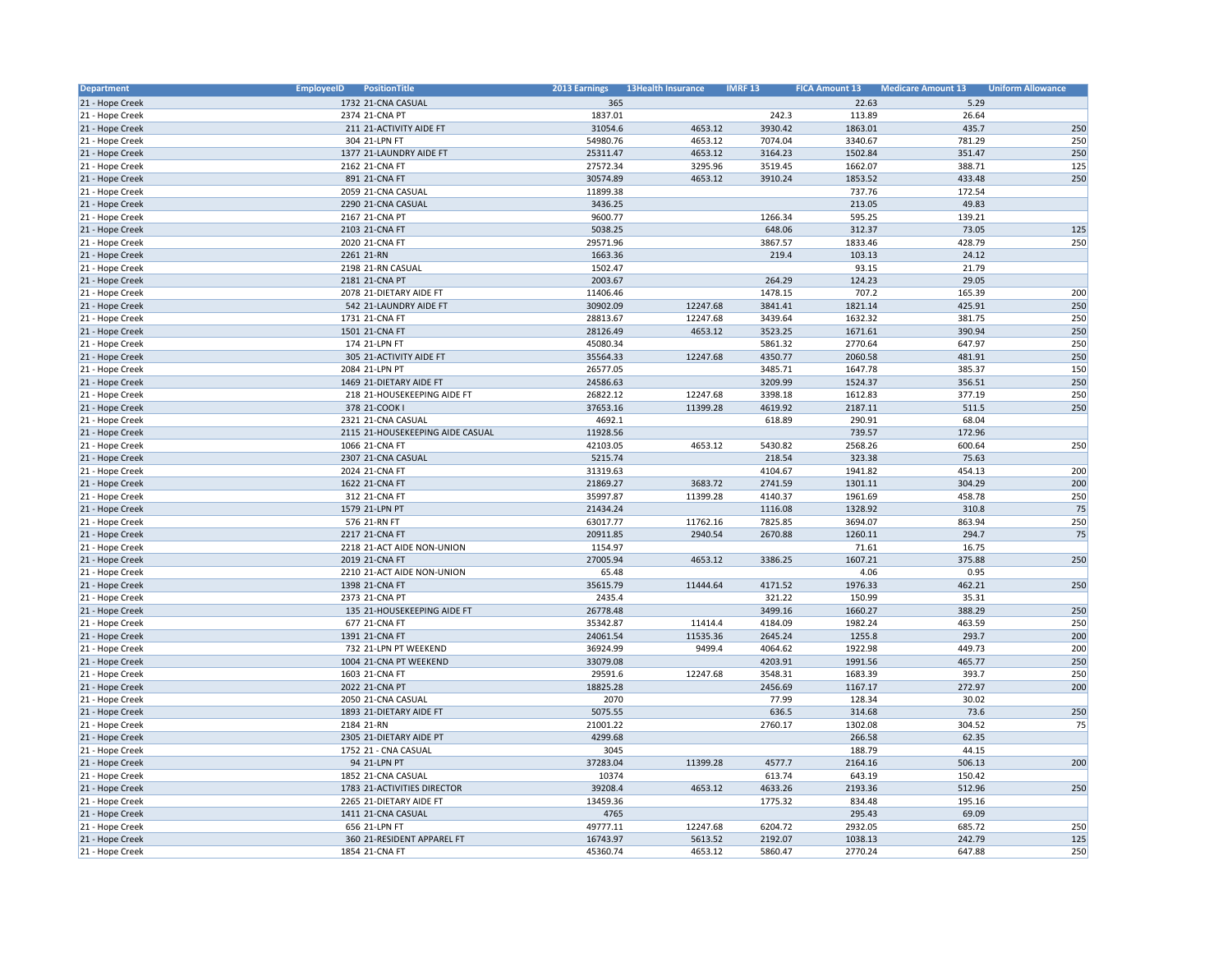| Department      | <b>EmployeeID</b><br>PositionTitle | <b>2013 Earnings</b> | <b>13Health Insurance</b> | <b>IMRF13</b> | <b>FICA Amount 13</b> | <b>Medicare Amount 13</b> | <b>Uniform Allowance</b> |
|-----------------|------------------------------------|----------------------|---------------------------|---------------|-----------------------|---------------------------|--------------------------|
| 21 - Hope Creek | 1732 21-CNA CASUAL                 | 365                  |                           |               | 22.63                 | 5.29                      |                          |
| 21 - Hope Creek | 2374 21-CNA PT                     | 1837.01              |                           | 242.3         | 113.89                | 26.64                     |                          |
| 21 - Hope Creek | 211 21-ACTIVITY AIDE FT            | 31054.6              | 4653.12                   | 3930.42       | 1863.01               | 435.7                     | 250                      |
| 21 - Hope Creek | 304 21-LPN FT                      | 54980.76             | 4653.12                   | 7074.04       | 3340.67               | 781.29                    | 250                      |
| 21 - Hope Creek | 1377 21-LAUNDRY AIDE FT            | 25311.47             | 4653.12                   | 3164.23       | 1502.84               | 351.47                    | 250                      |
| 21 - Hope Creek | 2162 21-CNA FT                     | 27572.34             | 3295.96                   | 3519.45       | 1662.07               | 388.71                    | 125                      |
| 21 - Hope Creek | 891 21-CNA FT                      | 30574.89             | 4653.12                   | 3910.24       | 1853.52               | 433.48                    | 250                      |
| 21 - Hope Creek | 2059 21-CNA CASUAL                 | 11899.38             |                           |               | 737.76                | 172.54                    |                          |
| 21 - Hope Creek | 2290 21-CNA CASUAL                 | 3436.25              |                           |               | 213.05                | 49.83                     |                          |
| 21 - Hope Creek | 2167 21-CNA PT                     | 9600.77              |                           | 1266.34       | 595.25                | 139.21                    |                          |
| 21 - Hope Creek | 2103 21-CNA FT                     | 5038.25              |                           | 648.06        | 312.37                | 73.05                     | 125                      |
| 21 - Hope Creek | 2020 21-CNA FT                     | 29571.96             |                           | 3867.57       | 1833.46               | 428.79                    | 250                      |
| 21 - Hope Creek | 2261 21-RN                         | 1663.36              |                           | 219.4         | 103.13                | 24.12                     |                          |
| 21 - Hope Creek | 2198 21-RN CASUAL                  | 1502.47              |                           |               | 93.15                 | 21.79                     |                          |
| 21 - Hope Creek | 2181 21-CNA PT                     | 2003.67              |                           | 264.29        | 124.23                | 29.05                     |                          |
| 21 - Hope Creek | 2078 21-DIETARY AIDE FT            | 11406.46             |                           | 1478.15       | 707.2                 | 165.39                    | 200                      |
| 21 - Hope Creek | 542 21-LAUNDRY AIDE FT             | 30902.09             | 12247.68                  | 3841.41       | 1821.14               | 425.91                    | 250                      |
| 21 - Hope Creek | 1731 21-CNA FT                     | 28813.67             | 12247.68                  | 3439.64       | 1632.32               | 381.75                    | 250                      |
| 21 - Hope Creek | 1501 21-CNA FT                     | 28126.49             | 4653.12                   | 3523.25       | 1671.61               | 390.94                    | 250                      |
| 21 - Hope Creek | 174 21-LPN FT                      | 45080.34             |                           | 5861.32       | 2770.64               | 647.97                    | 250                      |
| 21 - Hope Creek | 305 21-ACTIVITY AIDE FT            | 35564.33             | 12247.68                  | 4350.77       | 2060.58               | 481.91                    | 250                      |
| 21 - Hope Creek | 2084 21-LPN PT                     | 26577.05             |                           | 3485.71       | 1647.78               | 385.37                    | 150                      |
| 21 - Hope Creek | 1469 21-DIETARY AIDE FT            | 24586.63             |                           | 3209.99       | 1524.37               | 356.51                    | 250                      |
| 21 - Hope Creek | 218 21-HOUSEKEEPING AIDE FT        | 26822.12             | 12247.68                  | 3398.18       | 1612.83               | 377.19                    | 250                      |
| 21 - Hope Creek | 378 21-COOK I                      | 37653.16             | 11399.28                  | 4619.92       | 2187.11               | 511.5                     | 250                      |
| 21 - Hope Creek | 2321 21-CNA CASUAL                 | 4692.1               |                           | 618.89        | 290.91                | 68.04                     |                          |
| 21 - Hope Creek | 2115 21-HOUSEKEEPING AIDE CASUAL   | 11928.56             |                           |               | 739.57                | 172.96                    |                          |
| 21 - Hope Creek | 1066 21-CNA FT                     | 42103.05             | 4653.12                   | 5430.82       | 2568.26               | 600.64                    | 250                      |
| 21 - Hope Creek | 2307 21-CNA CASUAL                 | 5215.74              |                           | 218.54        | 323.38                | 75.63                     |                          |
| 21 - Hope Creek | 2024 21-CNA FT                     | 31319.63             |                           | 4104.67       | 1941.82               | 454.13                    | 200                      |
| 21 - Hope Creek | 1622 21-CNA FT                     | 21869.27             | 3683.72                   | 2741.59       | 1301.11               | 304.29                    | 200                      |
| 21 - Hope Creek | 312 21-CNA FT                      | 35997.87             | 11399.28                  | 4140.37       | 1961.69               | 458.78                    | 250                      |
| 21 - Hope Creek | 1579 21-LPN PT                     | 21434.24             |                           | 1116.08       | 1328.92               | 310.8                     | 75                       |
| 21 - Hope Creek | 576 21-RN FT                       | 63017.77             | 11762.16                  | 7825.85       | 3694.07               | 863.94                    | 250                      |
| 21 - Hope Creek | 2217 21-CNA FT                     | 20911.85             | 2940.54                   | 2670.88       | 1260.11               | 294.7                     | 75                       |
| 21 - Hope Creek | 2218 21-ACT AIDE NON-UNION         | 1154.97              |                           |               | 71.61                 | 16.75                     |                          |
| 21 - Hope Creek | 2019 21-CNA FT                     | 27005.94             | 4653.12                   | 3386.25       | 1607.21               | 375.88                    | 250                      |
| 21 - Hope Creek | 2210 21-ACT AIDE NON-UNION         | 65.48                |                           |               | 4.06                  | 0.95                      |                          |
| 21 - Hope Creek | 1398 21-CNA FT                     | 35615.79             | 11444.64                  | 4171.52       | 1976.33               | 462.21                    | 250                      |
| 21 - Hope Creek | 2373 21-CNA PT                     | 2435.4               |                           | 321.22        | 150.99                | 35.31                     |                          |
| 21 - Hope Creek | 135 21-HOUSEKEEPING AIDE FT        | 26778.48             |                           | 3499.16       | 1660.27               | 388.29                    | 250                      |
| 21 - Hope Creek | 677 21-CNA FT                      | 35342.87             | 11414.4                   | 4184.09       | 1982.24               | 463.59                    | 250                      |
| 21 - Hope Creek | 1391 21-CNA FT                     | 24061.54             | 11535.36                  | 2645.24       | 1255.8                | 293.7                     | 200                      |
| 21 - Hope Creek | 732 21-LPN PT WEEKEND              | 36924.99             | 9499.4                    | 4064.62       | 1922.98               | 449.73                    | 200                      |
| 21 - Hope Creek | 1004 21-CNA PT WEEKEND             | 33079.08             |                           | 4203.91       | 1991.56               | 465.77                    | 250                      |
| 21 - Hope Creek | 1603 21-CNA FT                     | 29591.6              | 12247.68                  | 3548.31       | 1683.39               | 393.7                     | 250                      |
| 21 - Hope Creek | 2022 21-CNA PT                     | 18825.28             |                           | 2456.69       | 1167.17               | 272.97                    | 200                      |
| 21 - Hope Creek | 2050 21-CNA CASUAL                 | 2070                 |                           | 77.99         | 128.34                | 30.02                     |                          |
| 21 - Hope Creek | 1893 21-DIETARY AIDE FT            | 5075.55              |                           | 636.5         | 314.68                | 73.6                      | 250                      |
| 21 - Hope Creek | 2184 21-RN                         | 21001.22             |                           | 2760.17       | 1302.08               | 304.52                    | 75                       |
| 21 - Hope Creek | 2305 21-DIETARY AIDE PT            | 4299.68              |                           |               | 266.58                | 62.35                     |                          |
| 21 - Hope Creek | 1752 21 - CNA CASUAL               | 3045                 |                           |               | 188.79                | 44.15                     |                          |
| 21 - Hope Creek | 94 21-LPN PT                       | 37283.04             | 11399.28                  | 4577.7        | 2164.16               | 506.13                    | 200                      |
| 21 - Hope Creek | 1852 21-CNA CASUAL                 | 10374                |                           | 613.74        | 643.19                | 150.42                    |                          |
| 21 - Hope Creek | 1783 21-ACTIVITIES DIRECTOR        | 39208.4              | 4653.12                   | 4633.26       | 2193.36               | 512.96                    | 250                      |
| 21 - Hope Creek | 2265 21-DIETARY AIDE FT            | 13459.36             |                           | 1775.32       | 834.48                | 195.16                    |                          |
| 21 - Hope Creek | 1411 21-CNA CASUAL                 | 4765                 |                           |               | 295.43                | 69.09                     |                          |
| 21 - Hope Creek | 656 21-LPN FT                      | 49777.11             | 12247.68                  | 6204.72       | 2932.05               | 685.72                    | 250                      |
| 21 - Hope Creek | 360 21-RESIDENT APPAREL FT         | 16743.97             | 5613.52                   | 2192.07       | 1038.13               | 242.79                    | 125                      |
| 21 - Hope Creek | 1854 21-CNA FT                     | 45360.74             | 4653.12                   | 5860.47       | 2770.24               | 647.88                    | 250                      |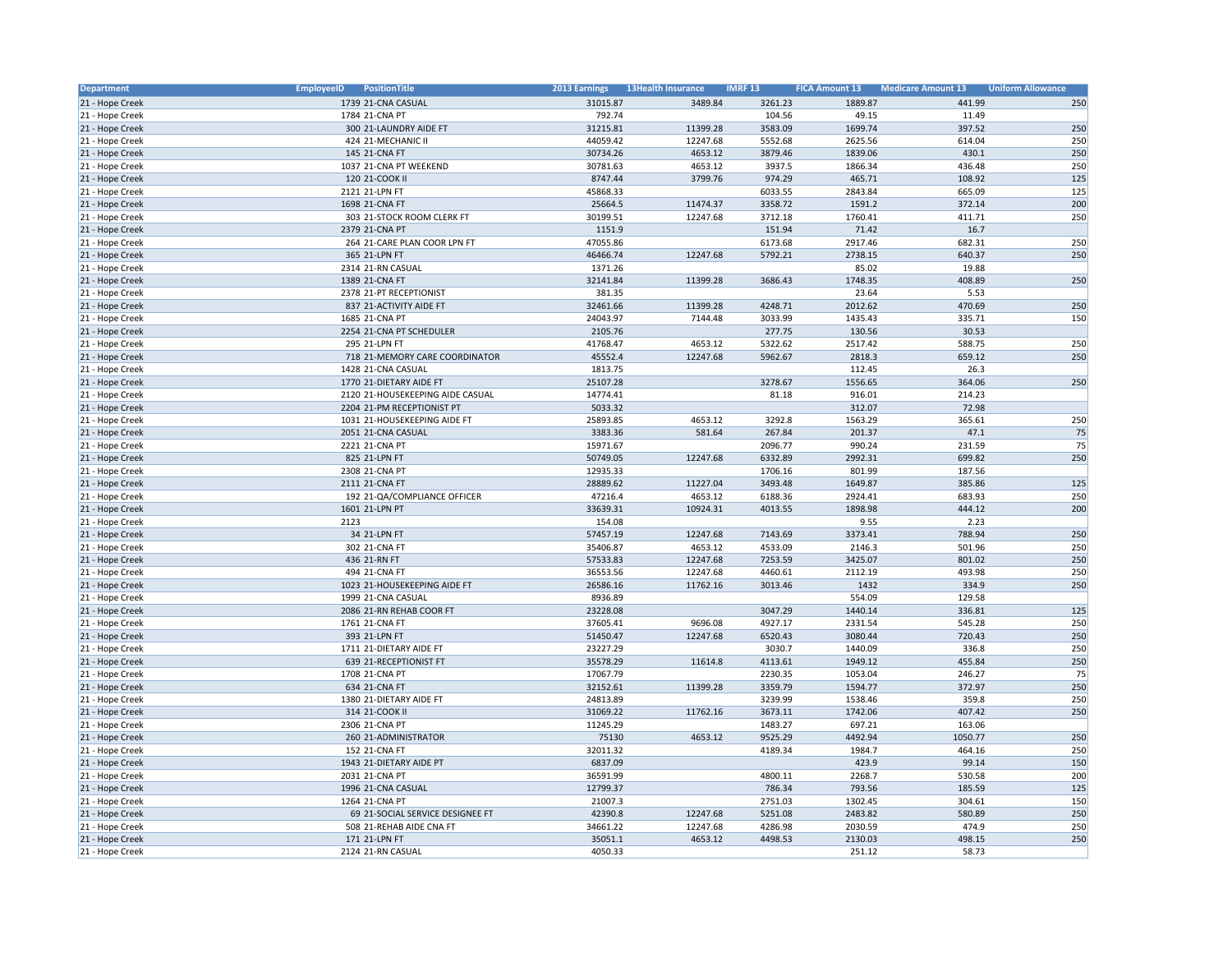| Department      | <b>EmployeeID</b><br>PositionTitle | 2013 Earnings | <b>13Health Insurance</b> | <b>IMRF13</b> | <b>FICA Amount 13</b> | <b>Medicare Amount 13</b> | <b>Uniform Allowance</b> |
|-----------------|------------------------------------|---------------|---------------------------|---------------|-----------------------|---------------------------|--------------------------|
| 21 - Hope Creek | 1739 21-CNA CASUAL                 | 31015.87      | 3489.84                   | 3261.23       | 1889.87               | 441.99                    | 250                      |
| 21 - Hope Creek | 1784 21-CNA PT                     | 792.74        |                           | 104.56        | 49.15                 | 11.49                     |                          |
| 21 - Hope Creek | 300 21-LAUNDRY AIDE FT             | 31215.81      | 11399.28                  | 3583.09       | 1699.74               | 397.52                    | 250                      |
| 21 - Hope Creek | 424 21-MECHANIC II                 | 44059.42      | 12247.68                  | 5552.68       | 2625.56               | 614.04                    | 250                      |
| 21 - Hope Creek | 145 21-CNA FT                      | 30734.26      | 4653.12                   | 3879.46       | 1839.06               | 430.1                     | 250                      |
| 21 - Hope Creek | 1037 21-CNA PT WEEKEND             | 30781.63      | 4653.12                   | 3937.5        | 1866.34               | 436.48                    | 250                      |
| 21 - Hope Creek | 120 21-COOK II                     | 8747.44       | 3799.76                   | 974.29        | 465.71                | 108.92                    | 125                      |
| 21 - Hope Creek | 2121 21-LPN FT                     | 45868.33      |                           | 6033.55       | 2843.84               | 665.09                    | 125                      |
| 21 - Hope Creek | 1698 21-CNA FT                     | 25664.5       | 11474.37                  | 3358.72       | 1591.2                | 372.14                    | 200                      |
| 21 - Hope Creek | 303 21-STOCK ROOM CLERK FT         | 30199.51      | 12247.68                  | 3712.18       | 1760.41               | 411.71                    | 250                      |
| 21 - Hope Creek | 2379 21-CNA PT                     | 1151.9        |                           | 151.94        | 71.42                 | 16.7                      |                          |
| 21 - Hope Creek | 264 21-CARE PLAN COOR LPN FT       | 47055.86      |                           | 6173.68       | 2917.46               | 682.31                    | 250                      |
|                 |                                    |               |                           | 5792.21       | 2738.15               | 640.37                    | 250                      |
| 21 - Hope Creek | 365 21-LPN FT                      | 46466.74      | 12247.68                  |               |                       |                           |                          |
| 21 - Hope Creek | 2314 21-RN CASUAL                  | 1371.26       |                           |               | 85.02                 | 19.88                     |                          |
| 21 - Hope Creek | 1389 21-CNA FT                     | 32141.84      | 11399.28                  | 3686.43       | 1748.35               | 408.89                    | 250                      |
| 21 - Hope Creek | 2378 21-PT RECEPTIONIST            | 381.35        |                           |               | 23.64                 | 5.53                      |                          |
| 21 - Hope Creek | 837 21-ACTIVITY AIDE FT            | 32461.66      | 11399.28                  | 4248.71       | 2012.62               | 470.69                    | 250                      |
| 21 - Hope Creek | 1685 21-CNA PT                     | 24043.97      | 7144.48                   | 3033.99       | 1435.43               | 335.71                    | 150                      |
| 21 - Hope Creek | 2254 21-CNA PT SCHEDULER           | 2105.76       |                           | 277.75        | 130.56                | 30.53                     |                          |
| 21 - Hope Creek | 295 21-LPN FT                      | 41768.47      | 4653.12                   | 5322.62       | 2517.42               | 588.75                    | 250                      |
| 21 - Hope Creek | 718 21-MEMORY CARE COORDINATOR     | 45552.4       | 12247.68                  | 5962.67       | 2818.3                | 659.12                    | 250                      |
| 21 - Hope Creek | 1428 21-CNA CASUAL                 | 1813.75       |                           |               | 112.45                | 26.3                      |                          |
| 21 - Hope Creek | 1770 21-DIETARY AIDE FT            | 25107.28      |                           | 3278.67       | 1556.65               | 364.06                    | 250                      |
| 21 - Hope Creek | 2120 21-HOUSEKEEPING AIDE CASUAL   | 14774.41      |                           | 81.18         | 916.01                | 214.23                    |                          |
| 21 - Hope Creek | 2204 21-PM RECEPTIONIST PT         | 5033.32       |                           |               | 312.07                | 72.98                     |                          |
| 21 - Hope Creek | 1031 21-HOUSEKEEPING AIDE FT       | 25893.85      | 4653.12                   | 3292.8        | 1563.29               | 365.61                    | 250                      |
| 21 - Hope Creek | 2051 21-CNA CASUAL                 | 3383.36       | 581.64                    | 267.84        | 201.37                | 47.1                      | 75                       |
| 21 - Hope Creek | 2221 21-CNA PT                     | 15971.67      |                           | 2096.77       | 990.24                | 231.59                    | 75                       |
| 21 - Hope Creek | 825 21-LPN FT                      | 50749.05      | 12247.68                  | 6332.89       | 2992.31               | 699.82                    | 250                      |
| 21 - Hope Creek | 2308 21-CNA PT                     | 12935.33      |                           | 1706.16       | 801.99                | 187.56                    |                          |
| 21 - Hope Creek | 2111 21-CNA FT                     | 28889.62      | 11227.04                  | 3493.48       | 1649.87               | 385.86                    | 125                      |
| 21 - Hope Creek | 192 21-QA/COMPLIANCE OFFICER       | 47216.4       | 4653.12                   | 6188.36       | 2924.41               | 683.93                    | 250                      |
| 21 - Hope Creek | 1601 21-LPN PT                     | 33639.31      | 10924.31                  | 4013.55       | 1898.98               | 444.12                    | 200                      |
| 21 - Hope Creek | 2123                               | 154.08        |                           |               | 9.55                  | 2.23                      |                          |
| 21 - Hope Creek | 34 21-LPN FT                       | 57457.19      | 12247.68                  | 7143.69       | 3373.41               | 788.94                    | 250                      |
| 21 - Hope Creek | 302 21-CNA FT                      | 35406.87      | 4653.12                   | 4533.09       | 2146.3                | 501.96                    | 250                      |
| 21 - Hope Creek | 436 21-RN FT                       | 57533.83      | 12247.68                  | 7253.59       | 3425.07               | 801.02                    | 250                      |
| 21 - Hope Creek | 494 21-CNA FT                      | 36553.56      | 12247.68                  | 4460.61       | 2112.19               | 493.98                    | 250                      |
| 21 - Hope Creek | 1023 21-HOUSEKEEPING AIDE FT       | 26586.16      | 11762.16                  | 3013.46       | 1432                  | 334.9                     | 250                      |
| 21 - Hope Creek | 1999 21-CNA CASUAL                 | 8936.89       |                           |               | 554.09                | 129.58                    |                          |
| 21 - Hope Creek | 2086 21-RN REHAB COOR FT           | 23228.08      |                           | 3047.29       | 1440.14               | 336.81                    | 125                      |
| 21 - Hope Creek | 1761 21-CNA FT                     | 37605.41      | 9696.08                   | 4927.17       | 2331.54               | 545.28                    | 250                      |
|                 |                                    |               |                           |               |                       |                           | 250                      |
| 21 - Hope Creek | 393 21-LPN FT                      | 51450.47      | 12247.68                  | 6520.43       | 3080.44               | 720.43                    |                          |
| 21 - Hope Creek | 1711 21-DIETARY AIDE FT            | 23227.29      |                           | 3030.7        | 1440.09               | 336.8                     | 250                      |
| 21 - Hope Creek | 639 21-RECEPTIONIST FT             | 35578.29      | 11614.8                   | 4113.61       | 1949.12               | 455.84                    | 250                      |
| 21 - Hope Creek | 1708 21-CNA PT                     | 17067.79      |                           | 2230.35       | 1053.04               | 246.27                    | 75                       |
| 21 - Hope Creek | 634 21-CNA FT                      | 32152.61      | 11399.28                  | 3359.79       | 1594.77               | 372.97                    | 250                      |
| 21 - Hope Creek | 1380 21-DIETARY AIDE FT            | 24813.89      |                           | 3239.99       | 1538.46               | 359.8                     | 250                      |
| 21 - Hope Creek | 314 21-COOK II                     | 31069.22      | 11762.16                  | 3673.11       | 1742.06               | 407.42                    | 250                      |
| 21 - Hope Creek | 2306 21-CNA PT                     | 11245.29      |                           | 1483.27       | 697.21                | 163.06                    |                          |
| 21 - Hope Creek | 260 21-ADMINISTRATOR               | 75130         | 4653.12                   | 9525.29       | 4492.94               | 1050.77                   | 250                      |
| 21 - Hope Creek | 152 21-CNA FT                      | 32011.32      |                           | 4189.34       | 1984.7                | 464.16                    | 250                      |
| 21 - Hope Creek | 1943 21-DIETARY AIDE PT            | 6837.09       |                           |               | 423.9                 | 99.14                     | 150                      |
| 21 - Hope Creek | 2031 21-CNA PT                     | 36591.99      |                           | 4800.11       | 2268.7                | 530.58                    | 200                      |
| 21 - Hope Creek | 1996 21-CNA CASUAL                 | 12799.37      |                           | 786.34        | 793.56                | 185.59                    | 125                      |
| 21 - Hope Creek | 1264 21-CNA PT                     | 21007.3       |                           | 2751.03       | 1302.45               | 304.61                    | 150                      |
| 21 - Hope Creek | 69 21-SOCIAL SERVICE DESIGNEE FT   | 42390.8       | 12247.68                  | 5251.08       | 2483.82               | 580.89                    | 250                      |
| 21 - Hope Creek | 508 21-REHAB AIDE CNA FT           | 34661.22      | 12247.68                  | 4286.98       | 2030.59               | 474.9                     | 250                      |
| 21 - Hope Creek | 171 21-LPN FT                      | 35051.1       | 4653.12                   | 4498.53       | 2130.03               | 498.15                    | 250                      |
| 21 - Hope Creek | 2124 21-RN CASUAL                  | 4050.33       |                           |               | 251.12                | 58.73                     |                          |
|                 |                                    |               |                           |               |                       |                           |                          |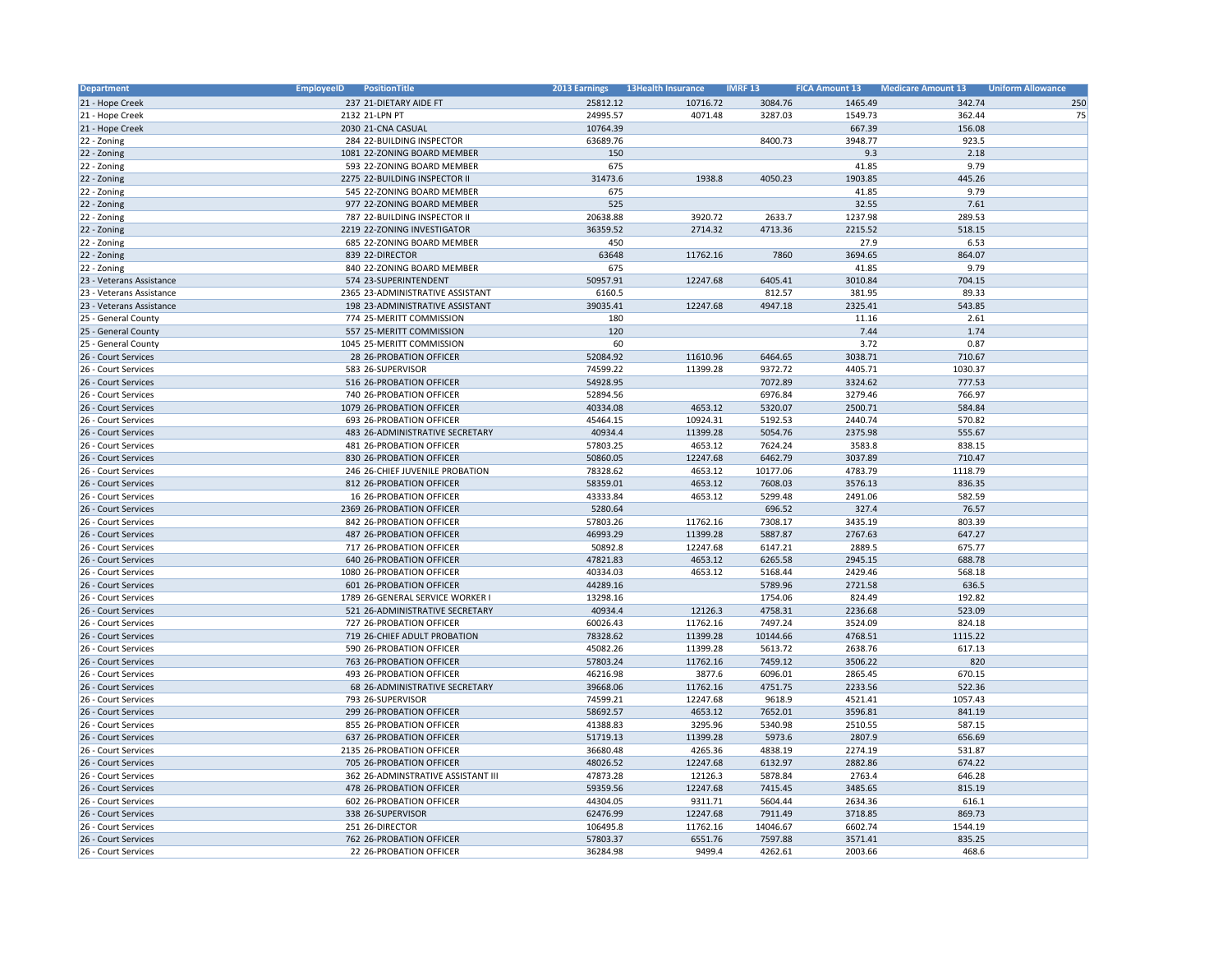| Department                                 | PositionTitle<br><b>EmployeeID</b> | 2013 Earnings | <b>13Health Insurance</b> | <b>IMRF 13</b> | <b>FICA Amount 13</b> | <b>Medicare Amount 13</b> | <b>Uniform Allowance</b> |
|--------------------------------------------|------------------------------------|---------------|---------------------------|----------------|-----------------------|---------------------------|--------------------------|
| 21 - Hope Creek                            | 237 21-DIETARY AIDE FT             | 25812.12      | 10716.72                  | 3084.76        | 1465.49               | 342.74                    | 250                      |
| 21 - Hope Creek                            | 2132 21-LPN PT                     | 24995.57      | 4071.48                   | 3287.03        | 1549.73               | 362.44                    | 75                       |
| 21 - Hope Creek                            | 2030 21-CNA CASUAL                 | 10764.39      |                           |                | 667.39                | 156.08                    |                          |
| 22 - Zoning                                | 284 22-BUILDING INSPECTOR          | 63689.76      |                           | 8400.73        | 3948.77               | 923.5                     |                          |
| 22 - Zoning                                | 1081 22-ZONING BOARD MEMBER        | 150           |                           |                | 9.3                   | 2.18                      |                          |
| 22 - Zoning                                | 593 22-ZONING BOARD MEMBER         | 675           |                           |                | 41.85                 | 9.79                      |                          |
| 22 - Zoning                                | 2275 22-BUILDING INSPECTOR II      | 31473.6       | 1938.8                    | 4050.23        | 1903.85               | 445.26                    |                          |
| 22 - Zoning                                | 545 22-ZONING BOARD MEMBER         | 675           |                           |                | 41.85                 | 9.79                      |                          |
| 22 - Zoning                                | 977 22-ZONING BOARD MEMBER         | 525           |                           |                | 32.55                 | 7.61                      |                          |
| 22 - Zoning                                | 787 22-BUILDING INSPECTOR II       | 20638.88      | 3920.72                   | 2633.7         | 1237.98               | 289.53                    |                          |
| 22 - Zoning                                | 2219 22-ZONING INVESTIGATOR        | 36359.52      | 2714.32                   | 4713.36        | 2215.52               | 518.15                    |                          |
| 22 - Zoning                                | 685 22-ZONING BOARD MEMBER         | 450           |                           |                | 27.9                  | 6.53                      |                          |
| 22 - Zoning                                | 839 22-DIRECTOR                    | 63648         | 11762.16                  | 7860           | 3694.65               | 864.07                    |                          |
| 22 - Zoning                                | 840 22-ZONING BOARD MEMBER         | 675           |                           |                | 41.85                 | 9.79                      |                          |
| 23 - Veterans Assistance                   | 574 23-SUPERINTENDENT              | 50957.91      | 12247.68                  | 6405.41        | 3010.84               | 704.15                    |                          |
| 23 - Veterans Assistance                   | 2365 23-ADMINISTRATIVE ASSISTANT   | 6160.5        |                           | 812.57         | 381.95                | 89.33                     |                          |
| 23 - Veterans Assistance                   | 198 23-ADMINISTRATIVE ASSISTANT    | 39035.41      | 12247.68                  | 4947.18        | 2325.41               | 543.85                    |                          |
|                                            | 774 25-MERITT COMMISSION           | 180           |                           |                | 11.16                 | 2.61                      |                          |
| 25 - General County<br>25 - General County | 557 25-MERITT COMMISSION           | 120           |                           |                | 7.44                  | 1.74                      |                          |
|                                            |                                    | 60            |                           |                |                       |                           |                          |
| 25 - General County                        | 1045 25-MERITT COMMISSION          |               |                           |                | 3.72                  | 0.87                      |                          |
| 26 - Court Services                        | 28 26-PROBATION OFFICER            | 52084.92      | 11610.96                  | 6464.65        | 3038.71               | 710.67                    |                          |
| 26 - Court Services                        | 583 26-SUPERVISOR                  | 74599.22      | 11399.28                  | 9372.72        | 4405.71               | 1030.37                   |                          |
| 26 - Court Services                        | 516 26-PROBATION OFFICER           | 54928.95      |                           | 7072.89        | 3324.62               | 777.53                    |                          |
| 26 - Court Services                        | 740 26-PROBATION OFFICER           | 52894.56      |                           | 6976.84        | 3279.46               | 766.97                    |                          |
| 26 - Court Services                        | 1079 26-PROBATION OFFICER          | 40334.08      | 4653.12                   | 5320.07        | 2500.71               | 584.84                    |                          |
| 26 - Court Services                        | 693 26-PROBATION OFFICER           | 45464.15      | 10924.31                  | 5192.53        | 2440.74               | 570.82                    |                          |
| 26 - Court Services                        | 483 26-ADMINISTRATIVE SECRETARY    | 40934.4       | 11399.28                  | 5054.76        | 2375.98               | 555.67                    |                          |
| 26 - Court Services                        | 481 26-PROBATION OFFICER           | 57803.25      | 4653.12                   | 7624.24        | 3583.8                | 838.15                    |                          |
| 26 - Court Services                        | 830 26-PROBATION OFFICER           | 50860.05      | 12247.68                  | 6462.79        | 3037.89               | 710.47                    |                          |
| 26 - Court Services                        | 246 26-CHIEF JUVENILE PROBATION    | 78328.62      | 4653.12                   | 10177.06       | 4783.79               | 1118.79                   |                          |
| 26 - Court Services                        | 812 26-PROBATION OFFICER           | 58359.01      | 4653.12                   | 7608.03        | 3576.13               | 836.35                    |                          |
| 26 - Court Services                        | 16 26-PROBATION OFFICER            | 43333.84      | 4653.12                   | 5299.48        | 2491.06               | 582.59                    |                          |
| 26 - Court Services                        | 2369 26-PROBATION OFFICER          | 5280.64       |                           | 696.52         | 327.4                 | 76.57                     |                          |
| 26 - Court Services                        | 842 26-PROBATION OFFICER           | 57803.26      | 11762.16                  | 7308.17        | 3435.19               | 803.39                    |                          |
| 26 - Court Services                        | 487 26-PROBATION OFFICER           | 46993.29      | 11399.28                  | 5887.87        | 2767.63               | 647.27                    |                          |
| 26 - Court Services                        | 717 26-PROBATION OFFICER           | 50892.8       | 12247.68                  | 6147.21        | 2889.5                | 675.77                    |                          |
| 26 - Court Services                        | 640 26-PROBATION OFFICER           | 47821.83      | 4653.12                   | 6265.58        | 2945.15               | 688.78                    |                          |
| 26 - Court Services                        | 1080 26-PROBATION OFFICER          | 40334.03      | 4653.12                   | 5168.44        | 2429.46               | 568.18                    |                          |
| 26 - Court Services                        | 601 26-PROBATION OFFICER           | 44289.16      |                           | 5789.96        | 2721.58               | 636.5                     |                          |
| 26 - Court Services                        | 1789 26-GENERAL SERVICE WORKER I   | 13298.16      |                           | 1754.06        | 824.49                | 192.82                    |                          |
| 26 - Court Services                        | 521 26-ADMINISTRATIVE SECRETARY    | 40934.4       | 12126.3                   | 4758.31        | 2236.68               | 523.09                    |                          |
| 26 - Court Services                        | 727 26-PROBATION OFFICER           | 60026.43      | 11762.16                  | 7497.24        | 3524.09               | 824.18                    |                          |
| 26 - Court Services                        | 719 26-CHIEF ADULT PROBATION       | 78328.62      | 11399.28                  | 10144.66       | 4768.51               | 1115.22                   |                          |
| 26 - Court Services                        | 590 26-PROBATION OFFICER           | 45082.26      | 11399.28                  | 5613.72        | 2638.76               | 617.13                    |                          |
| 26 - Court Services                        | 763 26-PROBATION OFFICER           | 57803.24      | 11762.16                  | 7459.12        | 3506.22               | 820                       |                          |
| 26 - Court Services                        | 493 26-PROBATION OFFICER           | 46216.98      | 3877.6                    | 6096.01        | 2865.45               | 670.15                    |                          |
| 26 - Court Services                        | 68 26-ADMINISTRATIVE SECRETARY     | 39668.06      | 11762.16                  | 4751.75        | 2233.56               | 522.36                    |                          |
| 26 - Court Services                        | 793 26-SUPERVISOR                  | 74599.21      | 12247.68                  | 9618.9         | 4521.41               | 1057.43                   |                          |
| 26 - Court Services                        | 299 26-PROBATION OFFICER           | 58692.57      | 4653.12                   | 7652.01        | 3596.81               | 841.19                    |                          |
| 26 - Court Services                        | 855 26-PROBATION OFFICER           | 41388.83      | 3295.96                   | 5340.98        | 2510.55               | 587.15                    |                          |
| 26 - Court Services                        | 637 26-PROBATION OFFICER           | 51719.13      | 11399.28                  | 5973.6         | 2807.9                | 656.69                    |                          |
| 26 - Court Services                        | 2135 26-PROBATION OFFICER          | 36680.48      | 4265.36                   | 4838.19        | 2274.19               | 531.87                    |                          |
| 26 - Court Services                        | 705 26-PROBATION OFFICER           | 48026.52      | 12247.68                  | 6132.97        | 2882.86               | 674.22                    |                          |
| 26 - Court Services                        | 362 26-ADMINSTRATIVE ASSISTANT III | 47873.28      | 12126.3                   | 5878.84        | 2763.4                | 646.28                    |                          |
| 26 - Court Services                        | 478 26-PROBATION OFFICER           | 59359.56      | 12247.68                  | 7415.45        | 3485.65               | 815.19                    |                          |
| 26 - Court Services                        | 602 26-PROBATION OFFICER           | 44304.05      | 9311.71                   | 5604.44        | 2634.36               | 616.1                     |                          |
| 26 - Court Services                        | 338 26-SUPERVISOR                  | 62476.99      | 12247.68                  | 7911.49        | 3718.85               | 869.73                    |                          |
| 26 - Court Services                        | 251 26-DIRECTOR                    | 106495.8      | 11762.16                  | 14046.67       | 6602.74               | 1544.19                   |                          |
| 26 - Court Services                        | 762 26-PROBATION OFFICER           | 57803.37      | 6551.76                   | 7597.88        | 3571.41               | 835.25                    |                          |
| 26 - Court Services                        | 22 26-PROBATION OFFICER            | 36284.98      | 9499.4                    | 4262.61        | 2003.66               | 468.6                     |                          |
|                                            |                                    |               |                           |                |                       |                           |                          |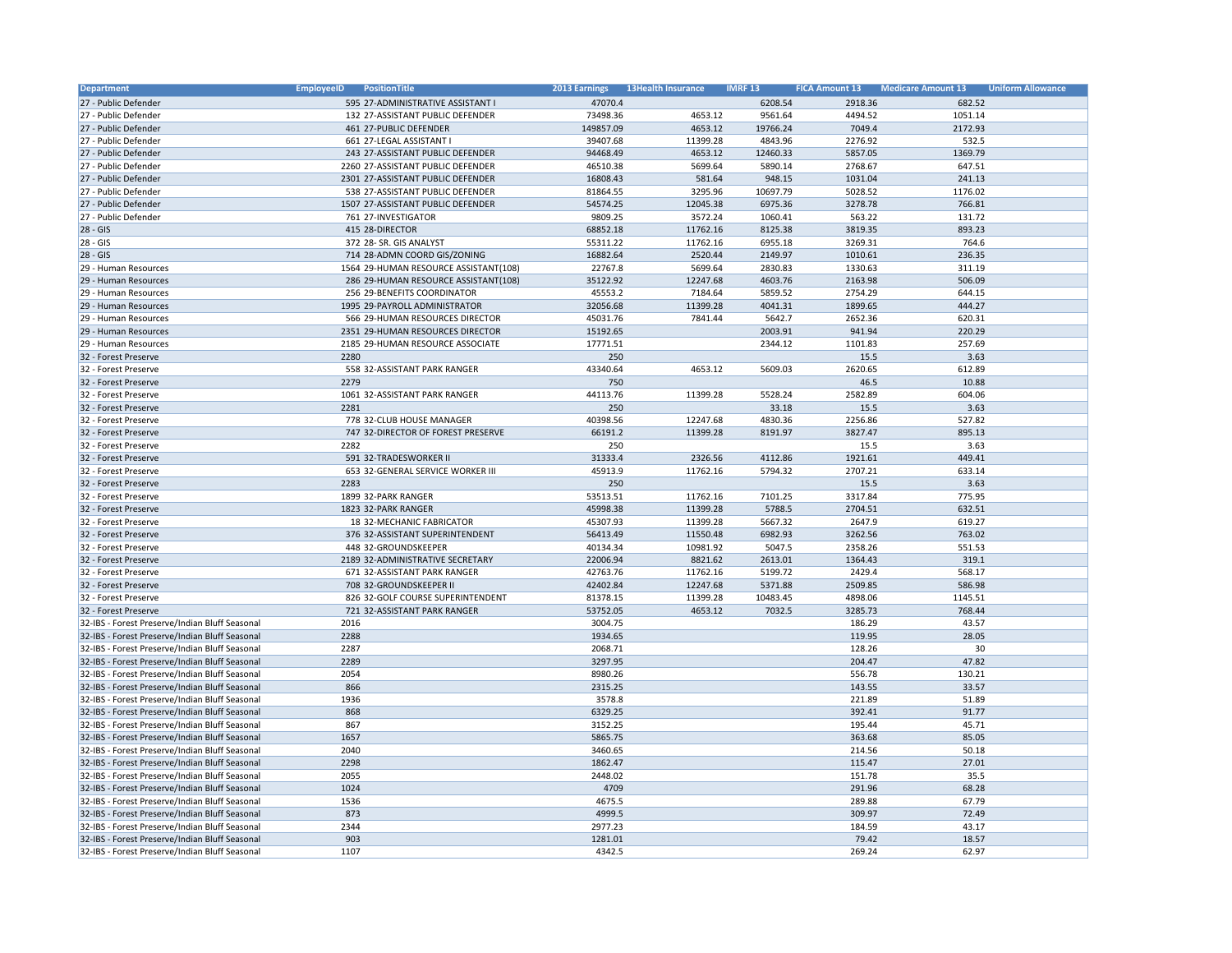| <b>Department</b>                              | <b>EmployeeID</b> | <b>PositionTitle</b>                                            | 2013 Earnings       | <b>13Health Insurance</b> | <b>IMRF 13</b>     | <b>FICA Amount 13</b> | <b>Medicare Amount 13</b> | <b>Uniform Allowance</b> |
|------------------------------------------------|-------------------|-----------------------------------------------------------------|---------------------|---------------------------|--------------------|-----------------------|---------------------------|--------------------------|
| 27 - Public Defender                           |                   | 595 27-ADMINISTRATIVE ASSISTANT I                               | 47070.4             |                           | 6208.54            | 2918.36               | 682.52                    |                          |
| 27 - Public Defender                           |                   | 132 27-ASSISTANT PUBLIC DEFENDER                                | 73498.36            | 4653.12                   | 9561.64            | 4494.52               | 1051.14                   |                          |
| 27 - Public Defender                           |                   | 461 27-PUBLIC DEFENDER                                          | 149857.09           | 4653.12                   | 19766.24           | 7049.4                | 2172.93                   |                          |
| 27 - Public Defender                           |                   | 661 27-LEGAL ASSISTANT I                                        | 39407.68            | 11399.28                  | 4843.96            | 2276.92               | 532.5                     |                          |
| 27 - Public Defender                           |                   | 243 27-ASSISTANT PUBLIC DEFENDER                                | 94468.49            | 4653.12                   | 12460.33           | 5857.05               | 1369.79                   |                          |
| 27 - Public Defender                           |                   | 2260 27-ASSISTANT PUBLIC DEFENDER                               | 46510.38            | 5699.64                   | 5890.14            | 2768.67               | 647.51                    |                          |
| 27 - Public Defender                           |                   | 2301 27-ASSISTANT PUBLIC DEFENDER                               | 16808.43            | 581.64                    | 948.15             | 1031.04               | 241.13                    |                          |
| 27 - Public Defender                           |                   | 538 27-ASSISTANT PUBLIC DEFENDER                                | 81864.55            | 3295.96                   | 10697.79           | 5028.52               | 1176.02                   |                          |
| 27 - Public Defender                           |                   | 1507 27-ASSISTANT PUBLIC DEFENDER                               | 54574.25            | 12045.38                  | 6975.36            | 3278.78               | 766.81                    |                          |
| 27 - Public Defender                           |                   | 761 27-INVESTIGATOR                                             | 9809.25             | 3572.24                   | 1060.41            | 563.22                | 131.72                    |                          |
| $28 - GIS$                                     |                   | 415 28-DIRECTOR                                                 | 68852.18            | 11762.16                  | 8125.38            | 3819.35               | 893.23                    |                          |
| $28 - GIS$                                     |                   | 372 28- SR. GIS ANALYST                                         | 55311.22            | 11762.16                  | 6955.18            | 3269.31               | 764.6                     |                          |
| $28 - GIS$                                     |                   | 714 28-ADMN COORD GIS/ZONING                                    | 16882.64            | 2520.44                   | 2149.97            | 1010.61               | 236.35                    |                          |
| 29 - Human Resources                           |                   | 1564 29-HUMAN RESOURCE ASSISTANT(108)                           | 22767.8             | 5699.64                   | 2830.83            | 1330.63               | 311.19                    |                          |
| 29 - Human Resources                           |                   | 286 29-HUMAN RESOURCE ASSISTANT(108)                            | 35122.92            | 12247.68                  | 4603.76            | 2163.98               | 506.09                    |                          |
| 29 - Human Resources                           |                   | 256 29-BENEFITS COORDINATOR                                     | 45553.2             | 7184.64                   | 5859.52            | 2754.29               | 644.15                    |                          |
| 29 - Human Resources                           |                   | 1995 29-PAYROLL ADMINISTRATOR                                   | 32056.68            | 11399.28                  | 4041.31            | 1899.65               | 444.27                    |                          |
| 29 - Human Resources                           |                   | 566 29-HUMAN RESOURCES DIRECTOR                                 | 45031.76            | 7841.44                   | 5642.7             | 2652.36               | 620.31                    |                          |
| 29 - Human Resources                           |                   | 2351 29-HUMAN RESOURCES DIRECTOR                                | 15192.65            |                           | 2003.91            | 941.94                | 220.29                    |                          |
| 29 - Human Resources                           |                   | 2185 29-HUMAN RESOURCE ASSOCIATE                                | 17771.51            |                           | 2344.12            | 1101.83               | 257.69                    |                          |
| 32 - Forest Preserve                           | 2280              |                                                                 | 250                 |                           |                    | 15.5                  | 3.63                      |                          |
| 32 - Forest Preserve                           |                   | 558 32-ASSISTANT PARK RANGER                                    | 43340.64            | 4653.12                   | 5609.03            | 2620.65               | 612.89                    |                          |
| 32 - Forest Preserve                           | 2279              |                                                                 | 750                 |                           |                    | 46.5                  | 10.88                     |                          |
| 32 - Forest Preserve                           |                   | 1061 32-ASSISTANT PARK RANGER                                   | 44113.76            | 11399.28                  | 5528.24            | 2582.89               | 604.06                    |                          |
| 32 - Forest Preserve                           | 2281              |                                                                 | 250                 |                           | 33.18              | 15.5                  | 3.63                      |                          |
|                                                |                   |                                                                 |                     |                           |                    |                       |                           |                          |
| 32 - Forest Preserve                           |                   | 778 32-CLUB HOUSE MANAGER<br>747 32-DIRECTOR OF FOREST PRESERVE | 40398.56<br>66191.2 | 12247.68<br>11399.28      | 4830.36<br>8191.97 | 2256.86<br>3827.47    | 527.82<br>895.13          |                          |
| 32 - Forest Preserve<br>32 - Forest Preserve   | 2282              |                                                                 | 250                 |                           |                    | 15.5                  | 3.63                      |                          |
|                                                |                   | 591 32-TRADESWORKER II                                          |                     | 2326.56                   | 4112.86            |                       | 449.41                    |                          |
| 32 - Forest Preserve                           |                   |                                                                 | 31333.4             |                           |                    | 1921.61               |                           |                          |
| 32 - Forest Preserve                           |                   | 653 32-GENERAL SERVICE WORKER III                               | 45913.9             | 11762.16                  | 5794.32            | 2707.21               | 633.14                    |                          |
| 32 - Forest Preserve                           | 2283              |                                                                 | 250                 |                           |                    | 15.5                  | 3.63                      |                          |
| 32 - Forest Preserve                           |                   | 1899 32-PARK RANGER                                             | 53513.51            | 11762.16                  | 7101.25            | 3317.84               | 775.95                    |                          |
| 32 - Forest Preserve                           |                   | 1823 32-PARK RANGER                                             | 45998.38            | 11399.28                  | 5788.5             | 2704.51               | 632.51                    |                          |
| 32 - Forest Preserve                           |                   | 18 32-MECHANIC FABRICATOR                                       | 45307.93            | 11399.28                  | 5667.32            | 2647.9                | 619.27                    |                          |
| 32 - Forest Preserve                           |                   | 376 32-ASSISTANT SUPERINTENDENT                                 | 56413.49            | 11550.48                  | 6982.93            | 3262.56               | 763.02                    |                          |
| 32 - Forest Preserve                           |                   | 448 32-GROUNDSKEEPER                                            | 40134.34            | 10981.92                  | 5047.5             | 2358.26               | 551.53                    |                          |
| 32 - Forest Preserve                           |                   | 2189 32-ADMINISTRATIVE SECRETARY                                | 22006.94            | 8821.62                   | 2613.01            | 1364.43               | 319.1                     |                          |
| 32 - Forest Preserve                           |                   | 671 32-ASSISTANT PARK RANGER                                    | 42763.76            | 11762.16                  | 5199.72            | 2429.4                | 568.17                    |                          |
| 32 - Forest Preserve                           |                   | 708 32-GROUNDSKEEPER II                                         | 42402.84            | 12247.68                  | 5371.88            | 2509.85               | 586.98                    |                          |
| 32 - Forest Preserve                           |                   | 826 32-GOLF COURSE SUPERINTENDENT                               | 81378.15            | 11399.28                  | 10483.45           | 4898.06               | 1145.51                   |                          |
| 32 - Forest Preserve                           |                   | 721 32-ASSISTANT PARK RANGER                                    | 53752.05            | 4653.12                   | 7032.5             | 3285.73               | 768.44                    |                          |
| 32-IBS - Forest Preserve/Indian Bluff Seasonal | 2016              |                                                                 | 3004.75             |                           |                    | 186.29                | 43.57                     |                          |
| 32-IBS - Forest Preserve/Indian Bluff Seasonal | 2288              |                                                                 | 1934.65             |                           |                    | 119.95                | 28.05                     |                          |
| 32-IBS - Forest Preserve/Indian Bluff Seasonal | 2287              |                                                                 | 2068.71             |                           |                    | 128.26                | 30                        |                          |
| 32-IBS - Forest Preserve/Indian Bluff Seasonal | 2289              |                                                                 | 3297.95             |                           |                    | 204.47                | 47.82                     |                          |
| 32-IBS - Forest Preserve/Indian Bluff Seasonal | 2054              |                                                                 | 8980.26             |                           |                    | 556.78                | 130.21                    |                          |
| 32-IBS - Forest Preserve/Indian Bluff Seasonal | 866               |                                                                 | 2315.25             |                           |                    | 143.55                | 33.57                     |                          |
| 32-IBS - Forest Preserve/Indian Bluff Seasonal | 1936              |                                                                 | 3578.8              |                           |                    | 221.89                | 51.89                     |                          |
| 32-IBS - Forest Preserve/Indian Bluff Seasonal | 868               |                                                                 | 6329.25             |                           |                    | 392.41                | 91.77                     |                          |
| 32-IBS - Forest Preserve/Indian Bluff Seasonal | 867               |                                                                 | 3152.25             |                           |                    | 195.44                | 45.71                     |                          |
| 32-IBS - Forest Preserve/Indian Bluff Seasonal | 1657              |                                                                 | 5865.75             |                           |                    | 363.68                | 85.05                     |                          |
| 32-IBS - Forest Preserve/Indian Bluff Seasonal | 2040              |                                                                 | 3460.65             |                           |                    | 214.56                | 50.18                     |                          |
| 32-IBS - Forest Preserve/Indian Bluff Seasonal | 2298              |                                                                 | 1862.47             |                           |                    | 115.47                | 27.01                     |                          |
| 32-IBS - Forest Preserve/Indian Bluff Seasonal | 2055              |                                                                 | 2448.02             |                           |                    | 151.78                | 35.5                      |                          |
| 32-IBS - Forest Preserve/Indian Bluff Seasonal | 1024              |                                                                 | 4709                |                           |                    | 291.96                | 68.28                     |                          |
| 32-IBS - Forest Preserve/Indian Bluff Seasonal | 1536              |                                                                 | 4675.5              |                           |                    | 289.88                | 67.79                     |                          |
| 32-IBS - Forest Preserve/Indian Bluff Seasonal | 873               |                                                                 | 4999.5              |                           |                    | 309.97                | 72.49                     |                          |
| 32-IBS - Forest Preserve/Indian Bluff Seasonal | 2344              |                                                                 | 2977.23             |                           |                    | 184.59                | 43.17                     |                          |
| 32-IBS - Forest Preserve/Indian Bluff Seasonal | 903               |                                                                 | 1281.01             |                           |                    | 79.42                 | 18.57                     |                          |
| 32-IBS - Forest Preserve/Indian Bluff Seasonal | 1107              |                                                                 | 4342.5              |                           |                    | 269.24                | 62.97                     |                          |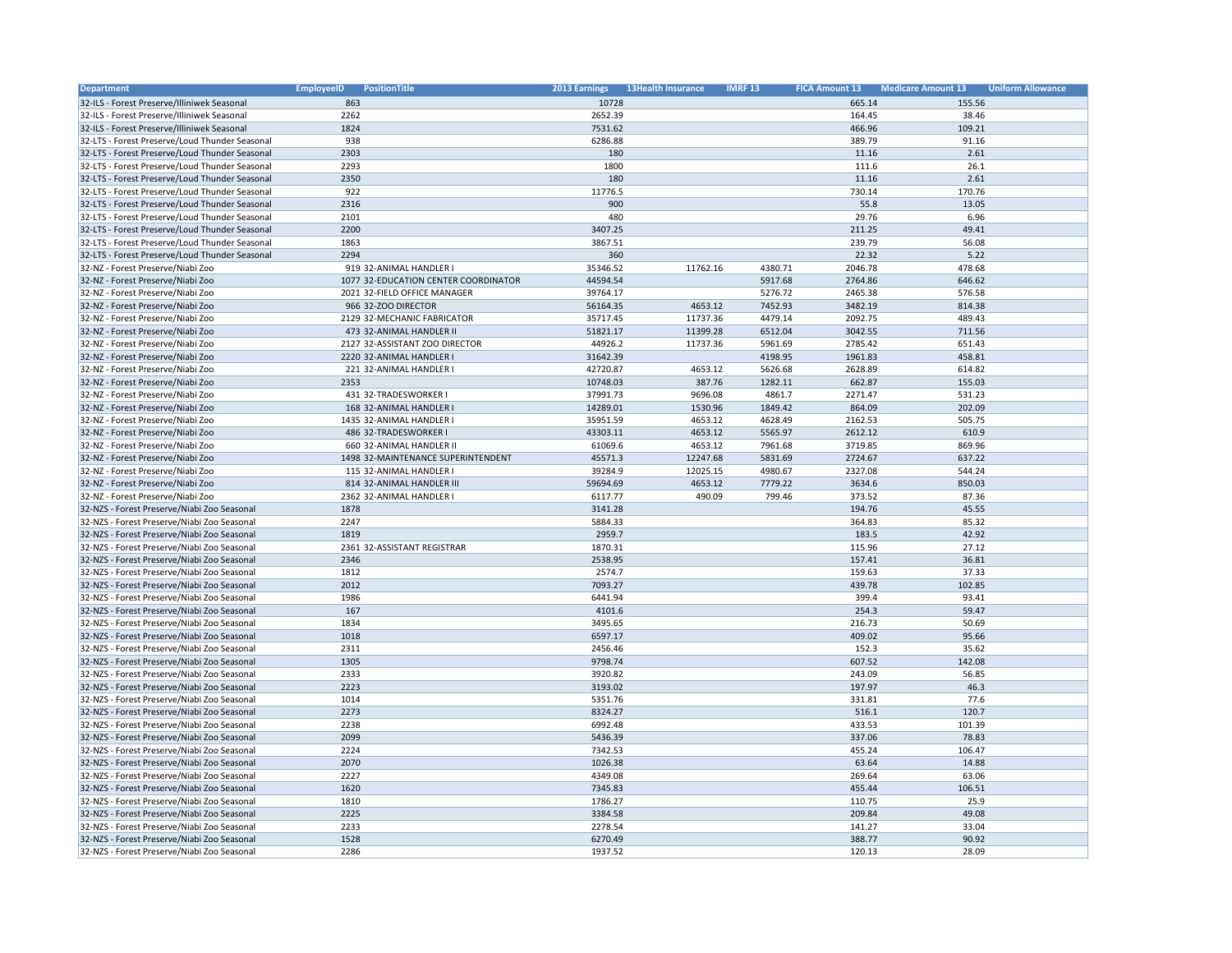| <b>Department</b>                              | <b>EmployeeID</b><br><b>PositionTitle</b> | 2013 Earnings | <b>13Health Insurance</b> | <b>IMRF 13</b> | <b>FICA Amount 13</b> | <b>Medicare Amount 13</b> | <b>Uniform Allowance</b> |
|------------------------------------------------|-------------------------------------------|---------------|---------------------------|----------------|-----------------------|---------------------------|--------------------------|
| 32-ILS - Forest Preserve/Illiniwek Seasonal    | 863                                       | 10728         |                           |                | 665.14                | 155.56                    |                          |
| 32-ILS - Forest Preserve/Illiniwek Seasonal    | 2262                                      | 2652.39       |                           |                | 164.45                | 38.46                     |                          |
| 32-ILS - Forest Preserve/Illiniwek Seasonal    | 1824                                      | 7531.62       |                           |                | 466.96                | 109.21                    |                          |
| 32-LTS - Forest Preserve/Loud Thunder Seasonal | 938                                       | 6286.88       |                           |                | 389.79                | 91.16                     |                          |
| 32-LTS - Forest Preserve/Loud Thunder Seasonal | 2303                                      | 180           |                           |                | 11.16                 | 2.61                      |                          |
| 32-LTS - Forest Preserve/Loud Thunder Seasonal | 2293                                      | 1800          |                           |                | 111.6                 | 26.1                      |                          |
| 32-LTS - Forest Preserve/Loud Thunder Seasonal | 2350                                      | 180           |                           |                | 11.16                 | 2.61                      |                          |
| 32-LTS - Forest Preserve/Loud Thunder Seasonal | 922                                       | 11776.5       |                           |                | 730.14                | 170.76                    |                          |
| 32-LTS - Forest Preserve/Loud Thunder Seasonal | 2316                                      | 900           |                           |                | 55.8                  | 13.05                     |                          |
| 32-LTS - Forest Preserve/Loud Thunder Seasonal | 2101                                      | 480           |                           |                | 29.76                 | 6.96                      |                          |
| 32-LTS - Forest Preserve/Loud Thunder Seasonal | 2200                                      | 3407.25       |                           |                | 211.25                | 49.41                     |                          |
| 32-LTS - Forest Preserve/Loud Thunder Seasonal | 1863                                      | 3867.51       |                           |                | 239.79                | 56.08                     |                          |
| 32-LTS - Forest Preserve/Loud Thunder Seasonal | 2294                                      | 360           |                           |                | 22.32                 | 5.22                      |                          |
| 32-NZ - Forest Preserve/Niabi Zoo              | 919 32-ANIMAL HANDLER I                   | 35346.52      | 11762.16                  | 4380.71        | 2046.78               | 478.68                    |                          |
| 32-NZ - Forest Preserve/Niabi Zoo              | 1077 32-EDUCATION CENTER COORDINATOR      | 44594.54      |                           | 5917.68        | 2764.86               | 646.62                    |                          |
| 32-NZ - Forest Preserve/Niabi Zoo              | 2021 32-FIELD OFFICE MANAGER              | 39764.17      |                           | 5276.72        | 2465.38               | 576.58                    |                          |
| 32-NZ - Forest Preserve/Niabi Zoo              | 966 32-ZOO DIRECTOR                       | 56164.35      | 4653.12                   | 7452.93        | 3482.19               | 814.38                    |                          |
| 32-NZ - Forest Preserve/Niabi Zoo              | 2129 32-MECHANIC FABRICATOR               | 35717.45      | 11737.36                  | 4479.14        | 2092.75               | 489.43                    |                          |
| 32-NZ - Forest Preserve/Niabi Zoo              | 473 32-ANIMAL HANDLER II                  | 51821.17      | 11399.28                  | 6512.04        | 3042.55               | 711.56                    |                          |
| 32-NZ - Forest Preserve/Niabi Zoo              | 2127 32-ASSISTANT ZOO DIRECTOR            | 44926.2       | 11737.36                  | 5961.69        | 2785.42               | 651.43                    |                          |
| 32-NZ - Forest Preserve/Niabi Zoo              | 2220 32-ANIMAL HANDLER I                  | 31642.39      |                           | 4198.95        | 1961.83               | 458.81                    |                          |
| 32-NZ - Forest Preserve/Niabi Zoo              | 221 32-ANIMAL HANDLER I                   | 42720.87      | 4653.12                   | 5626.68        | 2628.89               | 614.82                    |                          |
| 32-NZ - Forest Preserve/Niabi Zoo              | 2353                                      | 10748.03      | 387.76                    | 1282.11        | 662.87                | 155.03                    |                          |
| 32-NZ - Forest Preserve/Niabi Zoo              | 431 32-TRADESWORKER I                     | 37991.73      | 9696.08                   | 4861.7         | 2271.47               | 531.23                    |                          |
|                                                |                                           |               |                           |                |                       |                           |                          |
| 32-NZ - Forest Preserve/Niabi Zoo              | 168 32-ANIMAL HANDLER I                   | 14289.01      | 1530.96                   | 1849.42        | 864.09                | 202.09                    |                          |
| 32-NZ - Forest Preserve/Niabi Zoo              | 1435 32-ANIMAL HANDLER I                  | 35951.59      | 4653.12                   | 4628.49        | 2162.53               | 505.75                    |                          |
| 32-NZ - Forest Preserve/Niabi Zoo              | 486 32-TRADESWORKER I                     | 43303.11      | 4653.12                   | 5565.97        | 2612.12               | 610.9                     |                          |
| 32-NZ - Forest Preserve/Niabi Zoo              | 660 32-ANIMAL HANDLER II                  | 61069.6       | 4653.12                   | 7961.68        | 3719.85               | 869.96                    |                          |
| 32-NZ - Forest Preserve/Niabi Zoo              | 1498 32-MAINTENANCE SUPERINTENDENT        | 45571.3       | 12247.68                  | 5831.69        | 2724.67               | 637.22                    |                          |
| 32-NZ - Forest Preserve/Niabi Zoo              | 115 32-ANIMAL HANDLER I                   | 39284.9       | 12025.15                  | 4980.67        | 2327.08               | 544.24                    |                          |
| 32-NZ - Forest Preserve/Niabi Zoo              | 814 32-ANIMAL HANDLER III                 | 59694.69      | 4653.12                   | 7779.22        | 3634.6                | 850.03                    |                          |
| 32-NZ - Forest Preserve/Niabi Zoo              | 2362 32-ANIMAL HANDLER I                  | 6117.77       | 490.09                    | 799.46         | 373.52                | 87.36                     |                          |
| 32-NZS - Forest Preserve/Niabi Zoo Seasonal    | 1878                                      | 3141.28       |                           |                | 194.76                | 45.55                     |                          |
| 32-NZS - Forest Preserve/Niabi Zoo Seasonal    | 2247                                      | 5884.33       |                           |                | 364.83                | 85.32                     |                          |
| 32-NZS - Forest Preserve/Niabi Zoo Seasonal    | 1819                                      | 2959.7        |                           |                | 183.5                 | 42.92                     |                          |
| 32-NZS - Forest Preserve/Niabi Zoo Seasonal    | 2361 32-ASSISTANT REGISTRAR               | 1870.31       |                           |                | 115.96                | 27.12                     |                          |
| 32-NZS - Forest Preserve/Niabi Zoo Seasonal    | 2346                                      | 2538.95       |                           |                | 157.41                | 36.81                     |                          |
| 32-NZS - Forest Preserve/Niabi Zoo Seasonal    | 1812                                      | 2574.7        |                           |                | 159.63                | 37.33                     |                          |
| 32-NZS - Forest Preserve/Niabi Zoo Seasonal    | 2012                                      | 7093.27       |                           |                | 439.78                | 102.85                    |                          |
| 32-NZS - Forest Preserve/Niabi Zoo Seasonal    | 1986                                      | 6441.94       |                           |                | 399.4                 | 93.41                     |                          |
| 32-NZS - Forest Preserve/Niabi Zoo Seasonal    | 167                                       | 4101.6        |                           |                | 254.3                 | 59.47                     |                          |
| 32-NZS - Forest Preserve/Niabi Zoo Seasonal    | 1834                                      | 3495.65       |                           |                | 216.73                | 50.69                     |                          |
| 32-NZS - Forest Preserve/Niabi Zoo Seasonal    | 1018                                      | 6597.17       |                           |                | 409.02                | 95.66                     |                          |
| 32-NZS - Forest Preserve/Niabi Zoo Seasonal    | 2311                                      | 2456.46       |                           |                | 152.3                 | 35.62                     |                          |
| 32-NZS - Forest Preserve/Niabi Zoo Seasonal    | 1305                                      | 9798.74       |                           |                | 607.52                | 142.08                    |                          |
| 32-NZS - Forest Preserve/Niabi Zoo Seasonal    | 2333                                      | 3920.82       |                           |                | 243.09                | 56.85                     |                          |
| 32-NZS - Forest Preserve/Niabi Zoo Seasonal    | 2223                                      | 3193.02       |                           |                | 197.97                | 46.3                      |                          |
| 32-NZS - Forest Preserve/Niabi Zoo Seasonal    | 1014                                      | 5351.76       |                           |                | 331.81                | 77.6                      |                          |
| 32-NZS - Forest Preserve/Niabi Zoo Seasonal    | 2273                                      | 8324.27       |                           |                | 516.1                 | 120.7                     |                          |
| 32-NZS - Forest Preserve/Niabi Zoo Seasonal    | 2238                                      | 6992.48       |                           |                | 433.53                | 101.39                    |                          |
| 32-NZS - Forest Preserve/Niabi Zoo Seasonal    | 2099                                      | 5436.39       |                           |                | 337.06                | 78.83                     |                          |
| 32-NZS - Forest Preserve/Niabi Zoo Seasonal    | 2224                                      | 7342.53       |                           |                | 455.24                | 106.47                    |                          |
| 32-NZS - Forest Preserve/Niabi Zoo Seasonal    | 2070                                      | 1026.38       |                           |                | 63.64                 | 14.88                     |                          |
| 32-NZS - Forest Preserve/Niabi Zoo Seasonal    | 2227                                      | 4349.08       |                           |                | 269.64                | 63.06                     |                          |
| 32-NZS - Forest Preserve/Niabi Zoo Seasonal    | 1620                                      | 7345.83       |                           |                | 455.44                | 106.51                    |                          |
| 32-NZS - Forest Preserve/Niabi Zoo Seasonal    | 1810                                      | 1786.27       |                           |                | 110.75                | 25.9                      |                          |
| 32-NZS - Forest Preserve/Niabi Zoo Seasonal    | 2225                                      | 3384.58       |                           |                | 209.84                | 49.08                     |                          |
| 32-NZS - Forest Preserve/Niabi Zoo Seasonal    | 2233                                      | 2278.54       |                           |                | 141.27                | 33.04                     |                          |
| 32-NZS - Forest Preserve/Niabi Zoo Seasonal    | 1528                                      | 6270.49       |                           |                | 388.77                | 90.92                     |                          |
| 32-NZS - Forest Preserve/Niabi Zoo Seasonal    | 2286                                      | 1937.52       |                           |                | 120.13                | 28.09                     |                          |
|                                                |                                           |               |                           |                |                       |                           |                          |